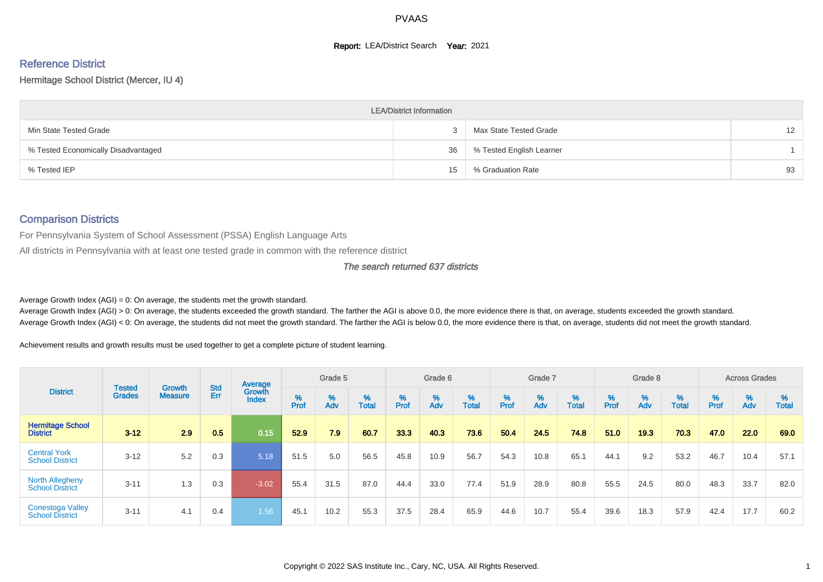# **Report: LEA/District Search Year: 2021**

# Reference District

#### Hermitage School District (Mercer, IU 4)

|                                     | <b>LEA/District Information</b> |                          |    |
|-------------------------------------|---------------------------------|--------------------------|----|
| Min State Tested Grade              |                                 | Max State Tested Grade   | 12 |
| % Tested Economically Disadvantaged | 36                              | % Tested English Learner |    |
| % Tested IEP                        | 15                              | % Graduation Rate        | 93 |

#### Comparison Districts

For Pennsylvania System of School Assessment (PSSA) English Language Arts

All districts in Pennsylvania with at least one tested grade in common with the reference district

#### The search returned 637 districts

Average Growth Index  $(AGI) = 0$ : On average, the students met the growth standard.

Average Growth Index (AGI) > 0: On average, the students exceeded the growth standard. The farther the AGI is above 0.0, the more evidence there is that, on average, students exceeded the growth standard. Average Growth Index (AGI) < 0: On average, the students did not meet the growth standard. The farther the AGI is below 0.0, the more evidence there is that, on average, students did not meet the growth standard.

Achievement results and growth results must be used together to get a complete picture of student learning.

|                                                   |                         |                          |                   | Average                |           | Grade 5  |                   |          | Grade 6  |                   |          | Grade 7  |                   |           | Grade 8  |                   |           | <b>Across Grades</b> |                   |
|---------------------------------------------------|-------------------------|--------------------------|-------------------|------------------------|-----------|----------|-------------------|----------|----------|-------------------|----------|----------|-------------------|-----------|----------|-------------------|-----------|----------------------|-------------------|
| <b>District</b>                                   | Tested<br><b>Grades</b> | Growth<br><b>Measure</b> | <b>Std</b><br>Err | Growth<br><b>Index</b> | %<br>Prof | %<br>Adv | %<br><b>Total</b> | $%$ Prof | %<br>Adv | %<br><b>Total</b> | $%$ Prof | %<br>Adv | %<br><b>Total</b> | %<br>Prof | %<br>Adv | %<br><b>Total</b> | %<br>Prof | %<br>Adv             | %<br><b>Total</b> |
| <b>Hermitage School</b><br><b>District</b>        | $3 - 12$                | 2.9                      | 0.5               | 0.15                   | 52.9      | 7.9      | 60.7              | 33.3     | 40.3     | 73.6              | 50.4     | 24.5     | 74.8              | 51.0      | 19.3     | 70.3              | 47.0      | 22.0                 | 69.0              |
| <b>Central York</b><br><b>School District</b>     | $3 - 12$                | 5.2                      | 0.3               | 5.18                   | 51.5      | 5.0      | 56.5              | 45.8     | 10.9     | 56.7              | 54.3     | 10.8     | 65.1              | 44.1      | 9.2      | 53.2              | 46.7      | 10.4                 | 57.1              |
| <b>North Allegheny</b><br><b>School District</b>  | $3 - 11$                | 1.3                      | 0.3               | $-3.02$                | 55.4      | 31.5     | 87.0              | 44.4     | 33.0     | 77.4              | 51.9     | 28.9     | 80.8              | 55.5      | 24.5     | 80.0              | 48.3      | 33.7                 | 82.0              |
| <b>Conestoga Valley</b><br><b>School District</b> | $3 - 11$                | 4.1                      | 0.4               | 1.56                   | 45.1      | 10.2     | 55.3              | 37.5     | 28.4     | 65.9              | 44.6     | 10.7     | 55.4              | 39.6      | 18.3     | 57.9              | 42.4      | 17.7                 | 60.2              |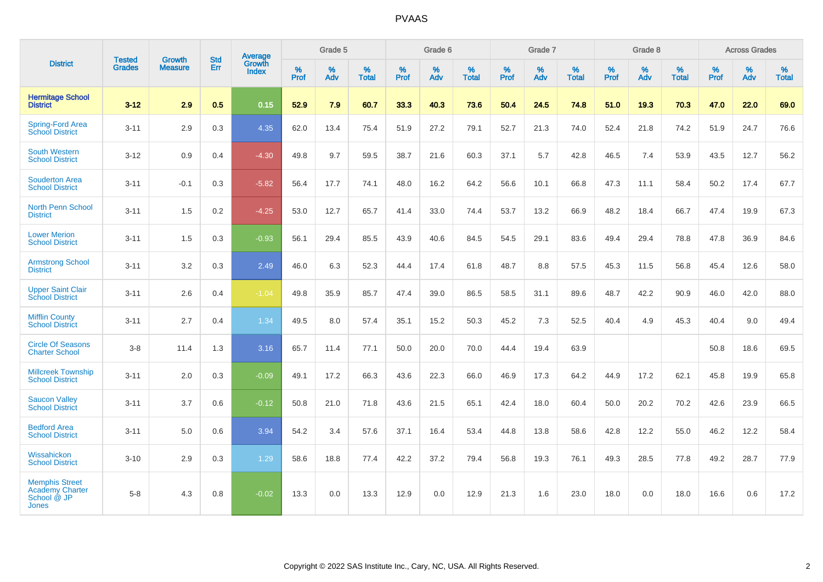|                                                                                | <b>Tested</b> | <b>Growth</b>  | <b>Std</b> | Average                |                  | Grade 5  |                   |           | Grade 6  |                   |                  | Grade 7  |                   |           | Grade 8  |                   |           | <b>Across Grades</b> |                   |
|--------------------------------------------------------------------------------|---------------|----------------|------------|------------------------|------------------|----------|-------------------|-----------|----------|-------------------|------------------|----------|-------------------|-----------|----------|-------------------|-----------|----------------------|-------------------|
| <b>District</b>                                                                | <b>Grades</b> | <b>Measure</b> | Err        | Growth<br><b>Index</b> | %<br><b>Prof</b> | %<br>Adv | %<br><b>Total</b> | %<br>Prof | %<br>Adv | %<br><b>Total</b> | %<br><b>Prof</b> | %<br>Adv | %<br><b>Total</b> | %<br>Prof | %<br>Adv | %<br><b>Total</b> | %<br>Prof | %<br>Adv             | %<br><b>Total</b> |
| <b>Hermitage School</b><br><b>District</b>                                     | $3 - 12$      | 2.9            | 0.5        | 0.15                   | 52.9             | 7.9      | 60.7              | 33.3      | 40.3     | 73.6              | 50.4             | 24.5     | 74.8              | 51.0      | 19.3     | 70.3              | 47.0      | 22.0                 | 69.0              |
| <b>Spring-Ford Area</b><br><b>School District</b>                              | $3 - 11$      | 2.9            | 0.3        | 4.35                   | 62.0             | 13.4     | 75.4              | 51.9      | 27.2     | 79.1              | 52.7             | 21.3     | 74.0              | 52.4      | 21.8     | 74.2              | 51.9      | 24.7                 | 76.6              |
| <b>South Western</b><br><b>School District</b>                                 | $3 - 12$      | 0.9            | 0.4        | $-4.30$                | 49.8             | 9.7      | 59.5              | 38.7      | 21.6     | 60.3              | 37.1             | 5.7      | 42.8              | 46.5      | 7.4      | 53.9              | 43.5      | 12.7                 | 56.2              |
| <b>Souderton Area</b><br><b>School District</b>                                | $3 - 11$      | $-0.1$         | 0.3        | $-5.82$                | 56.4             | 17.7     | 74.1              | 48.0      | 16.2     | 64.2              | 56.6             | 10.1     | 66.8              | 47.3      | 11.1     | 58.4              | 50.2      | 17.4                 | 67.7              |
| <b>North Penn School</b><br><b>District</b>                                    | $3 - 11$      | 1.5            | 0.2        | $-4.25$                | 53.0             | 12.7     | 65.7              | 41.4      | 33.0     | 74.4              | 53.7             | 13.2     | 66.9              | 48.2      | 18.4     | 66.7              | 47.4      | 19.9                 | 67.3              |
| <b>Lower Merion</b><br><b>School District</b>                                  | $3 - 11$      | 1.5            | 0.3        | $-0.93$                | 56.1             | 29.4     | 85.5              | 43.9      | 40.6     | 84.5              | 54.5             | 29.1     | 83.6              | 49.4      | 29.4     | 78.8              | 47.8      | 36.9                 | 84.6              |
| <b>Armstrong School</b><br><b>District</b>                                     | $3 - 11$      | 3.2            | 0.3        | 2.49                   | 46.0             | 6.3      | 52.3              | 44.4      | 17.4     | 61.8              | 48.7             | 8.8      | 57.5              | 45.3      | 11.5     | 56.8              | 45.4      | 12.6                 | 58.0              |
| <b>Upper Saint Clair</b><br><b>School District</b>                             | $3 - 11$      | 2.6            | 0.4        | $-1.04$                | 49.8             | 35.9     | 85.7              | 47.4      | 39.0     | 86.5              | 58.5             | 31.1     | 89.6              | 48.7      | 42.2     | 90.9              | 46.0      | 42.0                 | 88.0              |
| <b>Mifflin County</b><br><b>School District</b>                                | $3 - 11$      | 2.7            | 0.4        | 1.34                   | 49.5             | 8.0      | 57.4              | 35.1      | 15.2     | 50.3              | 45.2             | 7.3      | 52.5              | 40.4      | 4.9      | 45.3              | 40.4      | 9.0                  | 49.4              |
| <b>Circle Of Seasons</b><br><b>Charter School</b>                              | $3 - 8$       | 11.4           | 1.3        | 3.16                   | 65.7             | 11.4     | 77.1              | 50.0      | 20.0     | 70.0              | 44.4             | 19.4     | 63.9              |           |          |                   | 50.8      | 18.6                 | 69.5              |
| <b>Millcreek Township</b><br><b>School District</b>                            | $3 - 11$      | 2.0            | 0.3        | $-0.09$                | 49.1             | 17.2     | 66.3              | 43.6      | 22.3     | 66.0              | 46.9             | 17.3     | 64.2              | 44.9      | 17.2     | 62.1              | 45.8      | 19.9                 | 65.8              |
| <b>Saucon Valley</b><br><b>School District</b>                                 | $3 - 11$      | 3.7            | 0.6        | $-0.12$                | 50.8             | 21.0     | 71.8              | 43.6      | 21.5     | 65.1              | 42.4             | 18.0     | 60.4              | 50.0      | 20.2     | 70.2              | 42.6      | 23.9                 | 66.5              |
| <b>Bedford Area</b><br><b>School District</b>                                  | $3 - 11$      | 5.0            | 0.6        | 3.94                   | 54.2             | 3.4      | 57.6              | 37.1      | 16.4     | 53.4              | 44.8             | 13.8     | 58.6              | 42.8      | 12.2     | 55.0              | 46.2      | 12.2                 | 58.4              |
| Wissahickon<br><b>School District</b>                                          | $3 - 10$      | 2.9            | 0.3        | 1.29                   | 58.6             | 18.8     | 77.4              | 42.2      | 37.2     | 79.4              | 56.8             | 19.3     | 76.1              | 49.3      | 28.5     | 77.8              | 49.2      | 28.7                 | 77.9              |
| <b>Memphis Street</b><br><b>Academy Charter</b><br>School @ JP<br><b>Jones</b> | $5 - 8$       | 4.3            | 0.8        | $-0.02$                | 13.3             | 0.0      | 13.3              | 12.9      | 0.0      | 12.9              | 21.3             | 1.6      | 23.0              | 18.0      | 0.0      | 18.0              | 16.6      | 0.6                  | 17.2              |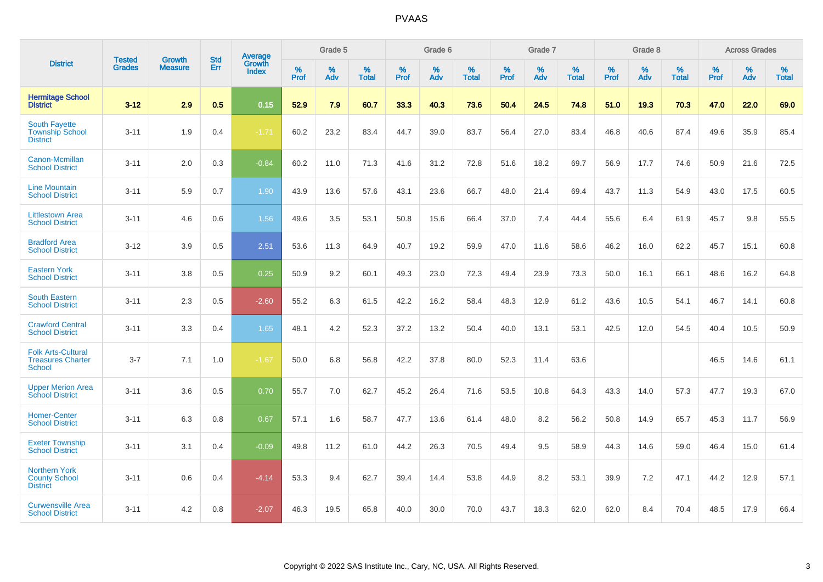|                                                                        |                                |                                 | <b>Std</b> | Average                       |           | Grade 5  |                   |           | Grade 6  |                   |           | Grade 7  |                   |           | Grade 8  |                   |           | <b>Across Grades</b> |                   |
|------------------------------------------------------------------------|--------------------------------|---------------------------------|------------|-------------------------------|-----------|----------|-------------------|-----------|----------|-------------------|-----------|----------|-------------------|-----------|----------|-------------------|-----------|----------------------|-------------------|
| <b>District</b>                                                        | <b>Tested</b><br><b>Grades</b> | <b>Growth</b><br><b>Measure</b> | Err        | <b>Growth</b><br><b>Index</b> | %<br>Prof | %<br>Adv | %<br><b>Total</b> | %<br>Prof | %<br>Adv | %<br><b>Total</b> | %<br>Prof | %<br>Adv | %<br><b>Total</b> | %<br>Prof | %<br>Adv | %<br><b>Total</b> | %<br>Prof | %<br>Adv             | %<br><b>Total</b> |
| <b>Hermitage School</b><br><b>District</b>                             | $3 - 12$                       | 2.9                             | 0.5        | 0.15                          | 52.9      | 7.9      | 60.7              | 33.3      | 40.3     | 73.6              | 50.4      | 24.5     | 74.8              | 51.0      | 19.3     | 70.3              | 47.0      | 22.0                 | 69.0              |
| <b>South Fayette</b><br><b>Township School</b><br><b>District</b>      | $3 - 11$                       | 1.9                             | 0.4        | $-1.71$                       | 60.2      | 23.2     | 83.4              | 44.7      | 39.0     | 83.7              | 56.4      | 27.0     | 83.4              | 46.8      | 40.6     | 87.4              | 49.6      | 35.9                 | 85.4              |
| Canon-Mcmillan<br><b>School District</b>                               | $3 - 11$                       | 2.0                             | 0.3        | $-0.84$                       | 60.2      | 11.0     | 71.3              | 41.6      | 31.2     | 72.8              | 51.6      | 18.2     | 69.7              | 56.9      | 17.7     | 74.6              | 50.9      | 21.6                 | 72.5              |
| <b>Line Mountain</b><br><b>School District</b>                         | $3 - 11$                       | 5.9                             | 0.7        | 1.90                          | 43.9      | 13.6     | 57.6              | 43.1      | 23.6     | 66.7              | 48.0      | 21.4     | 69.4              | 43.7      | 11.3     | 54.9              | 43.0      | 17.5                 | 60.5              |
| <b>Littlestown Area</b><br><b>School District</b>                      | $3 - 11$                       | 4.6                             | 0.6        | 1.56                          | 49.6      | 3.5      | 53.1              | 50.8      | 15.6     | 66.4              | 37.0      | 7.4      | 44.4              | 55.6      | 6.4      | 61.9              | 45.7      | 9.8                  | 55.5              |
| <b>Bradford Area</b><br><b>School District</b>                         | $3 - 12$                       | 3.9                             | 0.5        | 2.51                          | 53.6      | 11.3     | 64.9              | 40.7      | 19.2     | 59.9              | 47.0      | 11.6     | 58.6              | 46.2      | 16.0     | 62.2              | 45.7      | 15.1                 | 60.8              |
| <b>Eastern York</b><br><b>School District</b>                          | $3 - 11$                       | 3.8                             | 0.5        | 0.25                          | 50.9      | 9.2      | 60.1              | 49.3      | 23.0     | 72.3              | 49.4      | 23.9     | 73.3              | 50.0      | 16.1     | 66.1              | 48.6      | 16.2                 | 64.8              |
| <b>South Eastern</b><br><b>School District</b>                         | $3 - 11$                       | 2.3                             | 0.5        | $-2.60$                       | 55.2      | 6.3      | 61.5              | 42.2      | 16.2     | 58.4              | 48.3      | 12.9     | 61.2              | 43.6      | 10.5     | 54.1              | 46.7      | 14.1                 | 60.8              |
| <b>Crawford Central</b><br><b>School District</b>                      | $3 - 11$                       | 3.3                             | 0.4        | 1.65                          | 48.1      | 4.2      | 52.3              | 37.2      | 13.2     | 50.4              | 40.0      | 13.1     | 53.1              | 42.5      | 12.0     | 54.5              | 40.4      | 10.5                 | 50.9              |
| <b>Folk Arts-Cultural</b><br><b>Treasures Charter</b><br><b>School</b> | $3 - 7$                        | 7.1                             | 1.0        | $-1.67$                       | 50.0      | 6.8      | 56.8              | 42.2      | 37.8     | 80.0              | 52.3      | 11.4     | 63.6              |           |          |                   | 46.5      | 14.6                 | 61.1              |
| <b>Upper Merion Area</b><br><b>School District</b>                     | $3 - 11$                       | 3.6                             | 0.5        | 0.70                          | 55.7      | 7.0      | 62.7              | 45.2      | 26.4     | 71.6              | 53.5      | 10.8     | 64.3              | 43.3      | 14.0     | 57.3              | 47.7      | 19.3                 | 67.0              |
| <b>Homer-Center</b><br><b>School District</b>                          | $3 - 11$                       | 6.3                             | 0.8        | 0.67                          | 57.1      | 1.6      | 58.7              | 47.7      | 13.6     | 61.4              | 48.0      | 8.2      | 56.2              | 50.8      | 14.9     | 65.7              | 45.3      | 11.7                 | 56.9              |
| <b>Exeter Township</b><br><b>School District</b>                       | $3 - 11$                       | 3.1                             | 0.4        | $-0.09$                       | 49.8      | 11.2     | 61.0              | 44.2      | 26.3     | 70.5              | 49.4      | 9.5      | 58.9              | 44.3      | 14.6     | 59.0              | 46.4      | 15.0                 | 61.4              |
| <b>Northern York</b><br><b>County School</b><br><b>District</b>        | $3 - 11$                       | 0.6                             | 0.4        | $-4.14$                       | 53.3      | 9.4      | 62.7              | 39.4      | 14.4     | 53.8              | 44.9      | 8.2      | 53.1              | 39.9      | 7.2      | 47.1              | 44.2      | 12.9                 | 57.1              |
| <b>Curwensville Area</b><br><b>School District</b>                     | $3 - 11$                       | 4.2                             | 0.8        | $-2.07$                       | 46.3      | 19.5     | 65.8              | 40.0      | 30.0     | 70.0              | 43.7      | 18.3     | 62.0              | 62.0      | 8.4      | 70.4              | 48.5      | 17.9                 | 66.4              |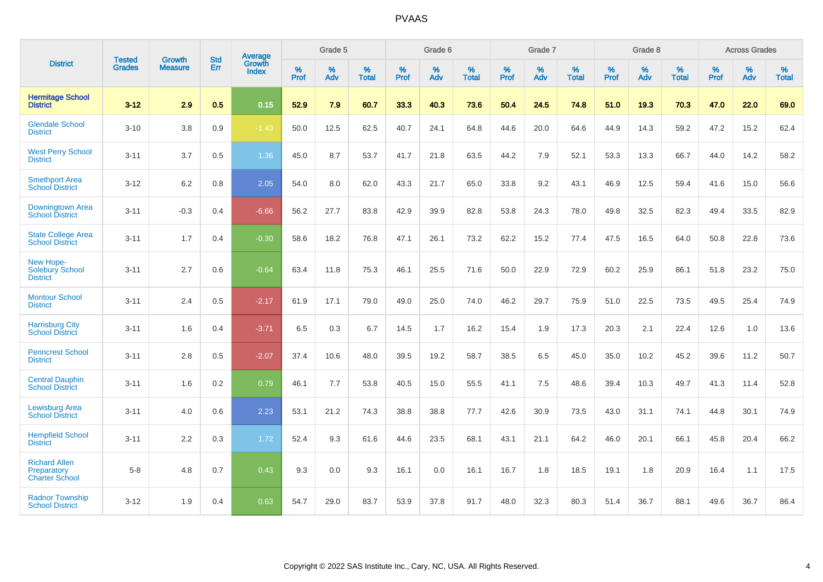|                                                              | <b>Tested</b> | <b>Growth</b>  | <b>Std</b> | <b>Average</b>         |           | Grade 5  |                   |           | Grade 6  |                   |           | Grade 7  |                   |           | Grade 8  |                   |           | <b>Across Grades</b> |                   |
|--------------------------------------------------------------|---------------|----------------|------------|------------------------|-----------|----------|-------------------|-----------|----------|-------------------|-----------|----------|-------------------|-----------|----------|-------------------|-----------|----------------------|-------------------|
| <b>District</b>                                              | <b>Grades</b> | <b>Measure</b> | Err        | Growth<br><b>Index</b> | %<br>Prof | %<br>Adv | %<br><b>Total</b> | %<br>Prof | %<br>Adv | %<br><b>Total</b> | %<br>Prof | %<br>Adv | %<br><b>Total</b> | %<br>Prof | %<br>Adv | %<br><b>Total</b> | %<br>Prof | %<br>Adv             | %<br><b>Total</b> |
| <b>Hermitage School</b><br><b>District</b>                   | $3 - 12$      | 2.9            | 0.5        | 0.15                   | 52.9      | 7.9      | 60.7              | 33.3      | 40.3     | 73.6              | 50.4      | 24.5     | 74.8              | 51.0      | 19.3     | 70.3              | 47.0      | 22.0                 | 69.0              |
| <b>Glendale School</b><br><b>District</b>                    | $3 - 10$      | 3.8            | 0.9        | $-1.43$                | 50.0      | 12.5     | 62.5              | 40.7      | 24.1     | 64.8              | 44.6      | 20.0     | 64.6              | 44.9      | 14.3     | 59.2              | 47.2      | 15.2                 | 62.4              |
| <b>West Perry School</b><br><b>District</b>                  | $3 - 11$      | 3.7            | 0.5        | 1.36                   | 45.0      | 8.7      | 53.7              | 41.7      | 21.8     | 63.5              | 44.2      | 7.9      | 52.1              | 53.3      | 13.3     | 66.7              | 44.0      | 14.2                 | 58.2              |
| <b>Smethport Area</b><br><b>School District</b>              | $3 - 12$      | 6.2            | 0.8        | 2.05                   | 54.0      | 8.0      | 62.0              | 43.3      | 21.7     | 65.0              | 33.8      | 9.2      | 43.1              | 46.9      | 12.5     | 59.4              | 41.6      | 15.0                 | 56.6              |
| Downingtown Area<br><b>School District</b>                   | $3 - 11$      | $-0.3$         | 0.4        | $-6.66$                | 56.2      | 27.7     | 83.8              | 42.9      | 39.9     | 82.8              | 53.8      | 24.3     | 78.0              | 49.8      | 32.5     | 82.3              | 49.4      | 33.5                 | 82.9              |
| <b>State College Area</b><br><b>School District</b>          | $3 - 11$      | 1.7            | 0.4        | $-0.30$                | 58.6      | 18.2     | 76.8              | 47.1      | 26.1     | 73.2              | 62.2      | 15.2     | 77.4              | 47.5      | 16.5     | 64.0              | 50.8      | 22.8                 | 73.6              |
| New Hope-<br>Solebury School<br><b>District</b>              | $3 - 11$      | 2.7            | 0.6        | $-0.64$                | 63.4      | 11.8     | 75.3              | 46.1      | 25.5     | 71.6              | 50.0      | 22.9     | 72.9              | 60.2      | 25.9     | 86.1              | 51.8      | 23.2                 | 75.0              |
| <b>Montour School</b><br><b>District</b>                     | $3 - 11$      | 2.4            | 0.5        | $-2.17$                | 61.9      | 17.1     | 79.0              | 49.0      | 25.0     | 74.0              | 46.2      | 29.7     | 75.9              | 51.0      | 22.5     | 73.5              | 49.5      | 25.4                 | 74.9              |
| <b>Harrisburg City</b><br><b>School District</b>             | $3 - 11$      | 1.6            | 0.4        | $-3.71$                | 6.5       | 0.3      | 6.7               | 14.5      | 1.7      | 16.2              | 15.4      | 1.9      | 17.3              | 20.3      | 2.1      | 22.4              | 12.6      | 1.0                  | 13.6              |
| <b>Penncrest School</b><br><b>District</b>                   | $3 - 11$      | 2.8            | 0.5        | $-2.07$                | 37.4      | 10.6     | 48.0              | 39.5      | 19.2     | 58.7              | 38.5      | 6.5      | 45.0              | 35.0      | 10.2     | 45.2              | 39.6      | 11.2                 | 50.7              |
| <b>Central Dauphin</b><br><b>School District</b>             | $3 - 11$      | 1.6            | 0.2        | 0.79                   | 46.1      | 7.7      | 53.8              | 40.5      | 15.0     | 55.5              | 41.1      | 7.5      | 48.6              | 39.4      | 10.3     | 49.7              | 41.3      | 11.4                 | 52.8              |
| <b>Lewisburg Area</b><br><b>School District</b>              | $3 - 11$      | 4.0            | 0.6        | 2.23                   | 53.1      | 21.2     | 74.3              | 38.8      | 38.8     | 77.7              | 42.6      | 30.9     | 73.5              | 43.0      | 31.1     | 74.1              | 44.8      | 30.1                 | 74.9              |
| <b>Hempfield School</b><br><b>District</b>                   | $3 - 11$      | 2.2            | 0.3        | 1.72                   | 52.4      | 9.3      | 61.6              | 44.6      | 23.5     | 68.1              | 43.1      | 21.1     | 64.2              | 46.0      | 20.1     | 66.1              | 45.8      | 20.4                 | 66.2              |
| <b>Richard Allen</b><br>Preparatory<br><b>Charter School</b> | $5 - 8$       | 4.8            | 0.7        | 0.43                   | 9.3       | 0.0      | 9.3               | 16.1      | 0.0      | 16.1              | 16.7      | 1.8      | 18.5              | 19.1      | 1.8      | 20.9              | 16.4      | 1.1                  | 17.5              |
| <b>Radnor Township</b><br><b>School District</b>             | $3 - 12$      | 1.9            | 0.4        | 0.63                   | 54.7      | 29.0     | 83.7              | 53.9      | 37.8     | 91.7              | 48.0      | 32.3     | 80.3              | 51.4      | 36.7     | 88.1              | 49.6      | 36.7                 | 86.4              |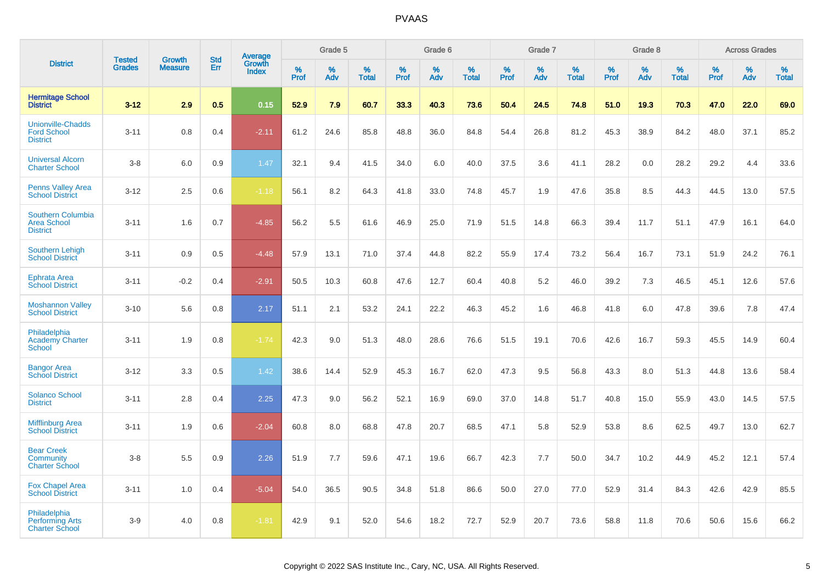|                                                                   |                                |                                 |                   | Average                |                  | Grade 5  |                   |                  | Grade 6  |                   |                  | Grade 7  |                   |           | Grade 8  |                   |                  | <b>Across Grades</b> |                   |
|-------------------------------------------------------------------|--------------------------------|---------------------------------|-------------------|------------------------|------------------|----------|-------------------|------------------|----------|-------------------|------------------|----------|-------------------|-----------|----------|-------------------|------------------|----------------------|-------------------|
| <b>District</b>                                                   | <b>Tested</b><br><b>Grades</b> | <b>Growth</b><br><b>Measure</b> | <b>Std</b><br>Err | Growth<br><b>Index</b> | %<br><b>Prof</b> | %<br>Adv | %<br><b>Total</b> | %<br><b>Prof</b> | %<br>Adv | %<br><b>Total</b> | %<br><b>Prof</b> | %<br>Adv | %<br><b>Total</b> | %<br>Prof | %<br>Adv | %<br><b>Total</b> | %<br><b>Prof</b> | %<br>Adv             | %<br><b>Total</b> |
| <b>Hermitage School</b><br><b>District</b>                        | $3 - 12$                       | 2.9                             | 0.5               | 0.15                   | 52.9             | 7.9      | 60.7              | 33.3             | 40.3     | 73.6              | 50.4             | 24.5     | 74.8              | 51.0      | 19.3     | 70.3              | 47.0             | 22.0                 | 69.0              |
| <b>Unionville-Chadds</b><br><b>Ford School</b><br><b>District</b> | $3 - 11$                       | 0.8                             | 0.4               | $-2.11$                | 61.2             | 24.6     | 85.8              | 48.8             | 36.0     | 84.8              | 54.4             | 26.8     | 81.2              | 45.3      | 38.9     | 84.2              | 48.0             | 37.1                 | 85.2              |
| <b>Universal Alcorn</b><br><b>Charter School</b>                  | $3-8$                          | 6.0                             | 0.9               | 1.47                   | 32.1             | 9.4      | 41.5              | 34.0             | 6.0      | 40.0              | 37.5             | 3.6      | 41.1              | 28.2      | 0.0      | 28.2              | 29.2             | 4.4                  | 33.6              |
| <b>Penns Valley Area</b><br><b>School District</b>                | $3 - 12$                       | 2.5                             | 0.6               | $-1.18$                | 56.1             | 8.2      | 64.3              | 41.8             | 33.0     | 74.8              | 45.7             | 1.9      | 47.6              | 35.8      | 8.5      | 44.3              | 44.5             | 13.0                 | 57.5              |
| Southern Columbia<br><b>Area School</b><br><b>District</b>        | $3 - 11$                       | 1.6                             | 0.7               | $-4.85$                | 56.2             | 5.5      | 61.6              | 46.9             | 25.0     | 71.9              | 51.5             | 14.8     | 66.3              | 39.4      | 11.7     | 51.1              | 47.9             | 16.1                 | 64.0              |
| <b>Southern Lehigh</b><br><b>School District</b>                  | $3 - 11$                       | 0.9                             | 0.5               | $-4.48$                | 57.9             | 13.1     | 71.0              | 37.4             | 44.8     | 82.2              | 55.9             | 17.4     | 73.2              | 56.4      | 16.7     | 73.1              | 51.9             | 24.2                 | 76.1              |
| <b>Ephrata Area</b><br><b>School District</b>                     | $3 - 11$                       | $-0.2$                          | 0.4               | $-2.91$                | 50.5             | 10.3     | 60.8              | 47.6             | 12.7     | 60.4              | 40.8             | 5.2      | 46.0              | 39.2      | 7.3      | 46.5              | 45.1             | 12.6                 | 57.6              |
| <b>Moshannon Valley</b><br><b>School District</b>                 | $3 - 10$                       | 5.6                             | 0.8               | 2.17                   | 51.1             | 2.1      | 53.2              | 24.1             | 22.2     | 46.3              | 45.2             | 1.6      | 46.8              | 41.8      | 6.0      | 47.8              | 39.6             | 7.8                  | 47.4              |
| Philadelphia<br><b>Academy Charter</b><br><b>School</b>           | $3 - 11$                       | 1.9                             | 0.8               | $-1.74$                | 42.3             | 9.0      | 51.3              | 48.0             | 28.6     | 76.6              | 51.5             | 19.1     | 70.6              | 42.6      | 16.7     | 59.3              | 45.5             | 14.9                 | 60.4              |
| <b>Bangor Area</b><br><b>School District</b>                      | $3 - 12$                       | 3.3                             | 0.5               | 1.42                   | 38.6             | 14.4     | 52.9              | 45.3             | 16.7     | 62.0              | 47.3             | 9.5      | 56.8              | 43.3      | 8.0      | 51.3              | 44.8             | 13.6                 | 58.4              |
| <b>Solanco School</b><br><b>District</b>                          | $3 - 11$                       | 2.8                             | 0.4               | 2.25                   | 47.3             | 9.0      | 56.2              | 52.1             | 16.9     | 69.0              | 37.0             | 14.8     | 51.7              | 40.8      | 15.0     | 55.9              | 43.0             | 14.5                 | 57.5              |
| <b>Mifflinburg Area</b><br><b>School District</b>                 | $3 - 11$                       | 1.9                             | 0.6               | $-2.04$                | 60.8             | 8.0      | 68.8              | 47.8             | 20.7     | 68.5              | 47.1             | 5.8      | 52.9              | 53.8      | 8.6      | 62.5              | 49.7             | 13.0                 | 62.7              |
| <b>Bear Creek</b><br>Community<br><b>Charter School</b>           | $3-8$                          | 5.5                             | 0.9               | 2.26                   | 51.9             | 7.7      | 59.6              | 47.1             | 19.6     | 66.7              | 42.3             | 7.7      | 50.0              | 34.7      | 10.2     | 44.9              | 45.2             | 12.1                 | 57.4              |
| <b>Fox Chapel Area</b><br><b>School District</b>                  | $3 - 11$                       | 1.0                             | 0.4               | $-5.04$                | 54.0             | 36.5     | 90.5              | 34.8             | 51.8     | 86.6              | 50.0             | 27.0     | 77.0              | 52.9      | 31.4     | 84.3              | 42.6             | 42.9                 | 85.5              |
| Philadelphia<br><b>Performing Arts</b><br><b>Charter School</b>   | $3-9$                          | 4.0                             | 0.8               | $-1.81$                | 42.9             | 9.1      | 52.0              | 54.6             | 18.2     | 72.7              | 52.9             | 20.7     | 73.6              | 58.8      | 11.8     | 70.6              | 50.6             | 15.6                 | 66.2              |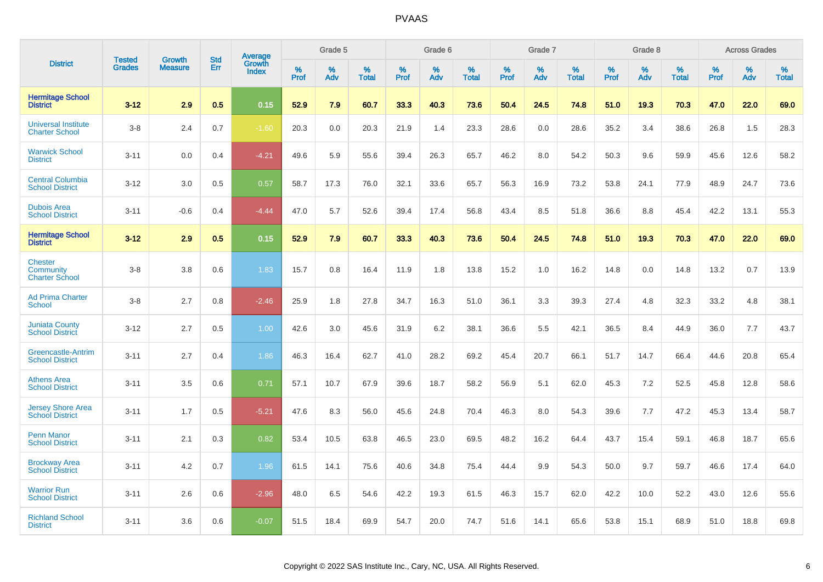|                                                      | <b>Tested</b> |                          | <b>Std</b> | Average                |              | Grade 5  |                      |                     | Grade 6     |                      |              | Grade 7     |                   |              | Grade 8     |                   |                     | <b>Across Grades</b> |                   |
|------------------------------------------------------|---------------|--------------------------|------------|------------------------|--------------|----------|----------------------|---------------------|-------------|----------------------|--------------|-------------|-------------------|--------------|-------------|-------------------|---------------------|----------------------|-------------------|
| <b>District</b>                                      | <b>Grades</b> | Growth<br><b>Measure</b> | Err        | Growth<br><b>Index</b> | $\%$<br>Prof | %<br>Adv | $\%$<br><b>Total</b> | $\%$<br><b>Prof</b> | $\%$<br>Adv | $\%$<br><b>Total</b> | $\%$<br>Prof | $\%$<br>Adv | %<br><b>Total</b> | $\%$<br>Prof | $\%$<br>Adv | %<br><b>Total</b> | $\%$<br><b>Prof</b> | $\%$<br>Adv          | %<br><b>Total</b> |
| <b>Hermitage School</b><br><b>District</b>           | $3 - 12$      | 2.9                      | 0.5        | 0.15                   | 52.9         | 7.9      | 60.7                 | 33.3                | 40.3        | 73.6                 | 50.4         | 24.5        | 74.8              | 51.0         | 19.3        | 70.3              | 47.0                | 22.0                 | 69.0              |
| <b>Universal Institute</b><br><b>Charter School</b>  | $3 - 8$       | 2.4                      | 0.7        | $-1.60$                | 20.3         | 0.0      | 20.3                 | 21.9                | 1.4         | 23.3                 | 28.6         | 0.0         | 28.6              | 35.2         | 3.4         | 38.6              | 26.8                | 1.5                  | 28.3              |
| <b>Warwick School</b><br><b>District</b>             | $3 - 11$      | 0.0                      | 0.4        | $-4.21$                | 49.6         | 5.9      | 55.6                 | 39.4                | 26.3        | 65.7                 | 46.2         | 8.0         | 54.2              | 50.3         | 9.6         | 59.9              | 45.6                | 12.6                 | 58.2              |
| <b>Central Columbia</b><br><b>School District</b>    | $3 - 12$      | 3.0                      | 0.5        | 0.57                   | 58.7         | 17.3     | 76.0                 | 32.1                | 33.6        | 65.7                 | 56.3         | 16.9        | 73.2              | 53.8         | 24.1        | 77.9              | 48.9                | 24.7                 | 73.6              |
| <b>Dubois Area</b><br><b>School District</b>         | $3 - 11$      | $-0.6$                   | 0.4        | $-4.44$                | 47.0         | 5.7      | 52.6                 | 39.4                | 17.4        | 56.8                 | 43.4         | 8.5         | 51.8              | 36.6         | 8.8         | 45.4              | 42.2                | 13.1                 | 55.3              |
| <b>Hermitage School</b><br><b>District</b>           | $3 - 12$      | 2.9                      | 0.5        | 0.15                   | 52.9         | 7.9      | 60.7                 | 33.3                | 40.3        | 73.6                 | 50.4         | 24.5        | 74.8              | 51.0         | 19.3        | 70.3              | 47.0                | 22.0                 | 69.0              |
| <b>Chester</b><br>Community<br><b>Charter School</b> | $3 - 8$       | 3.8                      | 0.6        | 1.83                   | 15.7         | 0.8      | 16.4                 | 11.9                | 1.8         | 13.8                 | 15.2         | 1.0         | 16.2              | 14.8         | 0.0         | 14.8              | 13.2                | 0.7                  | 13.9              |
| <b>Ad Prima Charter</b><br><b>School</b>             | $3 - 8$       | 2.7                      | 0.8        | $-2.46$                | 25.9         | 1.8      | 27.8                 | 34.7                | 16.3        | 51.0                 | 36.1         | 3.3         | 39.3              | 27.4         | 4.8         | 32.3              | 33.2                | 4.8                  | 38.1              |
| <b>Juniata County</b><br><b>School District</b>      | $3 - 12$      | 2.7                      | 0.5        | 1.00                   | 42.6         | 3.0      | 45.6                 | 31.9                | 6.2         | 38.1                 | 36.6         | 5.5         | 42.1              | 36.5         | 8.4         | 44.9              | 36.0                | 7.7                  | 43.7              |
| Greencastle-Antrim<br><b>School District</b>         | $3 - 11$      | 2.7                      | 0.4        | 1.86                   | 46.3         | 16.4     | 62.7                 | 41.0                | 28.2        | 69.2                 | 45.4         | 20.7        | 66.1              | 51.7         | 14.7        | 66.4              | 44.6                | 20.8                 | 65.4              |
| <b>Athens Area</b><br><b>School District</b>         | $3 - 11$      | 3.5                      | 0.6        | 0.71                   | 57.1         | 10.7     | 67.9                 | 39.6                | 18.7        | 58.2                 | 56.9         | 5.1         | 62.0              | 45.3         | 7.2         | 52.5              | 45.8                | 12.8                 | 58.6              |
| <b>Jersey Shore Area</b><br><b>School District</b>   | $3 - 11$      | 1.7                      | 0.5        | $-5.21$                | 47.6         | 8.3      | 56.0                 | 45.6                | 24.8        | 70.4                 | 46.3         | 8.0         | 54.3              | 39.6         | 7.7         | 47.2              | 45.3                | 13.4                 | 58.7              |
| <b>Penn Manor</b><br><b>School District</b>          | $3 - 11$      | 2.1                      | 0.3        | 0.82                   | 53.4         | 10.5     | 63.8                 | 46.5                | 23.0        | 69.5                 | 48.2         | 16.2        | 64.4              | 43.7         | 15.4        | 59.1              | 46.8                | 18.7                 | 65.6              |
| <b>Brockway Area</b><br><b>School District</b>       | $3 - 11$      | 4.2                      | 0.7        | 1.96                   | 61.5         | 14.1     | 75.6                 | 40.6                | 34.8        | 75.4                 | 44.4         | 9.9         | 54.3              | 50.0         | 9.7         | 59.7              | 46.6                | 17.4                 | 64.0              |
| <b>Warrior Run</b><br><b>School District</b>         | $3 - 11$      | 2.6                      | 0.6        | $-2.96$                | 48.0         | 6.5      | 54.6                 | 42.2                | 19.3        | 61.5                 | 46.3         | 15.7        | 62.0              | 42.2         | 10.0        | 52.2              | 43.0                | 12.6                 | 55.6              |
| <b>Richland School</b><br><b>District</b>            | $3 - 11$      | 3.6                      | 0.6        | $-0.07$                | 51.5         | 18.4     | 69.9                 | 54.7                | 20.0        | 74.7                 | 51.6         | 14.1        | 65.6              | 53.8         | 15.1        | 68.9              | 51.0                | 18.8                 | 69.8              |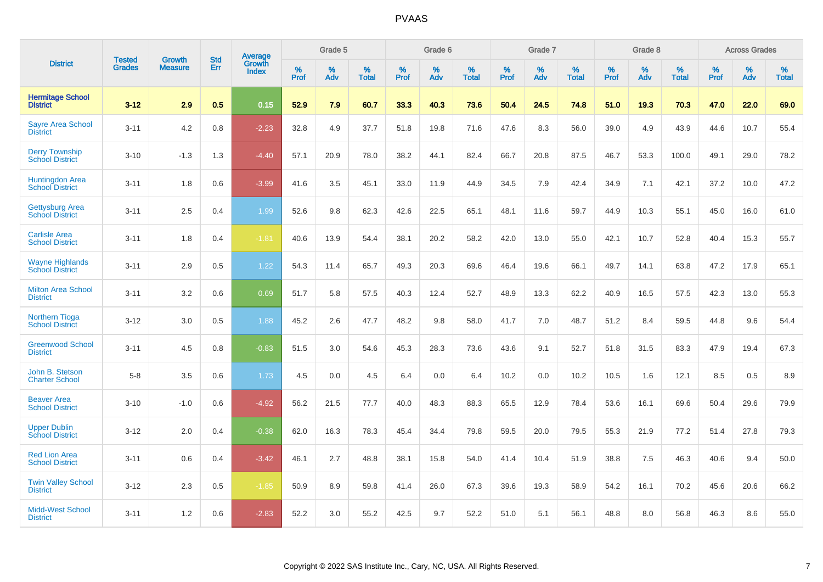|                                                  |                                |                                 | <b>Std</b> | <b>Average</b>         |           | Grade 5  |                   |           | Grade 6  |                   |           | Grade 7  |                   |           | Grade 8  |                   |           | <b>Across Grades</b> |                   |
|--------------------------------------------------|--------------------------------|---------------------------------|------------|------------------------|-----------|----------|-------------------|-----------|----------|-------------------|-----------|----------|-------------------|-----------|----------|-------------------|-----------|----------------------|-------------------|
| <b>District</b>                                  | <b>Tested</b><br><b>Grades</b> | <b>Growth</b><br><b>Measure</b> | Err        | Growth<br><b>Index</b> | %<br>Prof | %<br>Adv | %<br><b>Total</b> | %<br>Prof | %<br>Adv | %<br><b>Total</b> | %<br>Prof | %<br>Adv | %<br><b>Total</b> | %<br>Prof | %<br>Adv | %<br><b>Total</b> | %<br>Prof | %<br>Adv             | %<br><b>Total</b> |
| <b>Hermitage School</b><br><b>District</b>       | $3 - 12$                       | 2.9                             | 0.5        | 0.15                   | 52.9      | 7.9      | 60.7              | 33.3      | 40.3     | 73.6              | 50.4      | 24.5     | 74.8              | 51.0      | 19.3     | 70.3              | 47.0      | 22.0                 | 69.0              |
| <b>Sayre Area School</b><br><b>District</b>      | $3 - 11$                       | 4.2                             | 0.8        | $-2.23$                | 32.8      | 4.9      | 37.7              | 51.8      | 19.8     | 71.6              | 47.6      | 8.3      | 56.0              | 39.0      | 4.9      | 43.9              | 44.6      | 10.7                 | 55.4              |
| <b>Derry Township</b><br><b>School District</b>  | $3 - 10$                       | $-1.3$                          | 1.3        | $-4.40$                | 57.1      | 20.9     | 78.0              | 38.2      | 44.1     | 82.4              | 66.7      | 20.8     | 87.5              | 46.7      | 53.3     | 100.0             | 49.1      | 29.0                 | 78.2              |
| Huntingdon Area<br>School District               | $3 - 11$                       | 1.8                             | 0.6        | $-3.99$                | 41.6      | 3.5      | 45.1              | 33.0      | 11.9     | 44.9              | 34.5      | 7.9      | 42.4              | 34.9      | 7.1      | 42.1              | 37.2      | 10.0                 | 47.2              |
| <b>Gettysburg Area</b><br><b>School District</b> | $3 - 11$                       | 2.5                             | 0.4        | 1.99                   | 52.6      | 9.8      | 62.3              | 42.6      | 22.5     | 65.1              | 48.1      | 11.6     | 59.7              | 44.9      | 10.3     | 55.1              | 45.0      | 16.0                 | 61.0              |
| <b>Carlisle Area</b><br><b>School District</b>   | $3 - 11$                       | 1.8                             | 0.4        | $-1.81$                | 40.6      | 13.9     | 54.4              | 38.1      | 20.2     | 58.2              | 42.0      | 13.0     | 55.0              | 42.1      | 10.7     | 52.8              | 40.4      | 15.3                 | 55.7              |
| <b>Wayne Highlands</b><br><b>School District</b> | $3 - 11$                       | 2.9                             | 0.5        | 1.22                   | 54.3      | 11.4     | 65.7              | 49.3      | 20.3     | 69.6              | 46.4      | 19.6     | 66.1              | 49.7      | 14.1     | 63.8              | 47.2      | 17.9                 | 65.1              |
| <b>Milton Area School</b><br><b>District</b>     | $3 - 11$                       | 3.2                             | 0.6        | 0.69                   | 51.7      | 5.8      | 57.5              | 40.3      | 12.4     | 52.7              | 48.9      | 13.3     | 62.2              | 40.9      | 16.5     | 57.5              | 42.3      | 13.0                 | 55.3              |
| <b>Northern Tioga</b><br><b>School District</b>  | $3 - 12$                       | 3.0                             | 0.5        | 1.88                   | 45.2      | 2.6      | 47.7              | 48.2      | 9.8      | 58.0              | 41.7      | 7.0      | 48.7              | 51.2      | 8.4      | 59.5              | 44.8      | 9.6                  | 54.4              |
| <b>Greenwood School</b><br><b>District</b>       | $3 - 11$                       | 4.5                             | 0.8        | $-0.83$                | 51.5      | 3.0      | 54.6              | 45.3      | 28.3     | 73.6              | 43.6      | 9.1      | 52.7              | 51.8      | 31.5     | 83.3              | 47.9      | 19.4                 | 67.3              |
| John B. Stetson<br><b>Charter School</b>         | $5 - 8$                        | 3.5                             | 0.6        | 1.73                   | 4.5       | 0.0      | 4.5               | 6.4       | 0.0      | 6.4               | 10.2      | 0.0      | 10.2              | 10.5      | 1.6      | 12.1              | 8.5       | 0.5                  | 8.9               |
| <b>Beaver Area</b><br><b>School District</b>     | $3 - 10$                       | $-1.0$                          | 0.6        | $-4.92$                | 56.2      | 21.5     | 77.7              | 40.0      | 48.3     | 88.3              | 65.5      | 12.9     | 78.4              | 53.6      | 16.1     | 69.6              | 50.4      | 29.6                 | 79.9              |
| <b>Upper Dublin</b><br><b>School District</b>    | $3 - 12$                       | 2.0                             | 0.4        | $-0.38$                | 62.0      | 16.3     | 78.3              | 45.4      | 34.4     | 79.8              | 59.5      | 20.0     | 79.5              | 55.3      | 21.9     | 77.2              | 51.4      | 27.8                 | 79.3              |
| <b>Red Lion Area</b><br><b>School District</b>   | $3 - 11$                       | 0.6                             | 0.4        | $-3.42$                | 46.1      | 2.7      | 48.8              | 38.1      | 15.8     | 54.0              | 41.4      | 10.4     | 51.9              | 38.8      | 7.5      | 46.3              | 40.6      | 9.4                  | 50.0              |
| <b>Twin Valley School</b><br><b>District</b>     | $3 - 12$                       | 2.3                             | 0.5        | $-1.85$                | 50.9      | 8.9      | 59.8              | 41.4      | 26.0     | 67.3              | 39.6      | 19.3     | 58.9              | 54.2      | 16.1     | 70.2              | 45.6      | 20.6                 | 66.2              |
| <b>Midd-West School</b><br><b>District</b>       | $3 - 11$                       | 1.2                             | 0.6        | $-2.83$                | 52.2      | 3.0      | 55.2              | 42.5      | 9.7      | 52.2              | 51.0      | 5.1      | 56.1              | 48.8      | 8.0      | 56.8              | 46.3      | 8.6                  | 55.0              |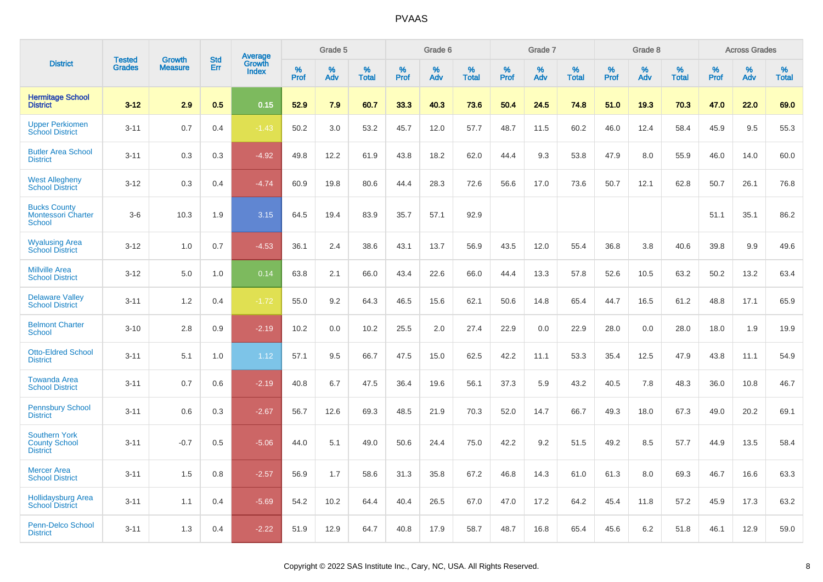|                                                                 |                                |                                 | <b>Std</b> |                                          |              | Grade 5  |                      |              | Grade 6  |                      |              | Grade 7  |                      |              | Grade 8  |                      |              | <b>Across Grades</b> |                      |
|-----------------------------------------------------------------|--------------------------------|---------------------------------|------------|------------------------------------------|--------------|----------|----------------------|--------------|----------|----------------------|--------------|----------|----------------------|--------------|----------|----------------------|--------------|----------------------|----------------------|
| <b>District</b>                                                 | <b>Tested</b><br><b>Grades</b> | <b>Growth</b><br><b>Measure</b> | Err        | <b>Average</b><br>Growth<br><b>Index</b> | $\%$<br>Prof | %<br>Adv | $\%$<br><b>Total</b> | $\%$<br>Prof | %<br>Adv | $\%$<br><b>Total</b> | $\%$<br>Prof | %<br>Adv | $\%$<br><b>Total</b> | $\%$<br>Prof | %<br>Adv | $\%$<br><b>Total</b> | $\%$<br>Prof | %<br>Adv             | $\%$<br><b>Total</b> |
| <b>Hermitage School</b><br><b>District</b>                      | $3 - 12$                       | 2.9                             | 0.5        | 0.15                                     | 52.9         | 7.9      | 60.7                 | 33.3         | 40.3     | 73.6                 | 50.4         | 24.5     | 74.8                 | 51.0         | 19.3     | 70.3                 | 47.0         | 22.0                 | 69.0                 |
| <b>Upper Perkiomen</b><br><b>School District</b>                | $3 - 11$                       | 0.7                             | 0.4        | $-1.43$                                  | 50.2         | 3.0      | 53.2                 | 45.7         | 12.0     | 57.7                 | 48.7         | 11.5     | 60.2                 | 46.0         | 12.4     | 58.4                 | 45.9         | 9.5                  | 55.3                 |
| <b>Butler Area School</b><br><b>District</b>                    | $3 - 11$                       | 0.3                             | 0.3        | $-4.92$                                  | 49.8         | 12.2     | 61.9                 | 43.8         | 18.2     | 62.0                 | 44.4         | 9.3      | 53.8                 | 47.9         | 8.0      | 55.9                 | 46.0         | 14.0                 | 60.0                 |
| <b>West Allegheny</b><br><b>School District</b>                 | $3 - 12$                       | 0.3                             | 0.4        | $-4.74$                                  | 60.9         | 19.8     | 80.6                 | 44.4         | 28.3     | 72.6                 | 56.6         | 17.0     | 73.6                 | 50.7         | 12.1     | 62.8                 | 50.7         | 26.1                 | 76.8                 |
| <b>Bucks County</b><br><b>Montessori Charter</b><br>School      | $3-6$                          | 10.3                            | 1.9        | 3.15                                     | 64.5         | 19.4     | 83.9                 | 35.7         | 57.1     | 92.9                 |              |          |                      |              |          |                      | 51.1         | 35.1                 | 86.2                 |
| <b>Wyalusing Area</b><br><b>School District</b>                 | $3 - 12$                       | 1.0                             | 0.7        | $-4.53$                                  | 36.1         | 2.4      | 38.6                 | 43.1         | 13.7     | 56.9                 | 43.5         | 12.0     | 55.4                 | 36.8         | 3.8      | 40.6                 | 39.8         | 9.9                  | 49.6                 |
| <b>Millville Area</b><br><b>School District</b>                 | $3 - 12$                       | 5.0                             | 1.0        | 0.14                                     | 63.8         | 2.1      | 66.0                 | 43.4         | 22.6     | 66.0                 | 44.4         | 13.3     | 57.8                 | 52.6         | 10.5     | 63.2                 | 50.2         | 13.2                 | 63.4                 |
| <b>Delaware Valley</b><br><b>School District</b>                | $3 - 11$                       | 1.2                             | 0.4        | $-1.72$                                  | 55.0         | 9.2      | 64.3                 | 46.5         | 15.6     | 62.1                 | 50.6         | 14.8     | 65.4                 | 44.7         | 16.5     | 61.2                 | 48.8         | 17.1                 | 65.9                 |
| <b>Belmont Charter</b><br><b>School</b>                         | $3 - 10$                       | 2.8                             | 0.9        | $-2.19$                                  | 10.2         | 0.0      | 10.2                 | 25.5         | 2.0      | 27.4                 | 22.9         | 0.0      | 22.9                 | 28.0         | 0.0      | 28.0                 | 18.0         | 1.9                  | 19.9                 |
| <b>Otto-Eldred School</b><br><b>District</b>                    | $3 - 11$                       | 5.1                             | 1.0        | 1.12                                     | 57.1         | 9.5      | 66.7                 | 47.5         | 15.0     | 62.5                 | 42.2         | 11.1     | 53.3                 | 35.4         | 12.5     | 47.9                 | 43.8         | 11.1                 | 54.9                 |
| <b>Towanda Area</b><br><b>School District</b>                   | $3 - 11$                       | 0.7                             | 0.6        | $-2.19$                                  | 40.8         | 6.7      | 47.5                 | 36.4         | 19.6     | 56.1                 | 37.3         | 5.9      | 43.2                 | 40.5         | 7.8      | 48.3                 | 36.0         | 10.8                 | 46.7                 |
| <b>Pennsbury School</b><br><b>District</b>                      | $3 - 11$                       | 0.6                             | 0.3        | $-2.67$                                  | 56.7         | 12.6     | 69.3                 | 48.5         | 21.9     | 70.3                 | 52.0         | 14.7     | 66.7                 | 49.3         | 18.0     | 67.3                 | 49.0         | 20.2                 | 69.1                 |
| <b>Southern York</b><br><b>County School</b><br><b>District</b> | $3 - 11$                       | $-0.7$                          | 0.5        | $-5.06$                                  | 44.0         | 5.1      | 49.0                 | 50.6         | 24.4     | 75.0                 | 42.2         | 9.2      | 51.5                 | 49.2         | 8.5      | 57.7                 | 44.9         | 13.5                 | 58.4                 |
| <b>Mercer Area</b><br><b>School District</b>                    | $3 - 11$                       | 1.5                             | 0.8        | $-2.57$                                  | 56.9         | 1.7      | 58.6                 | 31.3         | 35.8     | 67.2                 | 46.8         | 14.3     | 61.0                 | 61.3         | 8.0      | 69.3                 | 46.7         | 16.6                 | 63.3                 |
| <b>Hollidaysburg Area</b><br><b>School District</b>             | $3 - 11$                       | 1.1                             | 0.4        | $-5.69$                                  | 54.2         | 10.2     | 64.4                 | 40.4         | 26.5     | 67.0                 | 47.0         | 17.2     | 64.2                 | 45.4         | 11.8     | 57.2                 | 45.9         | 17.3                 | 63.2                 |
| <b>Penn-Delco School</b><br><b>District</b>                     | $3 - 11$                       | 1.3                             | 0.4        | $-2.22$                                  | 51.9         | 12.9     | 64.7                 | 40.8         | 17.9     | 58.7                 | 48.7         | 16.8     | 65.4                 | 45.6         | 6.2      | 51.8                 | 46.1         | 12.9                 | 59.0                 |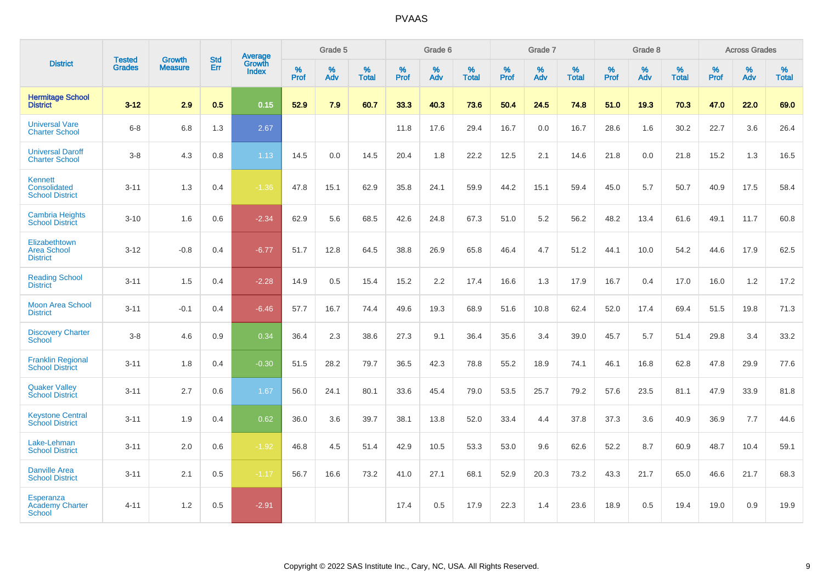|                                                             |                                |                                 | <b>Std</b> | Average                |           | Grade 5  |                   |           | Grade 6  |                   |           | Grade 7  |                   |           | Grade 8  |                   |           | <b>Across Grades</b> |                   |
|-------------------------------------------------------------|--------------------------------|---------------------------------|------------|------------------------|-----------|----------|-------------------|-----------|----------|-------------------|-----------|----------|-------------------|-----------|----------|-------------------|-----------|----------------------|-------------------|
| <b>District</b>                                             | <b>Tested</b><br><b>Grades</b> | <b>Growth</b><br><b>Measure</b> | Err        | Growth<br><b>Index</b> | %<br>Prof | %<br>Adv | %<br><b>Total</b> | %<br>Prof | %<br>Adv | %<br><b>Total</b> | %<br>Prof | %<br>Adv | %<br><b>Total</b> | %<br>Prof | %<br>Adv | %<br><b>Total</b> | %<br>Prof | %<br>Adv             | %<br><b>Total</b> |
| <b>Hermitage School</b><br><b>District</b>                  | $3 - 12$                       | 2.9                             | 0.5        | 0.15                   | 52.9      | 7.9      | 60.7              | 33.3      | 40.3     | 73.6              | 50.4      | 24.5     | 74.8              | 51.0      | 19.3     | 70.3              | 47.0      | 22.0                 | 69.0              |
| <b>Universal Vare</b><br><b>Charter School</b>              | $6 - 8$                        | 6.8                             | 1.3        | 2.67                   |           |          |                   | 11.8      | 17.6     | 29.4              | 16.7      | 0.0      | 16.7              | 28.6      | 1.6      | 30.2              | 22.7      | 3.6                  | 26.4              |
| <b>Universal Daroff</b><br><b>Charter School</b>            | $3-8$                          | 4.3                             | 0.8        | 1.13                   | 14.5      | 0.0      | 14.5              | 20.4      | 1.8      | 22.2              | 12.5      | 2.1      | 14.6              | 21.8      | 0.0      | 21.8              | 15.2      | 1.3                  | 16.5              |
| <b>Kennett</b><br>Consolidated<br><b>School District</b>    | $3 - 11$                       | 1.3                             | 0.4        | $-1.36$                | 47.8      | 15.1     | 62.9              | 35.8      | 24.1     | 59.9              | 44.2      | 15.1     | 59.4              | 45.0      | 5.7      | 50.7              | 40.9      | 17.5                 | 58.4              |
| <b>Cambria Heights</b><br><b>School District</b>            | $3 - 10$                       | 1.6                             | 0.6        | $-2.34$                | 62.9      | 5.6      | 68.5              | 42.6      | 24.8     | 67.3              | 51.0      | 5.2      | 56.2              | 48.2      | 13.4     | 61.6              | 49.1      | 11.7                 | 60.8              |
| Elizabethtown<br><b>Area School</b><br><b>District</b>      | $3 - 12$                       | $-0.8$                          | 0.4        | $-6.77$                | 51.7      | 12.8     | 64.5              | 38.8      | 26.9     | 65.8              | 46.4      | 4.7      | 51.2              | 44.1      | 10.0     | 54.2              | 44.6      | 17.9                 | 62.5              |
| <b>Reading School</b><br><b>District</b>                    | $3 - 11$                       | 1.5                             | 0.4        | $-2.28$                | 14.9      | 0.5      | 15.4              | 15.2      | 2.2      | 17.4              | 16.6      | 1.3      | 17.9              | 16.7      | 0.4      | 17.0              | 16.0      | 1.2                  | 17.2              |
| <b>Moon Area School</b><br><b>District</b>                  | $3 - 11$                       | $-0.1$                          | 0.4        | $-6.46$                | 57.7      | 16.7     | 74.4              | 49.6      | 19.3     | 68.9              | 51.6      | 10.8     | 62.4              | 52.0      | 17.4     | 69.4              | 51.5      | 19.8                 | 71.3              |
| <b>Discovery Charter</b><br>School                          | $3 - 8$                        | 4.6                             | 0.9        | 0.34                   | 36.4      | 2.3      | 38.6              | 27.3      | 9.1      | 36.4              | 35.6      | 3.4      | 39.0              | 45.7      | 5.7      | 51.4              | 29.8      | 3.4                  | 33.2              |
| <b>Franklin Regional</b><br><b>School District</b>          | $3 - 11$                       | 1.8                             | 0.4        | $-0.30$                | 51.5      | 28.2     | 79.7              | 36.5      | 42.3     | 78.8              | 55.2      | 18.9     | 74.1              | 46.1      | 16.8     | 62.8              | 47.8      | 29.9                 | 77.6              |
| <b>Quaker Valley</b><br><b>School District</b>              | $3 - 11$                       | 2.7                             | 0.6        | 1.67                   | 56.0      | 24.1     | 80.1              | 33.6      | 45.4     | 79.0              | 53.5      | 25.7     | 79.2              | 57.6      | 23.5     | 81.1              | 47.9      | 33.9                 | 81.8              |
| <b>Keystone Central</b><br><b>School District</b>           | $3 - 11$                       | 1.9                             | 0.4        | 0.62                   | 36.0      | 3.6      | 39.7              | 38.1      | 13.8     | 52.0              | 33.4      | 4.4      | 37.8              | 37.3      | 3.6      | 40.9              | 36.9      | 7.7                  | 44.6              |
| Lake-Lehman<br><b>School District</b>                       | $3 - 11$                       | 2.0                             | 0.6        | $-1.92$                | 46.8      | 4.5      | 51.4              | 42.9      | 10.5     | 53.3              | 53.0      | 9.6      | 62.6              | 52.2      | 8.7      | 60.9              | 48.7      | 10.4                 | 59.1              |
| <b>Danville Area</b><br><b>School District</b>              | $3 - 11$                       | 2.1                             | 0.5        | $-1.17$                | 56.7      | 16.6     | 73.2              | 41.0      | 27.1     | 68.1              | 52.9      | 20.3     | 73.2              | 43.3      | 21.7     | 65.0              | 46.6      | 21.7                 | 68.3              |
| <b>Esperanza</b><br><b>Academy Charter</b><br><b>School</b> | $4 - 11$                       | 1.2                             | 0.5        | $-2.91$                |           |          |                   | 17.4      | 0.5      | 17.9              | 22.3      | 1.4      | 23.6              | 18.9      | 0.5      | 19.4              | 19.0      | 0.9                  | 19.9              |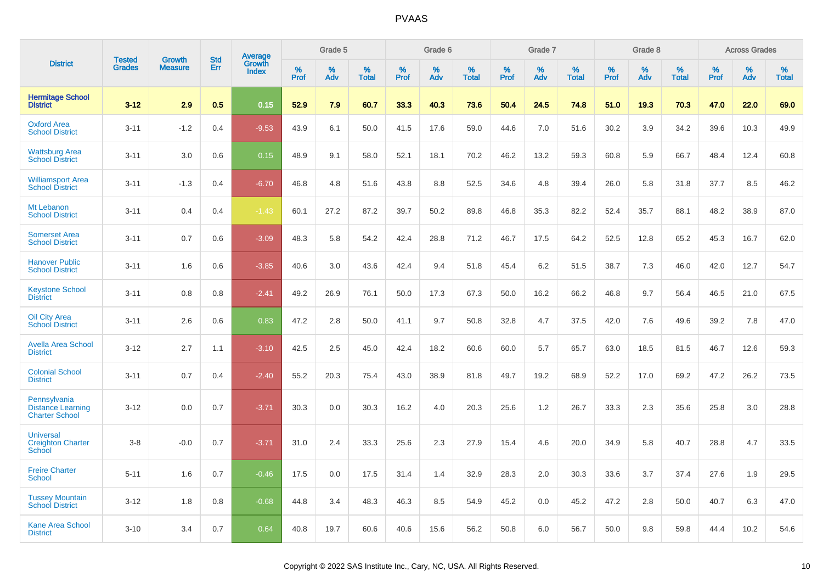|                                                                   | <b>Tested</b> |                                 | <b>Std</b> |                                          |                     | Grade 5  |                   |              | Grade 6  |                   |              | Grade 7  |                   |              | Grade 8  |                   |              | <b>Across Grades</b> |                   |
|-------------------------------------------------------------------|---------------|---------------------------------|------------|------------------------------------------|---------------------|----------|-------------------|--------------|----------|-------------------|--------------|----------|-------------------|--------------|----------|-------------------|--------------|----------------------|-------------------|
| <b>District</b>                                                   | <b>Grades</b> | <b>Growth</b><br><b>Measure</b> | Err        | <b>Average</b><br>Growth<br><b>Index</b> | $\%$<br><b>Prof</b> | %<br>Adv | %<br><b>Total</b> | $\%$<br>Prof | %<br>Adv | %<br><b>Total</b> | $\%$<br>Prof | %<br>Adv | %<br><b>Total</b> | $\%$<br>Prof | %<br>Adv | %<br><b>Total</b> | $\%$<br>Prof | %<br>Adv             | %<br><b>Total</b> |
| <b>Hermitage School</b><br><b>District</b>                        | $3 - 12$      | 2.9                             | 0.5        | 0.15                                     | 52.9                | 7.9      | 60.7              | 33.3         | 40.3     | 73.6              | 50.4         | 24.5     | 74.8              | 51.0         | 19.3     | 70.3              | 47.0         | 22.0                 | 69.0              |
| <b>Oxford Area</b><br><b>School District</b>                      | $3 - 11$      | $-1.2$                          | 0.4        | $-9.53$                                  | 43.9                | 6.1      | 50.0              | 41.5         | 17.6     | 59.0              | 44.6         | 7.0      | 51.6              | 30.2         | 3.9      | 34.2              | 39.6         | 10.3                 | 49.9              |
| <b>Wattsburg Area</b><br><b>School District</b>                   | $3 - 11$      | 3.0                             | 0.6        | 0.15                                     | 48.9                | 9.1      | 58.0              | 52.1         | 18.1     | 70.2              | 46.2         | 13.2     | 59.3              | 60.8         | 5.9      | 66.7              | 48.4         | 12.4                 | 60.8              |
| <b>Williamsport Area</b><br><b>School District</b>                | $3 - 11$      | $-1.3$                          | 0.4        | $-6.70$                                  | 46.8                | 4.8      | 51.6              | 43.8         | 8.8      | 52.5              | 34.6         | 4.8      | 39.4              | 26.0         | 5.8      | 31.8              | 37.7         | 8.5                  | 46.2              |
| Mt Lebanon<br><b>School District</b>                              | $3 - 11$      | 0.4                             | 0.4        | $-1.43$                                  | 60.1                | 27.2     | 87.2              | 39.7         | 50.2     | 89.8              | 46.8         | 35.3     | 82.2              | 52.4         | 35.7     | 88.1              | 48.2         | 38.9                 | 87.0              |
| <b>Somerset Area</b><br><b>School District</b>                    | $3 - 11$      | 0.7                             | 0.6        | $-3.09$                                  | 48.3                | 5.8      | 54.2              | 42.4         | 28.8     | 71.2              | 46.7         | 17.5     | 64.2              | 52.5         | 12.8     | 65.2              | 45.3         | 16.7                 | 62.0              |
| <b>Hanover Public</b><br><b>School District</b>                   | $3 - 11$      | 1.6                             | 0.6        | $-3.85$                                  | 40.6                | 3.0      | 43.6              | 42.4         | 9.4      | 51.8              | 45.4         | 6.2      | 51.5              | 38.7         | 7.3      | 46.0              | 42.0         | 12.7                 | 54.7              |
| <b>Keystone School</b><br><b>District</b>                         | $3 - 11$      | 0.8                             | 0.8        | $-2.41$                                  | 49.2                | 26.9     | 76.1              | 50.0         | 17.3     | 67.3              | 50.0         | 16.2     | 66.2              | 46.8         | 9.7      | 56.4              | 46.5         | 21.0                 | 67.5              |
| <b>Oil City Area</b><br><b>School District</b>                    | $3 - 11$      | 2.6                             | 0.6        | 0.83                                     | 47.2                | 2.8      | 50.0              | 41.1         | 9.7      | 50.8              | 32.8         | 4.7      | 37.5              | 42.0         | 7.6      | 49.6              | 39.2         | 7.8                  | 47.0              |
| <b>Avella Area School</b><br><b>District</b>                      | $3 - 12$      | 2.7                             | 1.1        | $-3.10$                                  | 42.5                | 2.5      | 45.0              | 42.4         | 18.2     | 60.6              | 60.0         | 5.7      | 65.7              | 63.0         | 18.5     | 81.5              | 46.7         | 12.6                 | 59.3              |
| <b>Colonial School</b><br><b>District</b>                         | $3 - 11$      | 0.7                             | 0.4        | $-2.40$                                  | 55.2                | 20.3     | 75.4              | 43.0         | 38.9     | 81.8              | 49.7         | 19.2     | 68.9              | 52.2         | 17.0     | 69.2              | 47.2         | 26.2                 | 73.5              |
| Pennsylvania<br><b>Distance Learning</b><br><b>Charter School</b> | $3 - 12$      | 0.0                             | 0.7        | $-3.71$                                  | 30.3                | 0.0      | 30.3              | 16.2         | 4.0      | 20.3              | 25.6         | 1.2      | 26.7              | 33.3         | 2.3      | 35.6              | 25.8         | 3.0                  | 28.8              |
| <b>Universal</b><br><b>Creighton Charter</b><br>School            | $3-8$         | $-0.0$                          | 0.7        | $-3.71$                                  | 31.0                | 2.4      | 33.3              | 25.6         | 2.3      | 27.9              | 15.4         | 4.6      | 20.0              | 34.9         | 5.8      | 40.7              | 28.8         | 4.7                  | 33.5              |
| <b>Freire Charter</b><br><b>School</b>                            | $5 - 11$      | 1.6                             | 0.7        | $-0.46$                                  | 17.5                | 0.0      | 17.5              | 31.4         | 1.4      | 32.9              | 28.3         | 2.0      | 30.3              | 33.6         | 3.7      | 37.4              | 27.6         | 1.9                  | 29.5              |
| <b>Tussey Mountain</b><br><b>School District</b>                  | $3 - 12$      | 1.8                             | 0.8        | $-0.68$                                  | 44.8                | 3.4      | 48.3              | 46.3         | 8.5      | 54.9              | 45.2         | 0.0      | 45.2              | 47.2         | 2.8      | 50.0              | 40.7         | 6.3                  | 47.0              |
| <b>Kane Area School</b><br><b>District</b>                        | $3 - 10$      | 3.4                             | 0.7        | 0.64                                     | 40.8                | 19.7     | 60.6              | 40.6         | 15.6     | 56.2              | 50.8         | 6.0      | 56.7              | 50.0         | 9.8      | 59.8              | 44.4         | 10.2                 | 54.6              |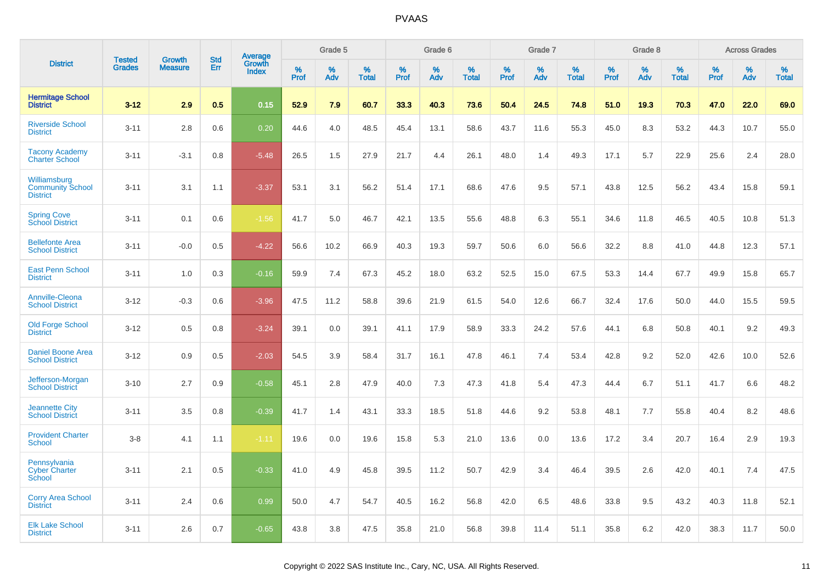|                                                            | <b>Tested</b> | <b>Growth</b>  | <b>Std</b> | Average                |              | Grade 5  |                   |              | Grade 6  |                   |              | Grade 7  |                   |              | Grade 8  |                   |              | <b>Across Grades</b> |                   |
|------------------------------------------------------------|---------------|----------------|------------|------------------------|--------------|----------|-------------------|--------------|----------|-------------------|--------------|----------|-------------------|--------------|----------|-------------------|--------------|----------------------|-------------------|
| <b>District</b>                                            | <b>Grades</b> | <b>Measure</b> | Err        | Growth<br><b>Index</b> | $\%$<br>Prof | %<br>Adv | %<br><b>Total</b> | $\%$<br>Prof | %<br>Adv | %<br><b>Total</b> | $\%$<br>Prof | %<br>Adv | %<br><b>Total</b> | $\%$<br>Prof | %<br>Adv | %<br><b>Total</b> | $\%$<br>Prof | %<br>Adv             | %<br><b>Total</b> |
| <b>Hermitage School</b><br><b>District</b>                 | $3 - 12$      | 2.9            | 0.5        | 0.15                   | 52.9         | 7.9      | 60.7              | 33.3         | 40.3     | 73.6              | 50.4         | 24.5     | 74.8              | 51.0         | 19.3     | 70.3              | 47.0         | 22.0                 | 69.0              |
| <b>Riverside School</b><br><b>District</b>                 | $3 - 11$      | 2.8            | 0.6        | 0.20                   | 44.6         | 4.0      | 48.5              | 45.4         | 13.1     | 58.6              | 43.7         | 11.6     | 55.3              | 45.0         | 8.3      | 53.2              | 44.3         | 10.7                 | 55.0              |
| <b>Tacony Academy</b><br><b>Charter School</b>             | $3 - 11$      | $-3.1$         | 0.8        | $-5.48$                | 26.5         | 1.5      | 27.9              | 21.7         | 4.4      | 26.1              | 48.0         | 1.4      | 49.3              | 17.1         | 5.7      | 22.9              | 25.6         | 2.4                  | 28.0              |
| Williamsburg<br><b>Community School</b><br><b>District</b> | $3 - 11$      | 3.1            | 1.1        | $-3.37$                | 53.1         | 3.1      | 56.2              | 51.4         | 17.1     | 68.6              | 47.6         | 9.5      | 57.1              | 43.8         | 12.5     | 56.2              | 43.4         | 15.8                 | 59.1              |
| <b>Spring Cove</b><br>School District                      | $3 - 11$      | 0.1            | 0.6        | $-1.56$                | 41.7         | 5.0      | 46.7              | 42.1         | 13.5     | 55.6              | 48.8         | 6.3      | 55.1              | 34.6         | 11.8     | 46.5              | 40.5         | 10.8                 | 51.3              |
| <b>Bellefonte Area</b><br><b>School District</b>           | $3 - 11$      | $-0.0$         | 0.5        | $-4.22$                | 56.6         | 10.2     | 66.9              | 40.3         | 19.3     | 59.7              | 50.6         | 6.0      | 56.6              | 32.2         | 8.8      | 41.0              | 44.8         | 12.3                 | 57.1              |
| <b>East Penn School</b><br><b>District</b>                 | $3 - 11$      | 1.0            | 0.3        | $-0.16$                | 59.9         | 7.4      | 67.3              | 45.2         | 18.0     | 63.2              | 52.5         | 15.0     | 67.5              | 53.3         | 14.4     | 67.7              | 49.9         | 15.8                 | 65.7              |
| <b>Annville-Cleona</b><br><b>School District</b>           | $3 - 12$      | $-0.3$         | 0.6        | $-3.96$                | 47.5         | 11.2     | 58.8              | 39.6         | 21.9     | 61.5              | 54.0         | 12.6     | 66.7              | 32.4         | 17.6     | 50.0              | 44.0         | 15.5                 | 59.5              |
| <b>Old Forge School</b><br><b>District</b>                 | $3 - 12$      | 0.5            | 0.8        | $-3.24$                | 39.1         | 0.0      | 39.1              | 41.1         | 17.9     | 58.9              | 33.3         | 24.2     | 57.6              | 44.1         | 6.8      | 50.8              | 40.1         | 9.2                  | 49.3              |
| <b>Daniel Boone Area</b><br><b>School District</b>         | $3 - 12$      | 0.9            | 0.5        | $-2.03$                | 54.5         | 3.9      | 58.4              | 31.7         | 16.1     | 47.8              | 46.1         | 7.4      | 53.4              | 42.8         | 9.2      | 52.0              | 42.6         | 10.0                 | 52.6              |
| Jefferson-Morgan<br><b>School District</b>                 | $3 - 10$      | 2.7            | 0.9        | $-0.58$                | 45.1         | 2.8      | 47.9              | 40.0         | 7.3      | 47.3              | 41.8         | 5.4      | 47.3              | 44.4         | 6.7      | 51.1              | 41.7         | 6.6                  | 48.2              |
| <b>Jeannette City</b><br><b>School District</b>            | $3 - 11$      | 3.5            | 0.8        | $-0.39$                | 41.7         | 1.4      | 43.1              | 33.3         | 18.5     | 51.8              | 44.6         | 9.2      | 53.8              | 48.1         | 7.7      | 55.8              | 40.4         | 8.2                  | 48.6              |
| <b>Provident Charter</b><br><b>School</b>                  | $3 - 8$       | 4.1            | 1.1        | $-1.11$                | 19.6         | 0.0      | 19.6              | 15.8         | 5.3      | 21.0              | 13.6         | 0.0      | 13.6              | 17.2         | 3.4      | 20.7              | 16.4         | 2.9                  | 19.3              |
| Pennsylvania<br><b>Cyber Charter</b><br>School             | $3 - 11$      | 2.1            | 0.5        | $-0.33$                | 41.0         | 4.9      | 45.8              | 39.5         | 11.2     | 50.7              | 42.9         | 3.4      | 46.4              | 39.5         | 2.6      | 42.0              | 40.1         | 7.4                  | 47.5              |
| <b>Corry Area School</b><br><b>District</b>                | $3 - 11$      | 2.4            | 0.6        | 0.99                   | 50.0         | 4.7      | 54.7              | 40.5         | 16.2     | 56.8              | 42.0         | 6.5      | 48.6              | 33.8         | 9.5      | 43.2              | 40.3         | 11.8                 | 52.1              |
| <b>Elk Lake School</b><br><b>District</b>                  | $3 - 11$      | 2.6            | 0.7        | $-0.65$                | 43.8         | 3.8      | 47.5              | 35.8         | 21.0     | 56.8              | 39.8         | 11.4     | 51.1              | 35.8         | 6.2      | 42.0              | 38.3         | 11.7                 | 50.0              |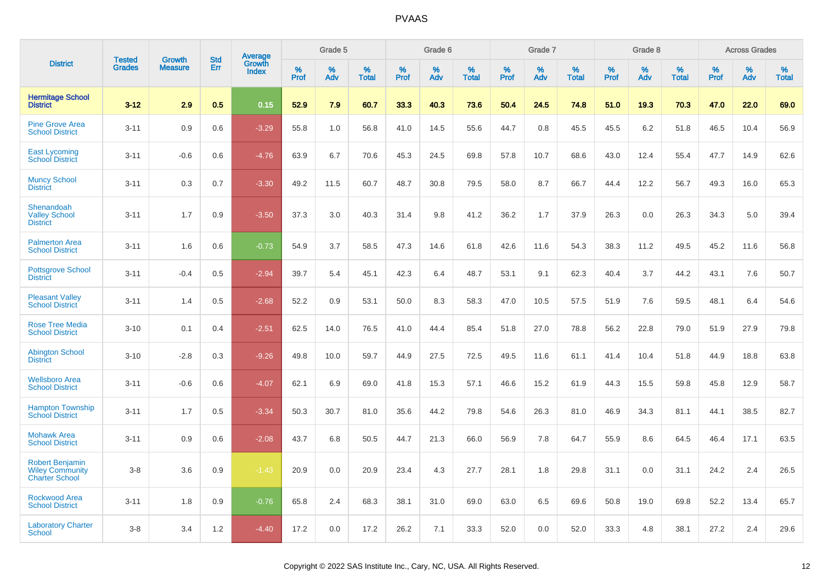|                                                                           | <b>Tested</b> | <b>Growth</b>  | <b>Std</b> | Average                |              | Grade 5  |                   |              | Grade 6  |                   |              | Grade 7  |                   |              | Grade 8  |                   |           | <b>Across Grades</b> |                   |
|---------------------------------------------------------------------------|---------------|----------------|------------|------------------------|--------------|----------|-------------------|--------------|----------|-------------------|--------------|----------|-------------------|--------------|----------|-------------------|-----------|----------------------|-------------------|
| <b>District</b>                                                           | <b>Grades</b> | <b>Measure</b> | Err        | Growth<br><b>Index</b> | $\%$<br>Prof | %<br>Adv | %<br><b>Total</b> | $\%$<br>Prof | %<br>Adv | %<br><b>Total</b> | $\%$<br>Prof | %<br>Adv | %<br><b>Total</b> | $\%$<br>Prof | %<br>Adv | %<br><b>Total</b> | %<br>Prof | $\%$<br>Adv          | %<br><b>Total</b> |
| <b>Hermitage School</b><br><b>District</b>                                | $3 - 12$      | 2.9            | 0.5        | 0.15                   | 52.9         | 7.9      | 60.7              | 33.3         | 40.3     | 73.6              | 50.4         | 24.5     | 74.8              | 51.0         | 19.3     | 70.3              | 47.0      | 22.0                 | 69.0              |
| <b>Pine Grove Area</b><br><b>School District</b>                          | $3 - 11$      | 0.9            | 0.6        | $-3.29$                | 55.8         | 1.0      | 56.8              | 41.0         | 14.5     | 55.6              | 44.7         | 0.8      | 45.5              | 45.5         | 6.2      | 51.8              | 46.5      | 10.4                 | 56.9              |
| <b>East Lycoming</b><br><b>School District</b>                            | $3 - 11$      | $-0.6$         | 0.6        | $-4.76$                | 63.9         | 6.7      | 70.6              | 45.3         | 24.5     | 69.8              | 57.8         | 10.7     | 68.6              | 43.0         | 12.4     | 55.4              | 47.7      | 14.9                 | 62.6              |
| <b>Muncy School</b><br><b>District</b>                                    | $3 - 11$      | 0.3            | 0.7        | $-3.30$                | 49.2         | 11.5     | 60.7              | 48.7         | 30.8     | 79.5              | 58.0         | 8.7      | 66.7              | 44.4         | 12.2     | 56.7              | 49.3      | 16.0                 | 65.3              |
| Shenandoah<br><b>Valley School</b><br><b>District</b>                     | $3 - 11$      | 1.7            | 0.9        | $-3.50$                | 37.3         | 3.0      | 40.3              | 31.4         | 9.8      | 41.2              | 36.2         | 1.7      | 37.9              | 26.3         | 0.0      | 26.3              | 34.3      | 5.0                  | 39.4              |
| <b>Palmerton Area</b><br><b>School District</b>                           | $3 - 11$      | 1.6            | 0.6        | $-0.73$                | 54.9         | 3.7      | 58.5              | 47.3         | 14.6     | 61.8              | 42.6         | 11.6     | 54.3              | 38.3         | 11.2     | 49.5              | 45.2      | 11.6                 | 56.8              |
| <b>Pottsgrove School</b><br><b>District</b>                               | $3 - 11$      | $-0.4$         | 0.5        | $-2.94$                | 39.7         | 5.4      | 45.1              | 42.3         | 6.4      | 48.7              | 53.1         | 9.1      | 62.3              | 40.4         | 3.7      | 44.2              | 43.1      | 7.6                  | 50.7              |
| <b>Pleasant Valley</b><br><b>School District</b>                          | $3 - 11$      | 1.4            | 0.5        | $-2.68$                | 52.2         | 0.9      | 53.1              | 50.0         | 8.3      | 58.3              | 47.0         | 10.5     | 57.5              | 51.9         | 7.6      | 59.5              | 48.1      | 6.4                  | 54.6              |
| <b>Rose Tree Media</b><br><b>School District</b>                          | $3 - 10$      | 0.1            | 0.4        | $-2.51$                | 62.5         | 14.0     | 76.5              | 41.0         | 44.4     | 85.4              | 51.8         | 27.0     | 78.8              | 56.2         | 22.8     | 79.0              | 51.9      | 27.9                 | 79.8              |
| <b>Abington School</b><br><b>District</b>                                 | $3 - 10$      | $-2.8$         | 0.3        | $-9.26$                | 49.8         | 10.0     | 59.7              | 44.9         | 27.5     | 72.5              | 49.5         | 11.6     | 61.1              | 41.4         | 10.4     | 51.8              | 44.9      | 18.8                 | 63.8              |
| <b>Wellsboro Area</b><br><b>School District</b>                           | $3 - 11$      | $-0.6$         | 0.6        | $-4.07$                | 62.1         | 6.9      | 69.0              | 41.8         | 15.3     | 57.1              | 46.6         | 15.2     | 61.9              | 44.3         | 15.5     | 59.8              | 45.8      | 12.9                 | 58.7              |
| <b>Hampton Township</b><br><b>School District</b>                         | $3 - 11$      | 1.7            | 0.5        | $-3.34$                | 50.3         | 30.7     | 81.0              | 35.6         | 44.2     | 79.8              | 54.6         | 26.3     | 81.0              | 46.9         | 34.3     | 81.1              | 44.1      | 38.5                 | 82.7              |
| <b>Mohawk Area</b><br><b>School District</b>                              | $3 - 11$      | 0.9            | 0.6        | $-2.08$                | 43.7         | 6.8      | 50.5              | 44.7         | 21.3     | 66.0              | 56.9         | 7.8      | 64.7              | 55.9         | 8.6      | 64.5              | 46.4      | 17.1                 | 63.5              |
| <b>Robert Benjamin</b><br><b>Wiley Community</b><br><b>Charter School</b> | $3 - 8$       | 3.6            | 0.9        | $-1.43$                | 20.9         | 0.0      | 20.9              | 23.4         | 4.3      | 27.7              | 28.1         | 1.8      | 29.8              | 31.1         | 0.0      | 31.1              | 24.2      | 2.4                  | 26.5              |
| <b>Rockwood Area</b><br><b>School District</b>                            | $3 - 11$      | 1.8            | 0.9        | $-0.76$                | 65.8         | 2.4      | 68.3              | 38.1         | 31.0     | 69.0              | 63.0         | 6.5      | 69.6              | 50.8         | 19.0     | 69.8              | 52.2      | 13.4                 | 65.7              |
| <b>Laboratory Charter</b><br><b>School</b>                                | $3 - 8$       | 3.4            | 1.2        | $-4.40$                | 17.2         | 0.0      | 17.2              | 26.2         | 7.1      | 33.3              | 52.0         | 0.0      | 52.0              | 33.3         | 4.8      | 38.1              | 27.2      | 2.4                  | 29.6              |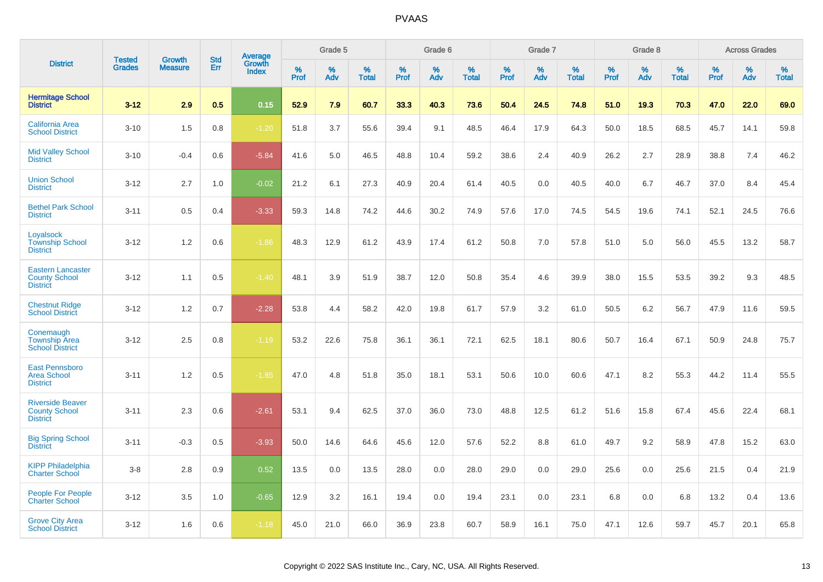|                                                                     |                                |                                 | <b>Std</b> | Average                |           | Grade 5  |                   |           | Grade 6  |                   |           | Grade 7  |                   |           | Grade 8  |                   |           | <b>Across Grades</b> |                   |
|---------------------------------------------------------------------|--------------------------------|---------------------------------|------------|------------------------|-----------|----------|-------------------|-----------|----------|-------------------|-----------|----------|-------------------|-----------|----------|-------------------|-----------|----------------------|-------------------|
| <b>District</b>                                                     | <b>Tested</b><br><b>Grades</b> | <b>Growth</b><br><b>Measure</b> | Err        | Growth<br><b>Index</b> | %<br>Prof | %<br>Adv | %<br><b>Total</b> | %<br>Prof | %<br>Adv | %<br><b>Total</b> | %<br>Prof | %<br>Adv | %<br><b>Total</b> | %<br>Prof | %<br>Adv | %<br><b>Total</b> | %<br>Prof | $\%$<br>Adv          | %<br><b>Total</b> |
| <b>Hermitage School</b><br><b>District</b>                          | $3 - 12$                       | 2.9                             | 0.5        | 0.15                   | 52.9      | 7.9      | 60.7              | 33.3      | 40.3     | 73.6              | 50.4      | 24.5     | 74.8              | 51.0      | 19.3     | 70.3              | 47.0      | 22.0                 | 69.0              |
| <b>California Area</b><br><b>School District</b>                    | $3 - 10$                       | 1.5                             | 0.8        | $-1.20$                | 51.8      | 3.7      | 55.6              | 39.4      | 9.1      | 48.5              | 46.4      | 17.9     | 64.3              | 50.0      | 18.5     | 68.5              | 45.7      | 14.1                 | 59.8              |
| <b>Mid Valley School</b><br><b>District</b>                         | $3 - 10$                       | $-0.4$                          | 0.6        | $-5.84$                | 41.6      | 5.0      | 46.5              | 48.8      | 10.4     | 59.2              | 38.6      | 2.4      | 40.9              | 26.2      | 2.7      | 28.9              | 38.8      | 7.4                  | 46.2              |
| <b>Union School</b><br><b>District</b>                              | $3 - 12$                       | 2.7                             | 1.0        | $-0.02$                | 21.2      | 6.1      | 27.3              | 40.9      | 20.4     | 61.4              | 40.5      | 0.0      | 40.5              | 40.0      | 6.7      | 46.7              | 37.0      | 8.4                  | 45.4              |
| <b>Bethel Park School</b><br><b>District</b>                        | $3 - 11$                       | 0.5                             | 0.4        | $-3.33$                | 59.3      | 14.8     | 74.2              | 44.6      | 30.2     | 74.9              | 57.6      | 17.0     | 74.5              | 54.5      | 19.6     | 74.1              | 52.1      | 24.5                 | 76.6              |
| Loyalsock<br><b>Township School</b><br><b>District</b>              | $3 - 12$                       | 1.2                             | 0.6        | $-1.86$                | 48.3      | 12.9     | 61.2              | 43.9      | 17.4     | 61.2              | 50.8      | 7.0      | 57.8              | 51.0      | 5.0      | 56.0              | 45.5      | 13.2                 | 58.7              |
| <b>Eastern Lancaster</b><br><b>County School</b><br><b>District</b> | $3 - 12$                       | 1.1                             | 0.5        | $-1.40$                | 48.1      | 3.9      | 51.9              | 38.7      | 12.0     | 50.8              | 35.4      | 4.6      | 39.9              | 38.0      | 15.5     | 53.5              | 39.2      | 9.3                  | 48.5              |
| <b>Chestnut Ridge</b><br><b>School District</b>                     | $3 - 12$                       | 1.2                             | 0.7        | $-2.28$                | 53.8      | 4.4      | 58.2              | 42.0      | 19.8     | 61.7              | 57.9      | 3.2      | 61.0              | 50.5      | 6.2      | 56.7              | 47.9      | 11.6                 | 59.5              |
| Conemaugh<br><b>Township Area</b><br><b>School District</b>         | $3 - 12$                       | 2.5                             | 0.8        | $-1.19$                | 53.2      | 22.6     | 75.8              | 36.1      | 36.1     | 72.1              | 62.5      | 18.1     | 80.6              | 50.7      | 16.4     | 67.1              | 50.9      | 24.8                 | 75.7              |
| <b>East Pennsboro</b><br><b>Area School</b><br><b>District</b>      | $3 - 11$                       | 1.2                             | 0.5        | $-1.85$                | 47.0      | 4.8      | 51.8              | 35.0      | 18.1     | 53.1              | 50.6      | 10.0     | 60.6              | 47.1      | 8.2      | 55.3              | 44.2      | 11.4                 | 55.5              |
| <b>Riverside Beaver</b><br><b>County School</b><br><b>District</b>  | $3 - 11$                       | 2.3                             | 0.6        | $-2.61$                | 53.1      | 9.4      | 62.5              | 37.0      | 36.0     | 73.0              | 48.8      | 12.5     | 61.2              | 51.6      | 15.8     | 67.4              | 45.6      | 22.4                 | 68.1              |
| <b>Big Spring School</b><br><b>District</b>                         | $3 - 11$                       | $-0.3$                          | 0.5        | $-3.93$                | 50.0      | 14.6     | 64.6              | 45.6      | 12.0     | 57.6              | 52.2      | 8.8      | 61.0              | 49.7      | 9.2      | 58.9              | 47.8      | 15.2                 | 63.0              |
| <b>KIPP Philadelphia</b><br><b>Charter School</b>                   | $3 - 8$                        | 2.8                             | 0.9        | 0.52                   | 13.5      | 0.0      | 13.5              | 28.0      | 0.0      | 28.0              | 29.0      | 0.0      | 29.0              | 25.6      | 0.0      | 25.6              | 21.5      | 0.4                  | 21.9              |
| <b>People For People</b><br><b>Charter School</b>                   | $3 - 12$                       | 3.5                             | 1.0        | $-0.65$                | 12.9      | 3.2      | 16.1              | 19.4      | 0.0      | 19.4              | 23.1      | 0.0      | 23.1              | 6.8       | 0.0      | 6.8               | 13.2      | 0.4                  | 13.6              |
| <b>Grove City Area</b><br><b>School District</b>                    | $3 - 12$                       | 1.6                             | 0.6        | $-1.18$                | 45.0      | 21.0     | 66.0              | 36.9      | 23.8     | 60.7              | 58.9      | 16.1     | 75.0              | 47.1      | 12.6     | 59.7              | 45.7      | 20.1                 | 65.8              |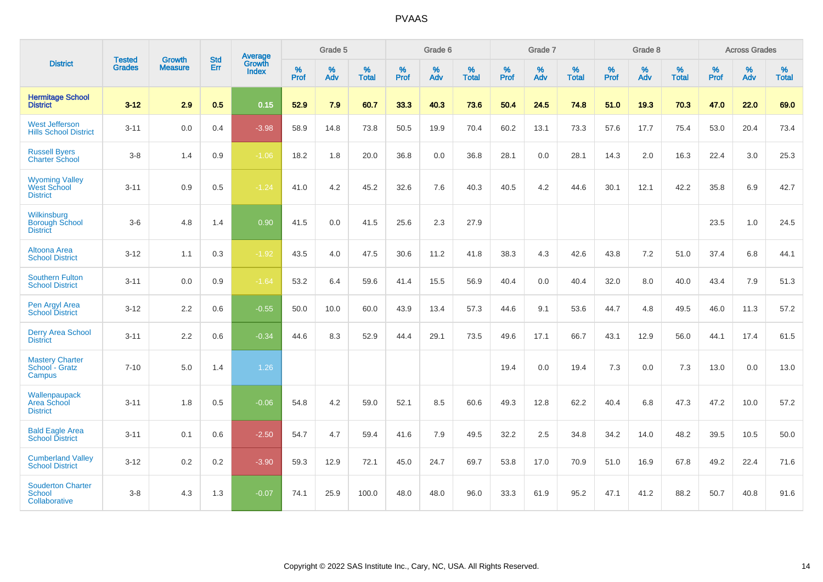|                                                                |                                |                                 | <b>Std</b> | Average                |                     | Grade 5  |                   |                     | Grade 6  |                   |              | Grade 7  |                   |              | Grade 8  |                   |                     | <b>Across Grades</b> |                   |
|----------------------------------------------------------------|--------------------------------|---------------------------------|------------|------------------------|---------------------|----------|-------------------|---------------------|----------|-------------------|--------------|----------|-------------------|--------------|----------|-------------------|---------------------|----------------------|-------------------|
| <b>District</b>                                                | <b>Tested</b><br><b>Grades</b> | <b>Growth</b><br><b>Measure</b> | Err        | Growth<br><b>Index</b> | $\%$<br><b>Prof</b> | %<br>Adv | %<br><b>Total</b> | $\%$<br><b>Prof</b> | %<br>Adv | %<br><b>Total</b> | $\%$<br>Prof | %<br>Adv | %<br><b>Total</b> | $\%$<br>Prof | %<br>Adv | %<br><b>Total</b> | $\%$<br><b>Prof</b> | %<br>Adv             | %<br><b>Total</b> |
| <b>Hermitage School</b><br><b>District</b>                     | $3 - 12$                       | 2.9                             | 0.5        | 0.15                   | 52.9                | 7.9      | 60.7              | 33.3                | 40.3     | 73.6              | 50.4         | 24.5     | 74.8              | 51.0         | 19.3     | 70.3              | 47.0                | 22.0                 | 69.0              |
| <b>West Jefferson</b><br><b>Hills School District</b>          | $3 - 11$                       | 0.0                             | 0.4        | $-3.98$                | 58.9                | 14.8     | 73.8              | 50.5                | 19.9     | 70.4              | 60.2         | 13.1     | 73.3              | 57.6         | 17.7     | 75.4              | 53.0                | 20.4                 | 73.4              |
| <b>Russell Byers</b><br><b>Charter School</b>                  | $3 - 8$                        | 1.4                             | 0.9        | $-1.06$                | 18.2                | 1.8      | 20.0              | 36.8                | 0.0      | 36.8              | 28.1         | 0.0      | 28.1              | 14.3         | 2.0      | 16.3              | 22.4                | 3.0                  | 25.3              |
| <b>Wyoming Valley</b><br><b>West School</b><br><b>District</b> | $3 - 11$                       | 0.9                             | 0.5        | $-1.24$                | 41.0                | 4.2      | 45.2              | 32.6                | 7.6      | 40.3              | 40.5         | 4.2      | 44.6              | 30.1         | 12.1     | 42.2              | 35.8                | 6.9                  | 42.7              |
| Wilkinsburg<br><b>Borough School</b><br><b>District</b>        | $3-6$                          | 4.8                             | 1.4        | 0.90                   | 41.5                | 0.0      | 41.5              | 25.6                | 2.3      | 27.9              |              |          |                   |              |          |                   | 23.5                | 1.0                  | 24.5              |
| Altoona Area<br><b>School District</b>                         | $3-12$                         | 1.1                             | 0.3        | $-1.92$                | 43.5                | 4.0      | 47.5              | 30.6                | 11.2     | 41.8              | 38.3         | 4.3      | 42.6              | 43.8         | 7.2      | 51.0              | 37.4                | 6.8                  | 44.1              |
| <b>Southern Fulton</b><br><b>School District</b>               | $3 - 11$                       | 0.0                             | 0.9        | $-1.64$                | 53.2                | 6.4      | 59.6              | 41.4                | 15.5     | 56.9              | 40.4         | 0.0      | 40.4              | 32.0         | 8.0      | 40.0              | 43.4                | 7.9                  | 51.3              |
| Pen Argyl Area<br><b>School District</b>                       | $3 - 12$                       | 2.2                             | 0.6        | $-0.55$                | 50.0                | 10.0     | 60.0              | 43.9                | 13.4     | 57.3              | 44.6         | 9.1      | 53.6              | 44.7         | 4.8      | 49.5              | 46.0                | 11.3                 | 57.2              |
| <b>Derry Area School</b><br><b>District</b>                    | $3 - 11$                       | 2.2                             | 0.6        | $-0.34$                | 44.6                | 8.3      | 52.9              | 44.4                | 29.1     | 73.5              | 49.6         | 17.1     | 66.7              | 43.1         | 12.9     | 56.0              | 44.1                | 17.4                 | 61.5              |
| <b>Mastery Charter</b><br>School - Gratz<br>Campus             | $7 - 10$                       | 5.0                             | 1.4        | 1.26                   |                     |          |                   |                     |          |                   | 19.4         | 0.0      | 19.4              | 7.3          | 0.0      | 7.3               | 13.0                | 0.0                  | 13.0              |
| Wallenpaupack<br>Area School<br><b>District</b>                | $3 - 11$                       | 1.8                             | 0.5        | $-0.06$                | 54.8                | 4.2      | 59.0              | 52.1                | 8.5      | 60.6              | 49.3         | 12.8     | 62.2              | 40.4         | 6.8      | 47.3              | 47.2                | 10.0                 | 57.2              |
| <b>Bald Eagle Area</b><br><b>School District</b>               | $3 - 11$                       | 0.1                             | 0.6        | $-2.50$                | 54.7                | 4.7      | 59.4              | 41.6                | 7.9      | 49.5              | 32.2         | 2.5      | 34.8              | 34.2         | 14.0     | 48.2              | 39.5                | 10.5                 | 50.0              |
| <b>Cumberland Valley</b><br><b>School District</b>             | $3 - 12$                       | $0.2\,$                         | 0.2        | $-3.90$                | 59.3                | 12.9     | 72.1              | 45.0                | 24.7     | 69.7              | 53.8         | 17.0     | 70.9              | 51.0         | 16.9     | 67.8              | 49.2                | 22.4                 | 71.6              |
| <b>Souderton Charter</b><br><b>School</b><br>Collaborative     | $3 - 8$                        | 4.3                             | 1.3        | $-0.07$                | 74.1                | 25.9     | 100.0             | 48.0                | 48.0     | 96.0              | 33.3         | 61.9     | 95.2              | 47.1         | 41.2     | 88.2              | 50.7                | 40.8                 | 91.6              |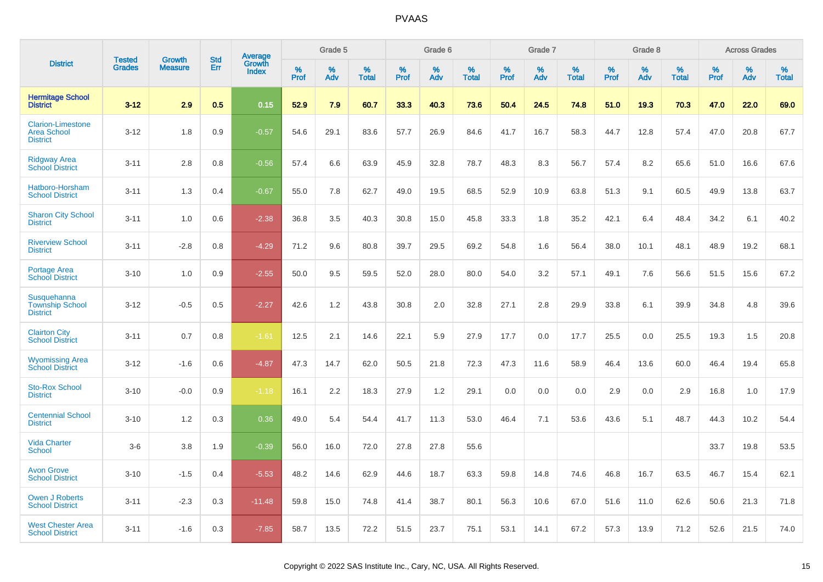|                                                                   | <b>Tested</b> | <b>Growth</b>  | <b>Std</b> | Average                |              | Grade 5  |                   |              | Grade 6  |                   |              | Grade 7  |                   |              | Grade 8  |                   |              | <b>Across Grades</b> |                   |
|-------------------------------------------------------------------|---------------|----------------|------------|------------------------|--------------|----------|-------------------|--------------|----------|-------------------|--------------|----------|-------------------|--------------|----------|-------------------|--------------|----------------------|-------------------|
| <b>District</b>                                                   | <b>Grades</b> | <b>Measure</b> | Err        | Growth<br><b>Index</b> | $\%$<br>Prof | %<br>Adv | %<br><b>Total</b> | $\%$<br>Prof | %<br>Adv | %<br><b>Total</b> | $\%$<br>Prof | %<br>Adv | %<br><b>Total</b> | $\%$<br>Prof | %<br>Adv | %<br><b>Total</b> | $\%$<br>Prof | %<br>Adv             | %<br><b>Total</b> |
| <b>Hermitage School</b><br><b>District</b>                        | $3 - 12$      | 2.9            | 0.5        | 0.15                   | 52.9         | 7.9      | 60.7              | 33.3         | 40.3     | 73.6              | 50.4         | 24.5     | 74.8              | 51.0         | 19.3     | 70.3              | 47.0         | 22.0                 | 69.0              |
| <b>Clarion-Limestone</b><br><b>Area School</b><br><b>District</b> | $3 - 12$      | 1.8            | 0.9        | $-0.57$                | 54.6         | 29.1     | 83.6              | 57.7         | 26.9     | 84.6              | 41.7         | 16.7     | 58.3              | 44.7         | 12.8     | 57.4              | 47.0         | 20.8                 | 67.7              |
| <b>Ridgway Area</b><br><b>School District</b>                     | $3 - 11$      | 2.8            | 0.8        | $-0.56$                | 57.4         | 6.6      | 63.9              | 45.9         | 32.8     | 78.7              | 48.3         | 8.3      | 56.7              | 57.4         | 8.2      | 65.6              | 51.0         | 16.6                 | 67.6              |
| Hatboro-Horsham<br><b>School District</b>                         | $3 - 11$      | 1.3            | 0.4        | $-0.67$                | 55.0         | 7.8      | 62.7              | 49.0         | 19.5     | 68.5              | 52.9         | 10.9     | 63.8              | 51.3         | 9.1      | 60.5              | 49.9         | 13.8                 | 63.7              |
| <b>Sharon City School</b><br><b>District</b>                      | $3 - 11$      | 1.0            | 0.6        | $-2.38$                | 36.8         | 3.5      | 40.3              | 30.8         | 15.0     | 45.8              | 33.3         | 1.8      | 35.2              | 42.1         | 6.4      | 48.4              | 34.2         | 6.1                  | 40.2              |
| <b>Riverview School</b><br><b>District</b>                        | $3 - 11$      | $-2.8$         | 0.8        | $-4.29$                | 71.2         | 9.6      | 80.8              | 39.7         | 29.5     | 69.2              | 54.8         | 1.6      | 56.4              | 38.0         | 10.1     | 48.1              | 48.9         | 19.2                 | 68.1              |
| <b>Portage Area</b><br><b>School District</b>                     | $3 - 10$      | 1.0            | 0.9        | $-2.55$                | 50.0         | 9.5      | 59.5              | 52.0         | 28.0     | 80.0              | 54.0         | 3.2      | 57.1              | 49.1         | 7.6      | 56.6              | 51.5         | 15.6                 | 67.2              |
| Susquehanna<br><b>Township School</b><br><b>District</b>          | $3 - 12$      | $-0.5$         | 0.5        | $-2.27$                | 42.6         | 1.2      | 43.8              | 30.8         | 2.0      | 32.8              | 27.1         | 2.8      | 29.9              | 33.8         | 6.1      | 39.9              | 34.8         | 4.8                  | 39.6              |
| <b>Clairton City</b><br><b>School District</b>                    | $3 - 11$      | 0.7            | 0.8        | $-1.61$                | 12.5         | 2.1      | 14.6              | 22.1         | 5.9      | 27.9              | 17.7         | 0.0      | 17.7              | 25.5         | 0.0      | 25.5              | 19.3         | 1.5                  | 20.8              |
| <b>Wyomissing Area</b><br><b>School District</b>                  | $3 - 12$      | $-1.6$         | 0.6        | $-4.87$                | 47.3         | 14.7     | 62.0              | 50.5         | 21.8     | 72.3              | 47.3         | 11.6     | 58.9              | 46.4         | 13.6     | 60.0              | 46.4         | 19.4                 | 65.8              |
| <b>Sto-Rox School</b><br><b>District</b>                          | $3 - 10$      | $-0.0$         | 0.9        | $-1.18$                | 16.1         | 2.2      | 18.3              | 27.9         | 1.2      | 29.1              | 0.0          | 0.0      | 0.0               | 2.9          | 0.0      | 2.9               | 16.8         | 1.0                  | 17.9              |
| <b>Centennial School</b><br><b>District</b>                       | $3 - 10$      | 1.2            | 0.3        | 0.36                   | 49.0         | 5.4      | 54.4              | 41.7         | 11.3     | 53.0              | 46.4         | 7.1      | 53.6              | 43.6         | 5.1      | 48.7              | 44.3         | 10.2                 | 54.4              |
| <b>Vida Charter</b><br>School                                     | $3-6$         | 3.8            | 1.9        | $-0.39$                | 56.0         | 16.0     | 72.0              | 27.8         | 27.8     | 55.6              |              |          |                   |              |          |                   | 33.7         | 19.8                 | 53.5              |
| <b>Avon Grove</b><br><b>School District</b>                       | $3 - 10$      | $-1.5$         | 0.4        | $-5.53$                | 48.2         | 14.6     | 62.9              | 44.6         | 18.7     | 63.3              | 59.8         | 14.8     | 74.6              | 46.8         | 16.7     | 63.5              | 46.7         | 15.4                 | 62.1              |
| <b>Owen J Roberts</b><br><b>School District</b>                   | $3 - 11$      | $-2.3$         | 0.3        | $-11.48$               | 59.8         | 15.0     | 74.8              | 41.4         | 38.7     | 80.1              | 56.3         | 10.6     | 67.0              | 51.6         | 11.0     | 62.6              | 50.6         | 21.3                 | 71.8              |
| <b>West Chester Area</b><br><b>School District</b>                | $3 - 11$      | $-1.6$         | 0.3        | $-7.85$                | 58.7         | 13.5     | 72.2              | 51.5         | 23.7     | 75.1              | 53.1         | 14.1     | 67.2              | 57.3         | 13.9     | 71.2              | 52.6         | 21.5                 | 74.0              |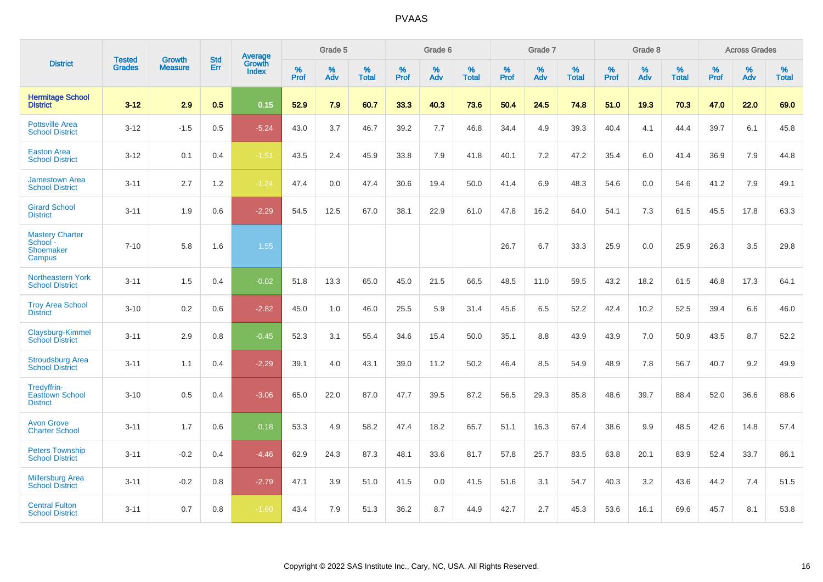|                                                           |                                |                                 | <b>Std</b> | <b>Average</b>                |           | Grade 5  |                   |           | Grade 6  |                   |           | Grade 7  |                   |           | Grade 8  |                   |           | <b>Across Grades</b> |                   |
|-----------------------------------------------------------|--------------------------------|---------------------------------|------------|-------------------------------|-----------|----------|-------------------|-----------|----------|-------------------|-----------|----------|-------------------|-----------|----------|-------------------|-----------|----------------------|-------------------|
| <b>District</b>                                           | <b>Tested</b><br><b>Grades</b> | <b>Growth</b><br><b>Measure</b> | Err        | <b>Growth</b><br><b>Index</b> | %<br>Prof | %<br>Adv | %<br><b>Total</b> | %<br>Prof | %<br>Adv | %<br><b>Total</b> | %<br>Prof | %<br>Adv | %<br><b>Total</b> | %<br>Prof | %<br>Adv | %<br><b>Total</b> | %<br>Prof | %<br>Adv             | %<br><b>Total</b> |
| <b>Hermitage School</b><br><b>District</b>                | $3 - 12$                       | 2.9                             | 0.5        | 0.15                          | 52.9      | 7.9      | 60.7              | 33.3      | 40.3     | 73.6              | 50.4      | 24.5     | 74.8              | 51.0      | 19.3     | 70.3              | 47.0      | 22.0                 | 69.0              |
| <b>Pottsville Area</b><br><b>School District</b>          | $3 - 12$                       | $-1.5$                          | 0.5        | $-5.24$                       | 43.0      | 3.7      | 46.7              | 39.2      | 7.7      | 46.8              | 34.4      | 4.9      | 39.3              | 40.4      | 4.1      | 44.4              | 39.7      | 6.1                  | 45.8              |
| <b>Easton Area</b><br><b>School District</b>              | $3 - 12$                       | 0.1                             | 0.4        | $-1.51$                       | 43.5      | 2.4      | 45.9              | 33.8      | 7.9      | 41.8              | 40.1      | 7.2      | 47.2              | 35.4      | 6.0      | 41.4              | 36.9      | 7.9                  | 44.8              |
| <b>Jamestown Area</b><br><b>School District</b>           | $3 - 11$                       | 2.7                             | 1.2        | $-1.24$                       | 47.4      | 0.0      | 47.4              | 30.6      | 19.4     | 50.0              | 41.4      | 6.9      | 48.3              | 54.6      | 0.0      | 54.6              | 41.2      | 7.9                  | 49.1              |
| <b>Girard School</b><br><b>District</b>                   | $3 - 11$                       | 1.9                             | 0.6        | $-2.29$                       | 54.5      | 12.5     | 67.0              | 38.1      | 22.9     | 61.0              | 47.8      | 16.2     | 64.0              | 54.1      | 7.3      | 61.5              | 45.5      | 17.8                 | 63.3              |
| <b>Mastery Charter</b><br>School -<br>Shoemaker<br>Campus | $7 - 10$                       | 5.8                             | 1.6        | 1.55                          |           |          |                   |           |          |                   | 26.7      | 6.7      | 33.3              | 25.9      | 0.0      | 25.9              | 26.3      | 3.5                  | 29.8              |
| <b>Northeastern York</b><br><b>School District</b>        | $3 - 11$                       | 1.5                             | 0.4        | $-0.02$                       | 51.8      | 13.3     | 65.0              | 45.0      | 21.5     | 66.5              | 48.5      | 11.0     | 59.5              | 43.2      | 18.2     | 61.5              | 46.8      | 17.3                 | 64.1              |
| <b>Troy Area School</b><br><b>District</b>                | $3 - 10$                       | 0.2                             | 0.6        | $-2.82$                       | 45.0      | 1.0      | 46.0              | 25.5      | 5.9      | 31.4              | 45.6      | 6.5      | 52.2              | 42.4      | 10.2     | 52.5              | 39.4      | 6.6                  | 46.0              |
| Claysburg-Kimmel<br><b>School District</b>                | $3 - 11$                       | 2.9                             | 0.8        | $-0.45$                       | 52.3      | 3.1      | 55.4              | 34.6      | 15.4     | 50.0              | 35.1      | 8.8      | 43.9              | 43.9      | 7.0      | 50.9              | 43.5      | 8.7                  | 52.2              |
| <b>Stroudsburg Area</b><br><b>School District</b>         | $3 - 11$                       | 1.1                             | 0.4        | $-2.29$                       | 39.1      | 4.0      | 43.1              | 39.0      | 11.2     | 50.2              | 46.4      | 8.5      | 54.9              | 48.9      | 7.8      | 56.7              | 40.7      | 9.2                  | 49.9              |
| Tredyffrin-<br><b>Easttown School</b><br><b>District</b>  | $3 - 10$                       | 0.5                             | 0.4        | $-3.06$                       | 65.0      | 22.0     | 87.0              | 47.7      | 39.5     | 87.2              | 56.5      | 29.3     | 85.8              | 48.6      | 39.7     | 88.4              | 52.0      | 36.6                 | 88.6              |
| <b>Avon Grove</b><br><b>Charter School</b>                | $3 - 11$                       | 1.7                             | 0.6        | 0.18                          | 53.3      | 4.9      | 58.2              | 47.4      | 18.2     | 65.7              | 51.1      | 16.3     | 67.4              | 38.6      | 9.9      | 48.5              | 42.6      | 14.8                 | 57.4              |
| <b>Peters Township</b><br><b>School District</b>          | $3 - 11$                       | $-0.2$                          | 0.4        | $-4.46$                       | 62.9      | 24.3     | 87.3              | 48.1      | 33.6     | 81.7              | 57.8      | 25.7     | 83.5              | 63.8      | 20.1     | 83.9              | 52.4      | 33.7                 | 86.1              |
| <b>Millersburg Area</b><br><b>School District</b>         | $3 - 11$                       | $-0.2$                          | 0.8        | $-2.79$                       | 47.1      | 3.9      | 51.0              | 41.5      | 0.0      | 41.5              | 51.6      | 3.1      | 54.7              | 40.3      | 3.2      | 43.6              | 44.2      | 7.4                  | 51.5              |
| <b>Central Fulton</b><br><b>School District</b>           | $3 - 11$                       | 0.7                             | 0.8        | $-1.60$                       | 43.4      | 7.9      | 51.3              | 36.2      | 8.7      | 44.9              | 42.7      | 2.7      | 45.3              | 53.6      | 16.1     | 69.6              | 45.7      | 8.1                  | 53.8              |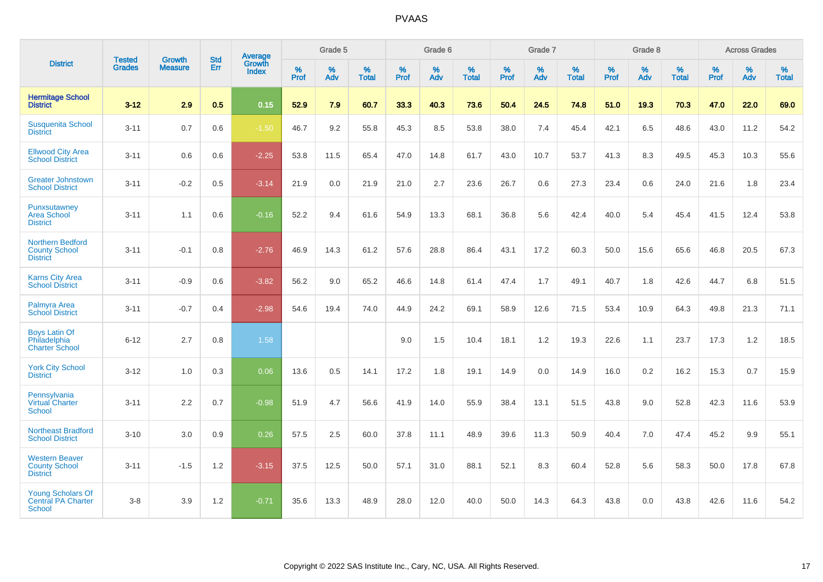|                                                                    |                                |                                 | <b>Std</b> | <b>Average</b>         |           | Grade 5  |                   |           | Grade 6  |                   |           | Grade 7  |                   |           | Grade 8  |                   |           | <b>Across Grades</b> |                   |
|--------------------------------------------------------------------|--------------------------------|---------------------------------|------------|------------------------|-----------|----------|-------------------|-----------|----------|-------------------|-----------|----------|-------------------|-----------|----------|-------------------|-----------|----------------------|-------------------|
| <b>District</b>                                                    | <b>Tested</b><br><b>Grades</b> | <b>Growth</b><br><b>Measure</b> | Err        | Growth<br><b>Index</b> | %<br>Prof | %<br>Adv | %<br><b>Total</b> | %<br>Prof | %<br>Adv | %<br><b>Total</b> | %<br>Prof | %<br>Adv | %<br><b>Total</b> | %<br>Prof | %<br>Adv | %<br><b>Total</b> | %<br>Prof | %<br>Adv             | %<br><b>Total</b> |
| <b>Hermitage School</b><br><b>District</b>                         | $3 - 12$                       | 2.9                             | 0.5        | 0.15                   | 52.9      | 7.9      | 60.7              | 33.3      | 40.3     | 73.6              | 50.4      | 24.5     | 74.8              | 51.0      | 19.3     | 70.3              | 47.0      | 22.0                 | 69.0              |
| <b>Susquenita School</b><br><b>District</b>                        | $3 - 11$                       | 0.7                             | 0.6        | $-1.50$                | 46.7      | 9.2      | 55.8              | 45.3      | 8.5      | 53.8              | 38.0      | 7.4      | 45.4              | 42.1      | 6.5      | 48.6              | 43.0      | 11.2                 | 54.2              |
| <b>Ellwood City Area</b><br><b>School District</b>                 | $3 - 11$                       | 0.6                             | 0.6        | $-2.25$                | 53.8      | 11.5     | 65.4              | 47.0      | 14.8     | 61.7              | 43.0      | 10.7     | 53.7              | 41.3      | 8.3      | 49.5              | 45.3      | 10.3                 | 55.6              |
| <b>Greater Johnstown</b><br><b>School District</b>                 | $3 - 11$                       | $-0.2$                          | 0.5        | $-3.14$                | 21.9      | 0.0      | 21.9              | 21.0      | 2.7      | 23.6              | 26.7      | 0.6      | 27.3              | 23.4      | 0.6      | 24.0              | 21.6      | 1.8                  | 23.4              |
| Punxsutawney<br><b>Area School</b><br><b>District</b>              | $3 - 11$                       | 1.1                             | 0.6        | $-0.16$                | 52.2      | 9.4      | 61.6              | 54.9      | 13.3     | 68.1              | 36.8      | 5.6      | 42.4              | 40.0      | 5.4      | 45.4              | 41.5      | 12.4                 | 53.8              |
| <b>Northern Bedford</b><br><b>County School</b><br><b>District</b> | $3 - 11$                       | $-0.1$                          | 0.8        | $-2.76$                | 46.9      | 14.3     | 61.2              | 57.6      | 28.8     | 86.4              | 43.1      | 17.2     | 60.3              | 50.0      | 15.6     | 65.6              | 46.8      | 20.5                 | 67.3              |
| <b>Karns City Area</b><br><b>School District</b>                   | $3 - 11$                       | $-0.9$                          | 0.6        | $-3.82$                | 56.2      | 9.0      | 65.2              | 46.6      | 14.8     | 61.4              | 47.4      | 1.7      | 49.1              | 40.7      | 1.8      | 42.6              | 44.7      | 6.8                  | 51.5              |
| Palmyra Area<br><b>School District</b>                             | $3 - 11$                       | $-0.7$                          | 0.4        | $-2.98$                | 54.6      | 19.4     | 74.0              | 44.9      | 24.2     | 69.1              | 58.9      | 12.6     | 71.5              | 53.4      | 10.9     | 64.3              | 49.8      | 21.3                 | 71.1              |
| <b>Boys Latin Of</b><br>Philadelphia<br><b>Charter School</b>      | $6 - 12$                       | 2.7                             | 0.8        | 1.58                   |           |          |                   | 9.0       | 1.5      | 10.4              | 18.1      | 1.2      | 19.3              | 22.6      | 1.1      | 23.7              | 17.3      | 1.2                  | 18.5              |
| <b>York City School</b><br><b>District</b>                         | $3 - 12$                       | 1.0                             | 0.3        | 0.06                   | 13.6      | 0.5      | 14.1              | 17.2      | 1.8      | 19.1              | 14.9      | 0.0      | 14.9              | 16.0      | 0.2      | 16.2              | 15.3      | 0.7                  | 15.9              |
| Pennsylvania<br>Virtual Charter<br><b>School</b>                   | $3 - 11$                       | 2.2                             | 0.7        | $-0.98$                | 51.9      | 4.7      | 56.6              | 41.9      | 14.0     | 55.9              | 38.4      | 13.1     | 51.5              | 43.8      | 9.0      | 52.8              | 42.3      | 11.6                 | 53.9              |
| <b>Northeast Bradford</b><br><b>School District</b>                | $3 - 10$                       | 3.0                             | 0.9        | 0.26                   | 57.5      | 2.5      | 60.0              | 37.8      | 11.1     | 48.9              | 39.6      | 11.3     | 50.9              | 40.4      | 7.0      | 47.4              | 45.2      | 9.9                  | 55.1              |
| <b>Western Beaver</b><br><b>County School</b><br><b>District</b>   | $3 - 11$                       | $-1.5$                          | 1.2        | $-3.15$                | 37.5      | 12.5     | 50.0              | 57.1      | 31.0     | 88.1              | 52.1      | 8.3      | 60.4              | 52.8      | 5.6      | 58.3              | 50.0      | 17.8                 | 67.8              |
| <b>Young Scholars Of</b><br><b>Central PA Charter</b><br>School    | $3 - 8$                        | 3.9                             | 1.2        | $-0.71$                | 35.6      | 13.3     | 48.9              | 28.0      | 12.0     | 40.0              | 50.0      | 14.3     | 64.3              | 43.8      | 0.0      | 43.8              | 42.6      | 11.6                 | 54.2              |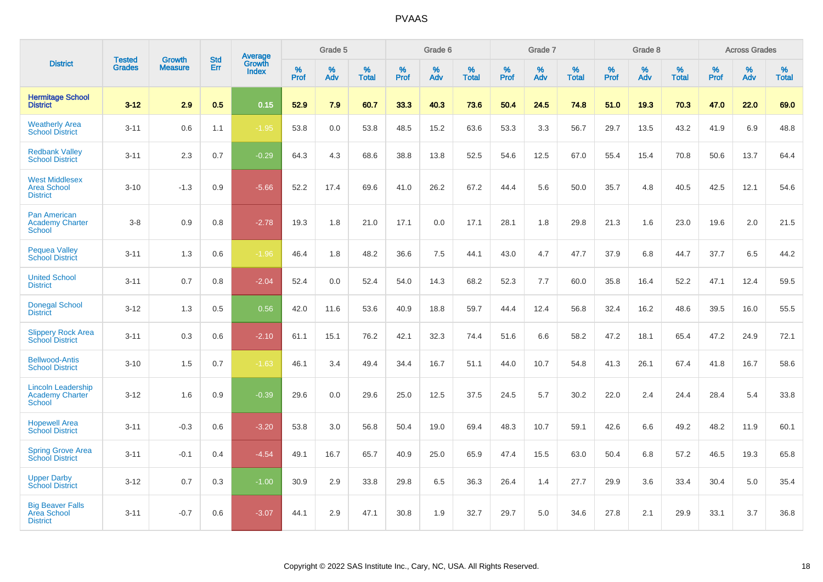|                                                                      |                                |                                 | <b>Std</b> | Average                |           | Grade 5  |                   |           | Grade 6  |                   |           | Grade 7  |                   |           | Grade 8  |                   |              | <b>Across Grades</b> |                   |
|----------------------------------------------------------------------|--------------------------------|---------------------------------|------------|------------------------|-----------|----------|-------------------|-----------|----------|-------------------|-----------|----------|-------------------|-----------|----------|-------------------|--------------|----------------------|-------------------|
| <b>District</b>                                                      | <b>Tested</b><br><b>Grades</b> | <b>Growth</b><br><b>Measure</b> | Err        | Growth<br><b>Index</b> | %<br>Prof | %<br>Adv | %<br><b>Total</b> | %<br>Prof | %<br>Adv | %<br><b>Total</b> | %<br>Prof | %<br>Adv | %<br><b>Total</b> | %<br>Prof | %<br>Adv | %<br><b>Total</b> | $\%$<br>Prof | %<br>Adv             | %<br><b>Total</b> |
| <b>Hermitage School</b><br><b>District</b>                           | $3 - 12$                       | 2.9                             | 0.5        | 0.15                   | 52.9      | 7.9      | 60.7              | 33.3      | 40.3     | 73.6              | 50.4      | 24.5     | 74.8              | 51.0      | 19.3     | 70.3              | 47.0         | 22.0                 | 69.0              |
| <b>Weatherly Area</b><br><b>School District</b>                      | $3 - 11$                       | 0.6                             | 1.1        | $-1.95$                | 53.8      | 0.0      | 53.8              | 48.5      | 15.2     | 63.6              | 53.3      | 3.3      | 56.7              | 29.7      | 13.5     | 43.2              | 41.9         | 6.9                  | 48.8              |
| <b>Redbank Valley</b><br><b>School District</b>                      | $3 - 11$                       | 2.3                             | 0.7        | $-0.29$                | 64.3      | 4.3      | 68.6              | 38.8      | 13.8     | 52.5              | 54.6      | 12.5     | 67.0              | 55.4      | 15.4     | 70.8              | 50.6         | 13.7                 | 64.4              |
| <b>West Middlesex</b><br><b>Area School</b><br><b>District</b>       | $3 - 10$                       | $-1.3$                          | 0.9        | $-5.66$                | 52.2      | 17.4     | 69.6              | 41.0      | 26.2     | 67.2              | 44.4      | 5.6      | 50.0              | 35.7      | 4.8      | 40.5              | 42.5         | 12.1                 | 54.6              |
| <b>Pan American</b><br><b>Academy Charter</b><br><b>School</b>       | $3-8$                          | 0.9                             | 0.8        | $-2.78$                | 19.3      | 1.8      | 21.0              | 17.1      | 0.0      | 17.1              | 28.1      | 1.8      | 29.8              | 21.3      | 1.6      | 23.0              | 19.6         | 2.0                  | 21.5              |
| <b>Pequea Valley</b><br><b>School District</b>                       | $3 - 11$                       | 1.3                             | 0.6        | $-1.96$                | 46.4      | 1.8      | 48.2              | 36.6      | 7.5      | 44.1              | 43.0      | 4.7      | 47.7              | 37.9      | 6.8      | 44.7              | 37.7         | 6.5                  | 44.2              |
| <b>United School</b><br><b>District</b>                              | $3 - 11$                       | 0.7                             | 0.8        | $-2.04$                | 52.4      | 0.0      | 52.4              | 54.0      | 14.3     | 68.2              | 52.3      | 7.7      | 60.0              | 35.8      | 16.4     | 52.2              | 47.1         | 12.4                 | 59.5              |
| <b>Donegal School</b><br><b>District</b>                             | $3 - 12$                       | 1.3                             | 0.5        | 0.56                   | 42.0      | 11.6     | 53.6              | 40.9      | 18.8     | 59.7              | 44.4      | 12.4     | 56.8              | 32.4      | 16.2     | 48.6              | 39.5         | 16.0                 | 55.5              |
| <b>Slippery Rock Area</b><br><b>School District</b>                  | $3 - 11$                       | 0.3                             | 0.6        | $-2.10$                | 61.1      | 15.1     | 76.2              | 42.1      | 32.3     | 74.4              | 51.6      | 6.6      | 58.2              | 47.2      | 18.1     | 65.4              | 47.2         | 24.9                 | 72.1              |
| <b>Bellwood-Antis</b><br><b>School District</b>                      | $3 - 10$                       | 1.5                             | 0.7        | $-1.63$                | 46.1      | 3.4      | 49.4              | 34.4      | 16.7     | 51.1              | 44.0      | 10.7     | 54.8              | 41.3      | 26.1     | 67.4              | 41.8         | 16.7                 | 58.6              |
| <b>Lincoln Leadership</b><br><b>Academy Charter</b><br><b>School</b> | $3 - 12$                       | 1.6                             | 0.9        | $-0.39$                | 29.6      | 0.0      | 29.6              | 25.0      | 12.5     | 37.5              | 24.5      | 5.7      | 30.2              | 22.0      | 2.4      | 24.4              | 28.4         | 5.4                  | 33.8              |
| <b>Hopewell Area</b><br><b>School District</b>                       | $3 - 11$                       | $-0.3$                          | 0.6        | $-3.20$                | 53.8      | 3.0      | 56.8              | 50.4      | 19.0     | 69.4              | 48.3      | 10.7     | 59.1              | 42.6      | 6.6      | 49.2              | 48.2         | 11.9                 | 60.1              |
| <b>Spring Grove Area</b><br><b>School District</b>                   | $3 - 11$                       | $-0.1$                          | 0.4        | $-4.54$                | 49.1      | 16.7     | 65.7              | 40.9      | 25.0     | 65.9              | 47.4      | 15.5     | 63.0              | 50.4      | 6.8      | 57.2              | 46.5         | 19.3                 | 65.8              |
| <b>Upper Darby</b><br><b>School District</b>                         | $3 - 12$                       | 0.7                             | 0.3        | $-1.00$                | 30.9      | 2.9      | 33.8              | 29.8      | 6.5      | 36.3              | 26.4      | 1.4      | 27.7              | 29.9      | 3.6      | 33.4              | 30.4         | 5.0                  | 35.4              |
| <b>Big Beaver Falls</b><br>Area School<br><b>District</b>            | $3 - 11$                       | $-0.7$                          | 0.6        | $-3.07$                | 44.1      | 2.9      | 47.1              | 30.8      | 1.9      | 32.7              | 29.7      | 5.0      | 34.6              | 27.8      | 2.1      | 29.9              | 33.1         | 3.7                  | 36.8              |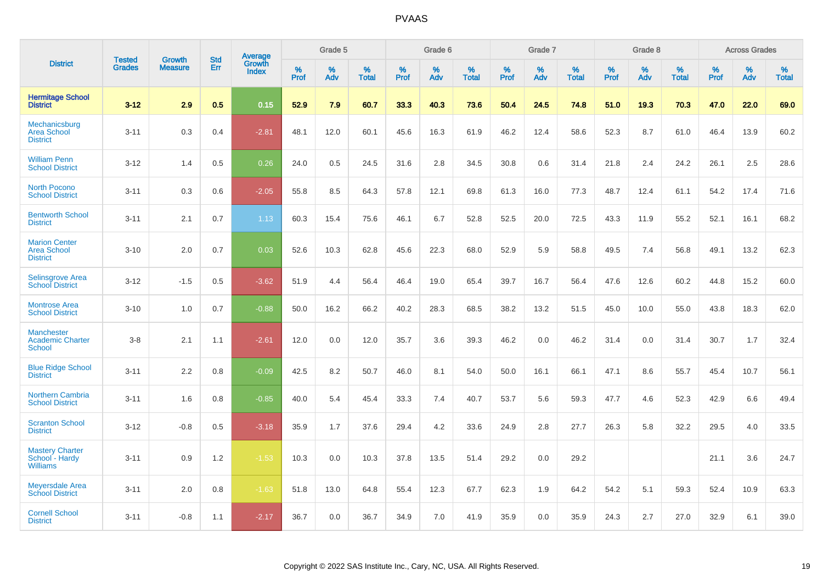|                                                               |                                |                                 | <b>Std</b> | Average                |              | Grade 5  |                   |           | Grade 6  |                   |           | Grade 7  |                   |              | Grade 8  |                   |              | <b>Across Grades</b> |                   |
|---------------------------------------------------------------|--------------------------------|---------------------------------|------------|------------------------|--------------|----------|-------------------|-----------|----------|-------------------|-----------|----------|-------------------|--------------|----------|-------------------|--------------|----------------------|-------------------|
| <b>District</b>                                               | <b>Tested</b><br><b>Grades</b> | <b>Growth</b><br><b>Measure</b> | Err        | Growth<br><b>Index</b> | $\%$<br>Prof | %<br>Adv | %<br><b>Total</b> | %<br>Prof | %<br>Adv | %<br><b>Total</b> | %<br>Prof | %<br>Adv | %<br><b>Total</b> | $\%$<br>Prof | %<br>Adv | %<br><b>Total</b> | $\%$<br>Prof | %<br>Adv             | %<br><b>Total</b> |
| <b>Hermitage School</b><br><b>District</b>                    | $3 - 12$                       | 2.9                             | 0.5        | 0.15                   | 52.9         | 7.9      | 60.7              | 33.3      | 40.3     | 73.6              | 50.4      | 24.5     | 74.8              | 51.0         | 19.3     | 70.3              | 47.0         | 22.0                 | 69.0              |
| Mechanicsburg<br><b>Area School</b><br><b>District</b>        | $3 - 11$                       | 0.3                             | 0.4        | $-2.81$                | 48.1         | 12.0     | 60.1              | 45.6      | 16.3     | 61.9              | 46.2      | 12.4     | 58.6              | 52.3         | 8.7      | 61.0              | 46.4         | 13.9                 | 60.2              |
| <b>William Penn</b><br><b>School District</b>                 | $3 - 12$                       | 1.4                             | 0.5        | 0.26                   | 24.0         | 0.5      | 24.5              | 31.6      | 2.8      | 34.5              | 30.8      | 0.6      | 31.4              | 21.8         | 2.4      | 24.2              | 26.1         | 2.5                  | 28.6              |
| <b>North Pocono</b><br><b>School District</b>                 | $3 - 11$                       | 0.3                             | 0.6        | $-2.05$                | 55.8         | 8.5      | 64.3              | 57.8      | 12.1     | 69.8              | 61.3      | 16.0     | 77.3              | 48.7         | 12.4     | 61.1              | 54.2         | 17.4                 | 71.6              |
| <b>Bentworth School</b><br><b>District</b>                    | $3 - 11$                       | 2.1                             | 0.7        | 1.13                   | 60.3         | 15.4     | 75.6              | 46.1      | 6.7      | 52.8              | 52.5      | 20.0     | 72.5              | 43.3         | 11.9     | 55.2              | 52.1         | 16.1                 | 68.2              |
| <b>Marion Center</b><br><b>Area School</b><br><b>District</b> | $3 - 10$                       | 2.0                             | 0.7        | 0.03                   | 52.6         | 10.3     | 62.8              | 45.6      | 22.3     | 68.0              | 52.9      | 5.9      | 58.8              | 49.5         | 7.4      | 56.8              | 49.1         | 13.2                 | 62.3              |
| Selinsgrove Area<br><b>School District</b>                    | $3 - 12$                       | $-1.5$                          | 0.5        | $-3.62$                | 51.9         | 4.4      | 56.4              | 46.4      | 19.0     | 65.4              | 39.7      | 16.7     | 56.4              | 47.6         | 12.6     | 60.2              | 44.8         | 15.2                 | 60.0              |
| <b>Montrose Area</b><br><b>School District</b>                | $3 - 10$                       | 1.0                             | 0.7        | $-0.88$                | 50.0         | 16.2     | 66.2              | 40.2      | 28.3     | 68.5              | 38.2      | 13.2     | 51.5              | 45.0         | 10.0     | 55.0              | 43.8         | 18.3                 | 62.0              |
| <b>Manchester</b><br><b>Academic Charter</b><br><b>School</b> | $3-8$                          | 2.1                             | 1.1        | $-2.61$                | 12.0         | 0.0      | 12.0              | 35.7      | 3.6      | 39.3              | 46.2      | 0.0      | 46.2              | 31.4         | 0.0      | 31.4              | 30.7         | 1.7                  | 32.4              |
| <b>Blue Ridge School</b><br><b>District</b>                   | $3 - 11$                       | 2.2                             | 0.8        | $-0.09$                | 42.5         | 8.2      | 50.7              | 46.0      | 8.1      | 54.0              | 50.0      | 16.1     | 66.1              | 47.1         | 8.6      | 55.7              | 45.4         | 10.7                 | 56.1              |
| <b>Northern Cambria</b><br><b>School District</b>             | $3 - 11$                       | 1.6                             | 0.8        | $-0.85$                | 40.0         | 5.4      | 45.4              | 33.3      | 7.4      | 40.7              | 53.7      | 5.6      | 59.3              | 47.7         | 4.6      | 52.3              | 42.9         | 6.6                  | 49.4              |
| <b>Scranton School</b><br><b>District</b>                     | $3 - 12$                       | $-0.8$                          | 0.5        | $-3.18$                | 35.9         | 1.7      | 37.6              | 29.4      | 4.2      | 33.6              | 24.9      | 2.8      | 27.7              | 26.3         | 5.8      | 32.2              | 29.5         | 4.0                  | 33.5              |
| <b>Mastery Charter</b><br>School - Hardy<br><b>Williams</b>   | $3 - 11$                       | 0.9                             | 1.2        | $-1.53$                | 10.3         | 0.0      | 10.3              | 37.8      | 13.5     | 51.4              | 29.2      | 0.0      | 29.2              |              |          |                   | 21.1         | 3.6                  | 24.7              |
| <b>Meyersdale Area</b><br><b>School District</b>              | $3 - 11$                       | 2.0                             | 0.8        | $-1.63$                | 51.8         | 13.0     | 64.8              | 55.4      | 12.3     | 67.7              | 62.3      | 1.9      | 64.2              | 54.2         | 5.1      | 59.3              | 52.4         | 10.9                 | 63.3              |
| <b>Cornell School</b><br><b>District</b>                      | $3 - 11$                       | $-0.8$                          | 1.1        | $-2.17$                | 36.7         | 0.0      | 36.7              | 34.9      | 7.0      | 41.9              | 35.9      | 0.0      | 35.9              | 24.3         | 2.7      | 27.0              | 32.9         | 6.1                  | 39.0              |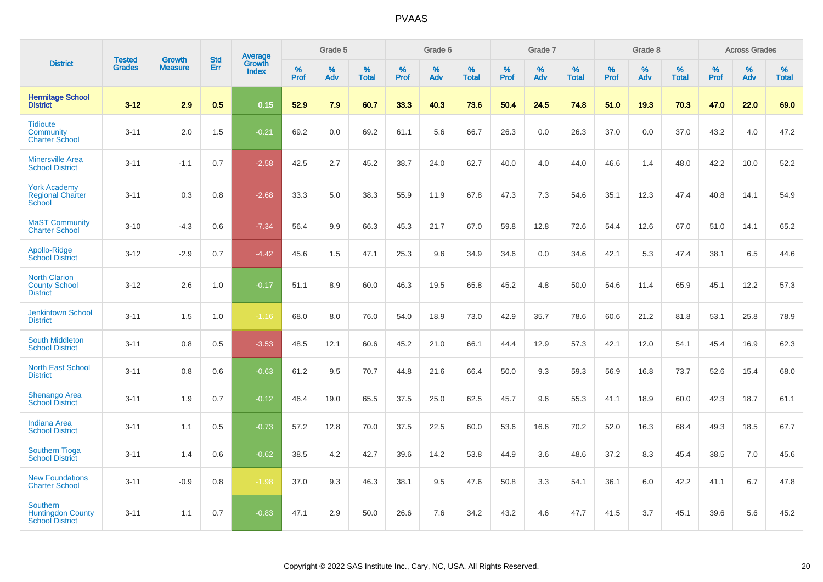|                                                                       |                                |                                 | <b>Std</b> | Average                |              | Grade 5  |                   |           | Grade 6  |                   |           | Grade 7  |                   |           | Grade 8  |                   |              | <b>Across Grades</b> |                   |
|-----------------------------------------------------------------------|--------------------------------|---------------------------------|------------|------------------------|--------------|----------|-------------------|-----------|----------|-------------------|-----------|----------|-------------------|-----------|----------|-------------------|--------------|----------------------|-------------------|
| <b>District</b>                                                       | <b>Tested</b><br><b>Grades</b> | <b>Growth</b><br><b>Measure</b> | Err        | Growth<br><b>Index</b> | $\%$<br>Prof | %<br>Adv | %<br><b>Total</b> | %<br>Prof | %<br>Adv | %<br><b>Total</b> | %<br>Prof | %<br>Adv | %<br><b>Total</b> | %<br>Prof | %<br>Adv | %<br><b>Total</b> | $\%$<br>Prof | %<br>Adv             | %<br><b>Total</b> |
| <b>Hermitage School</b><br><b>District</b>                            | $3 - 12$                       | 2.9                             | 0.5        | 0.15                   | 52.9         | 7.9      | 60.7              | 33.3      | 40.3     | 73.6              | 50.4      | 24.5     | 74.8              | 51.0      | 19.3     | 70.3              | 47.0         | 22.0                 | 69.0              |
| <b>Tidioute</b><br>Community<br><b>Charter School</b>                 | $3 - 11$                       | 2.0                             | 1.5        | $-0.21$                | 69.2         | 0.0      | 69.2              | 61.1      | 5.6      | 66.7              | 26.3      | 0.0      | 26.3              | 37.0      | 0.0      | 37.0              | 43.2         | 4.0                  | 47.2              |
| <b>Minersville Area</b><br><b>School District</b>                     | $3 - 11$                       | $-1.1$                          | 0.7        | $-2.58$                | 42.5         | 2.7      | 45.2              | 38.7      | 24.0     | 62.7              | 40.0      | 4.0      | 44.0              | 46.6      | 1.4      | 48.0              | 42.2         | 10.0                 | 52.2              |
| <b>York Academy</b><br><b>Regional Charter</b><br>School              | $3 - 11$                       | 0.3                             | 0.8        | $-2.68$                | 33.3         | 5.0      | 38.3              | 55.9      | 11.9     | 67.8              | 47.3      | 7.3      | 54.6              | 35.1      | 12.3     | 47.4              | 40.8         | 14.1                 | 54.9              |
| <b>MaST Community</b><br><b>Charter School</b>                        | $3 - 10$                       | $-4.3$                          | 0.6        | $-7.34$                | 56.4         | 9.9      | 66.3              | 45.3      | 21.7     | 67.0              | 59.8      | 12.8     | 72.6              | 54.4      | 12.6     | 67.0              | 51.0         | 14.1                 | 65.2              |
| Apollo-Ridge<br><b>School District</b>                                | $3 - 12$                       | $-2.9$                          | 0.7        | $-4.42$                | 45.6         | 1.5      | 47.1              | 25.3      | 9.6      | 34.9              | 34.6      | 0.0      | 34.6              | 42.1      | 5.3      | 47.4              | 38.1         | 6.5                  | 44.6              |
| <b>North Clarion</b><br><b>County School</b><br><b>District</b>       | $3 - 12$                       | 2.6                             | 1.0        | $-0.17$                | 51.1         | 8.9      | 60.0              | 46.3      | 19.5     | 65.8              | 45.2      | 4.8      | 50.0              | 54.6      | 11.4     | 65.9              | 45.1         | 12.2                 | 57.3              |
| <b>Jenkintown School</b><br><b>District</b>                           | $3 - 11$                       | 1.5                             | 1.0        | $-1.16$                | 68.0         | 8.0      | 76.0              | 54.0      | 18.9     | 73.0              | 42.9      | 35.7     | 78.6              | 60.6      | 21.2     | 81.8              | 53.1         | 25.8                 | 78.9              |
| <b>South Middleton</b><br><b>School District</b>                      | $3 - 11$                       | 0.8                             | 0.5        | $-3.53$                | 48.5         | 12.1     | 60.6              | 45.2      | 21.0     | 66.1              | 44.4      | 12.9     | 57.3              | 42.1      | 12.0     | 54.1              | 45.4         | 16.9                 | 62.3              |
| <b>North East School</b><br><b>District</b>                           | $3 - 11$                       | 0.8                             | 0.6        | $-0.63$                | 61.2         | 9.5      | 70.7              | 44.8      | 21.6     | 66.4              | 50.0      | 9.3      | 59.3              | 56.9      | 16.8     | 73.7              | 52.6         | 15.4                 | 68.0              |
| <b>Shenango Area</b><br><b>School District</b>                        | $3 - 11$                       | 1.9                             | 0.7        | $-0.12$                | 46.4         | 19.0     | 65.5              | 37.5      | 25.0     | 62.5              | 45.7      | 9.6      | 55.3              | 41.1      | 18.9     | 60.0              | 42.3         | 18.7                 | 61.1              |
| <b>Indiana Area</b><br><b>School District</b>                         | $3 - 11$                       | 1.1                             | 0.5        | $-0.73$                | 57.2         | 12.8     | 70.0              | 37.5      | 22.5     | 60.0              | 53.6      | 16.6     | 70.2              | 52.0      | 16.3     | 68.4              | 49.3         | 18.5                 | 67.7              |
| <b>Southern Tioga</b><br><b>School District</b>                       | $3 - 11$                       | 1.4                             | 0.6        | $-0.62$                | 38.5         | 4.2      | 42.7              | 39.6      | 14.2     | 53.8              | 44.9      | 3.6      | 48.6              | 37.2      | 8.3      | 45.4              | 38.5         | 7.0                  | 45.6              |
| <b>New Foundations</b><br><b>Charter School</b>                       | $3 - 11$                       | $-0.9$                          | 0.8        | $-1.98$                | 37.0         | 9.3      | 46.3              | 38.1      | 9.5      | 47.6              | 50.8      | 3.3      | 54.1              | 36.1      | 6.0      | 42.2              | 41.1         | 6.7                  | 47.8              |
| <b>Southern</b><br><b>Huntingdon County</b><br><b>School District</b> | $3 - 11$                       | 1.1                             | 0.7        | $-0.83$                | 47.1         | 2.9      | 50.0              | 26.6      | 7.6      | 34.2              | 43.2      | 4.6      | 47.7              | 41.5      | 3.7      | 45.1              | 39.6         | 5.6                  | 45.2              |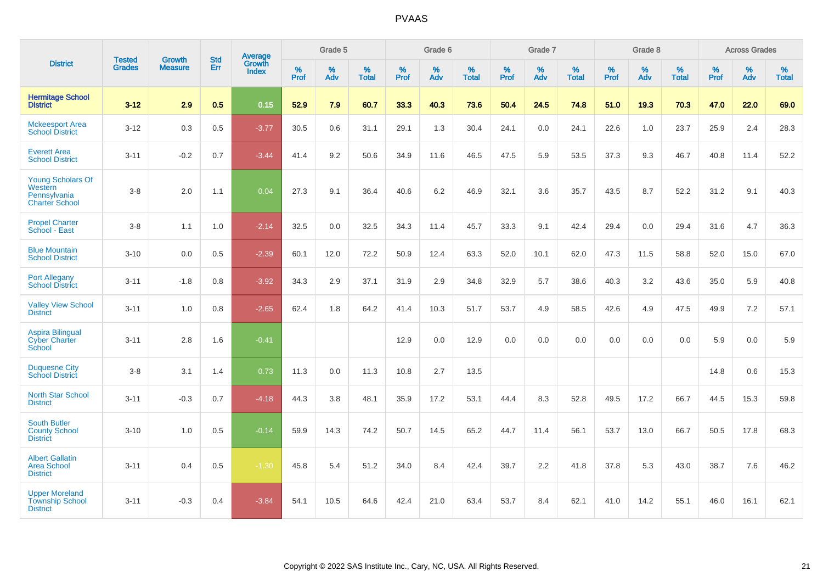|                                                                              |                                |                                 | <b>Std</b> | Average                |           | Grade 5  |                   |           | Grade 6  |                   |           | Grade 7  |                   |           | Grade 8  |                   |           | <b>Across Grades</b> |                   |
|------------------------------------------------------------------------------|--------------------------------|---------------------------------|------------|------------------------|-----------|----------|-------------------|-----------|----------|-------------------|-----------|----------|-------------------|-----------|----------|-------------------|-----------|----------------------|-------------------|
| <b>District</b>                                                              | <b>Tested</b><br><b>Grades</b> | <b>Growth</b><br><b>Measure</b> | Err        | Growth<br><b>Index</b> | %<br>Prof | %<br>Adv | %<br><b>Total</b> | %<br>Prof | %<br>Adv | %<br><b>Total</b> | %<br>Prof | %<br>Adv | %<br><b>Total</b> | %<br>Prof | %<br>Adv | %<br><b>Total</b> | %<br>Prof | %<br>Adv             | %<br><b>Total</b> |
| <b>Hermitage School</b><br><b>District</b>                                   | $3 - 12$                       | 2.9                             | 0.5        | 0.15                   | 52.9      | 7.9      | 60.7              | 33.3      | 40.3     | 73.6              | 50.4      | 24.5     | 74.8              | 51.0      | 19.3     | 70.3              | 47.0      | 22.0                 | 69.0              |
| <b>Mckeesport Area</b><br><b>School District</b>                             | $3 - 12$                       | 0.3                             | 0.5        | $-3.77$                | 30.5      | 0.6      | 31.1              | 29.1      | 1.3      | 30.4              | 24.1      | 0.0      | 24.1              | 22.6      | 1.0      | 23.7              | 25.9      | 2.4                  | 28.3              |
| <b>Everett Area</b><br><b>School District</b>                                | $3 - 11$                       | $-0.2$                          | 0.7        | $-3.44$                | 41.4      | 9.2      | 50.6              | 34.9      | 11.6     | 46.5              | 47.5      | 5.9      | 53.5              | 37.3      | 9.3      | 46.7              | 40.8      | 11.4                 | 52.2              |
| <b>Young Scholars Of</b><br>Western<br>Pennsylvania<br><b>Charter School</b> | $3-8$                          | 2.0                             | 1.1        | 0.04                   | 27.3      | 9.1      | 36.4              | 40.6      | 6.2      | 46.9              | 32.1      | 3.6      | 35.7              | 43.5      | 8.7      | 52.2              | 31.2      | 9.1                  | 40.3              |
| <b>Propel Charter</b><br>School - East                                       | $3-8$                          | 1.1                             | 1.0        | $-2.14$                | 32.5      | 0.0      | 32.5              | 34.3      | 11.4     | 45.7              | 33.3      | 9.1      | 42.4              | 29.4      | 0.0      | 29.4              | 31.6      | 4.7                  | 36.3              |
| <b>Blue Mountain</b><br><b>School District</b>                               | $3 - 10$                       | 0.0                             | 0.5        | $-2.39$                | 60.1      | 12.0     | 72.2              | 50.9      | 12.4     | 63.3              | 52.0      | 10.1     | 62.0              | 47.3      | 11.5     | 58.8              | 52.0      | 15.0                 | 67.0              |
| <b>Port Allegany</b><br><b>School District</b>                               | $3 - 11$                       | $-1.8$                          | 0.8        | $-3.92$                | 34.3      | 2.9      | 37.1              | 31.9      | 2.9      | 34.8              | 32.9      | 5.7      | 38.6              | 40.3      | 3.2      | 43.6              | 35.0      | 5.9                  | 40.8              |
| <b>Valley View School</b><br><b>District</b>                                 | $3 - 11$                       | 1.0                             | 0.8        | $-2.65$                | 62.4      | 1.8      | 64.2              | 41.4      | 10.3     | 51.7              | 53.7      | 4.9      | 58.5              | 42.6      | 4.9      | 47.5              | 49.9      | 7.2                  | 57.1              |
| <b>Aspira Bilingual</b><br><b>Cyber Charter</b><br>School                    | $3 - 11$                       | 2.8                             | 1.6        | $-0.41$                |           |          |                   | 12.9      | 0.0      | 12.9              | 0.0       | 0.0      | 0.0               | 0.0       | 0.0      | 0.0               | 5.9       | 0.0                  | 5.9               |
| <b>Duquesne City</b><br><b>School District</b>                               | $3-8$                          | 3.1                             | 1.4        | 0.73                   | 11.3      | 0.0      | 11.3              | 10.8      | 2.7      | 13.5              |           |          |                   |           |          |                   | 14.8      | 0.6                  | 15.3              |
| North Star School<br><b>District</b>                                         | $3 - 11$                       | $-0.3$                          | 0.7        | $-4.18$                | 44.3      | 3.8      | 48.1              | 35.9      | 17.2     | 53.1              | 44.4      | 8.3      | 52.8              | 49.5      | 17.2     | 66.7              | 44.5      | 15.3                 | 59.8              |
| <b>South Butler</b><br><b>County School</b><br><b>District</b>               | $3 - 10$                       | 1.0                             | 0.5        | $-0.14$                | 59.9      | 14.3     | 74.2              | 50.7      | 14.5     | 65.2              | 44.7      | 11.4     | 56.1              | 53.7      | 13.0     | 66.7              | 50.5      | 17.8                 | 68.3              |
| <b>Albert Gallatin</b><br><b>Area School</b><br><b>District</b>              | $3 - 11$                       | 0.4                             | 0.5        | $-1.30$                | 45.8      | 5.4      | 51.2              | 34.0      | 8.4      | 42.4              | 39.7      | 2.2      | 41.8              | 37.8      | 5.3      | 43.0              | 38.7      | 7.6                  | 46.2              |
| <b>Upper Moreland</b><br><b>Township School</b><br><b>District</b>           | $3 - 11$                       | $-0.3$                          | 0.4        | $-3.84$                | 54.1      | 10.5     | 64.6              | 42.4      | 21.0     | 63.4              | 53.7      | 8.4      | 62.1              | 41.0      | 14.2     | 55.1              | 46.0      | 16.1                 | 62.1              |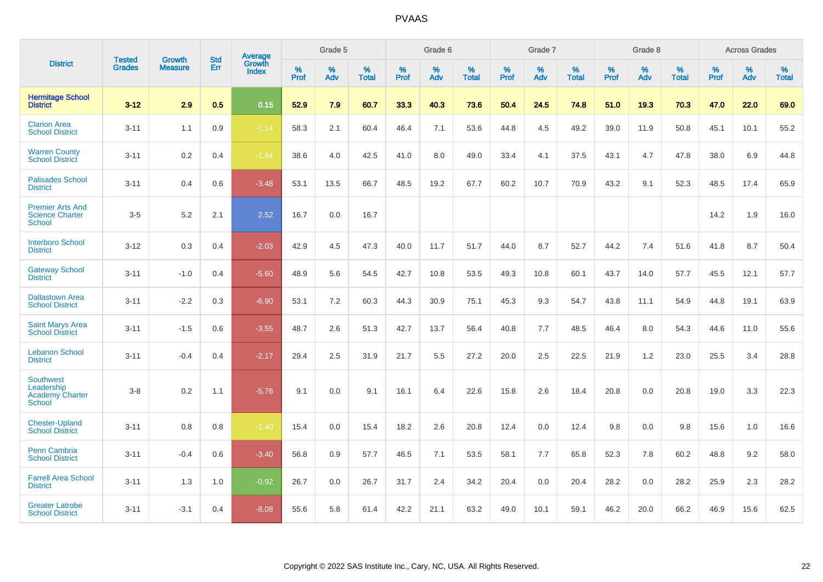|                                                                           |                                |                                 | <b>Std</b> | <b>Average</b>                |           | Grade 5  |                   |           | Grade 6  |                   |           | Grade 7  |                   |           | Grade 8  |                   |           | <b>Across Grades</b> |                   |
|---------------------------------------------------------------------------|--------------------------------|---------------------------------|------------|-------------------------------|-----------|----------|-------------------|-----------|----------|-------------------|-----------|----------|-------------------|-----------|----------|-------------------|-----------|----------------------|-------------------|
| <b>District</b>                                                           | <b>Tested</b><br><b>Grades</b> | <b>Growth</b><br><b>Measure</b> | Err        | <b>Growth</b><br><b>Index</b> | %<br>Prof | %<br>Adv | %<br><b>Total</b> | %<br>Prof | %<br>Adv | %<br><b>Total</b> | %<br>Prof | %<br>Adv | %<br><b>Total</b> | %<br>Prof | %<br>Adv | %<br><b>Total</b> | %<br>Prof | %<br>Adv             | %<br><b>Total</b> |
| <b>Hermitage School</b><br><b>District</b>                                | $3 - 12$                       | 2.9                             | 0.5        | 0.15                          | 52.9      | 7.9      | 60.7              | 33.3      | 40.3     | 73.6              | 50.4      | 24.5     | 74.8              | 51.0      | 19.3     | 70.3              | 47.0      | 22.0                 | 69.0              |
| <b>Clarion Area</b><br><b>School District</b>                             | $3 - 11$                       | 1.1                             | 0.9        | $-1.14$                       | 58.3      | 2.1      | 60.4              | 46.4      | 7.1      | 53.6              | 44.8      | 4.5      | 49.2              | 39.0      | 11.9     | 50.8              | 45.1      | 10.1                 | 55.2              |
| <b>Warren County</b><br><b>School District</b>                            | $3 - 11$                       | $0.2\,$                         | 0.4        | $-1.64$                       | 38.6      | 4.0      | 42.5              | 41.0      | 8.0      | 49.0              | 33.4      | 4.1      | 37.5              | 43.1      | 4.7      | 47.8              | 38.0      | 6.9                  | 44.8              |
| <b>Palisades School</b><br><b>District</b>                                | $3 - 11$                       | 0.4                             | 0.6        | $-3.48$                       | 53.1      | 13.5     | 66.7              | 48.5      | 19.2     | 67.7              | 60.2      | 10.7     | 70.9              | 43.2      | 9.1      | 52.3              | 48.5      | 17.4                 | 65.9              |
| <b>Premier Arts And</b><br><b>Science Charter</b><br><b>School</b>        | $3-5$                          | 5.2                             | 2.1        | 2.52                          | 16.7      | 0.0      | 16.7              |           |          |                   |           |          |                   |           |          |                   | 14.2      | 1.9                  | 16.0              |
| <b>Interboro School</b><br><b>District</b>                                | $3 - 12$                       | 0.3                             | 0.4        | $-2.03$                       | 42.9      | 4.5      | 47.3              | 40.0      | 11.7     | 51.7              | 44.0      | 8.7      | 52.7              | 44.2      | 7.4      | 51.6              | 41.8      | 8.7                  | 50.4              |
| <b>Gateway School</b><br><b>District</b>                                  | $3 - 11$                       | $-1.0$                          | 0.4        | $-5.60$                       | 48.9      | 5.6      | 54.5              | 42.7      | 10.8     | 53.5              | 49.3      | 10.8     | 60.1              | 43.7      | 14.0     | 57.7              | 45.5      | 12.1                 | 57.7              |
| <b>Dallastown Area</b><br><b>School District</b>                          | $3 - 11$                       | $-2.2$                          | 0.3        | $-6.90$                       | 53.1      | 7.2      | 60.3              | 44.3      | 30.9     | 75.1              | 45.3      | 9.3      | 54.7              | 43.8      | 11.1     | 54.9              | 44.8      | 19.1                 | 63.9              |
| <b>Saint Marys Area</b><br><b>School District</b>                         | $3 - 11$                       | $-1.5$                          | 0.6        | $-3.55$                       | 48.7      | 2.6      | 51.3              | 42.7      | 13.7     | 56.4              | 40.8      | 7.7      | 48.5              | 46.4      | 8.0      | 54.3              | 44.6      | 11.0                 | 55.6              |
| <b>Lebanon School</b><br><b>District</b>                                  | $3 - 11$                       | $-0.4$                          | 0.4        | $-2.17$                       | 29.4      | 2.5      | 31.9              | 21.7      | 5.5      | 27.2              | 20.0      | 2.5      | 22.5              | 21.9      | 1.2      | 23.0              | 25.5      | 3.4                  | 28.8              |
| <b>Southwest</b><br>Leadership<br><b>Academy Charter</b><br><b>School</b> | $3 - 8$                        | 0.2                             | 1.1        | $-5.76$                       | 9.1       | 0.0      | 9.1               | 16.1      | 6.4      | 22.6              | 15.8      | 2.6      | 18.4              | 20.8      | 0.0      | 20.8              | 19.0      | 3.3                  | 22.3              |
| <b>Chester-Upland</b><br><b>School District</b>                           | $3 - 11$                       | 0.8                             | 0.8        | $-1.40$                       | 15.4      | 0.0      | 15.4              | 18.2      | 2.6      | 20.8              | 12.4      | 0.0      | 12.4              | 9.8       | 0.0      | 9.8               | 15.6      | 1.0                  | 16.6              |
| Penn Cambria<br><b>School District</b>                                    | $3 - 11$                       | $-0.4$                          | 0.6        | $-3.40$                       | 56.8      | 0.9      | 57.7              | 46.5      | 7.1      | 53.5              | 58.1      | 7.7      | 65.8              | 52.3      | 7.8      | 60.2              | 48.8      | 9.2                  | 58.0              |
| <b>Farrell Area School</b><br><b>District</b>                             | $3 - 11$                       | 1.3                             | 1.0        | $-0.92$                       | 26.7      | 0.0      | 26.7              | 31.7      | 2.4      | 34.2              | 20.4      | 0.0      | 20.4              | 28.2      | 0.0      | 28.2              | 25.9      | 2.3                  | 28.2              |
| <b>Greater Latrobe</b><br><b>School District</b>                          | $3 - 11$                       | $-3.1$                          | 0.4        | $-8.08$                       | 55.6      | 5.8      | 61.4              | 42.2      | 21.1     | 63.2              | 49.0      | 10.1     | 59.1              | 46.2      | 20.0     | 66.2              | 46.9      | 15.6                 | 62.5              |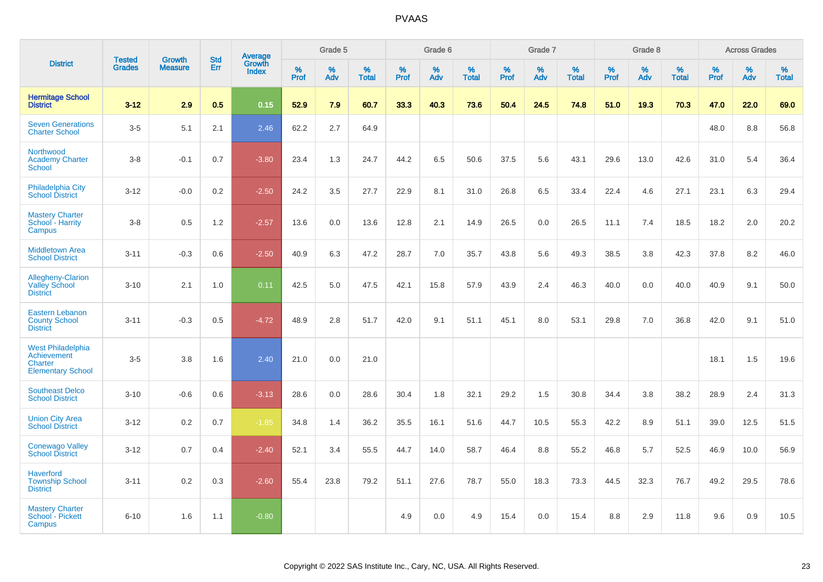|                                                                                |                                |                                 | <b>Std</b> | Average                |              | Grade 5     |                      |              | Grade 6  |                      |              | Grade 7  |                   |              | Grade 8  |                   |              | <b>Across Grades</b> |            |
|--------------------------------------------------------------------------------|--------------------------------|---------------------------------|------------|------------------------|--------------|-------------|----------------------|--------------|----------|----------------------|--------------|----------|-------------------|--------------|----------|-------------------|--------------|----------------------|------------|
| <b>District</b>                                                                | <b>Tested</b><br><b>Grades</b> | <b>Growth</b><br><b>Measure</b> | Err        | Growth<br><b>Index</b> | $\%$<br>Prof | $\%$<br>Adv | $\%$<br><b>Total</b> | $\%$<br>Prof | %<br>Adv | $\%$<br><b>Total</b> | $\%$<br>Prof | %<br>Adv | %<br><b>Total</b> | $\%$<br>Prof | %<br>Adv | %<br><b>Total</b> | $\%$<br>Prof | %<br>Adv             | %<br>Total |
| <b>Hermitage School</b><br><b>District</b>                                     | $3 - 12$                       | 2.9                             | 0.5        | 0.15                   | 52.9         | 7.9         | 60.7                 | 33.3         | 40.3     | 73.6                 | 50.4         | 24.5     | 74.8              | 51.0         | 19.3     | 70.3              | 47.0         | 22.0                 | 69.0       |
| <b>Seven Generations</b><br><b>Charter School</b>                              | $3-5$                          | 5.1                             | 2.1        | 2.46                   | 62.2         | 2.7         | 64.9                 |              |          |                      |              |          |                   |              |          |                   | 48.0         | 8.8                  | 56.8       |
| Northwood<br><b>Academy Charter</b><br>School                                  | $3-8$                          | $-0.1$                          | 0.7        | $-3.80$                | 23.4         | 1.3         | 24.7                 | 44.2         | 6.5      | 50.6                 | 37.5         | 5.6      | 43.1              | 29.6         | 13.0     | 42.6              | 31.0         | 5.4                  | 36.4       |
| <b>Philadelphia City</b><br><b>School District</b>                             | $3 - 12$                       | $-0.0$                          | $0.2\,$    | $-2.50$                | 24.2         | 3.5         | 27.7                 | 22.9         | 8.1      | 31.0                 | 26.8         | 6.5      | 33.4              | 22.4         | 4.6      | 27.1              | 23.1         | 6.3                  | 29.4       |
| <b>Mastery Charter</b><br>School - Harrity<br>Campus                           | $3-8$                          | 0.5                             | 1.2        | $-2.57$                | 13.6         | 0.0         | 13.6                 | 12.8         | 2.1      | 14.9                 | 26.5         | 0.0      | 26.5              | 11.1         | 7.4      | 18.5              | 18.2         | 2.0                  | 20.2       |
| <b>Middletown Area</b><br><b>School District</b>                               | $3 - 11$                       | $-0.3$                          | 0.6        | $-2.50$                | 40.9         | 6.3         | 47.2                 | 28.7         | 7.0      | 35.7                 | 43.8         | 5.6      | 49.3              | 38.5         | 3.8      | 42.3              | 37.8         | 8.2                  | 46.0       |
| <b>Allegheny-Clarion</b><br><b>Valley School</b><br><b>District</b>            | $3 - 10$                       | 2.1                             | 1.0        | 0.11                   | 42.5         | 5.0         | 47.5                 | 42.1         | 15.8     | 57.9                 | 43.9         | 2.4      | 46.3              | 40.0         | 0.0      | 40.0              | 40.9         | 9.1                  | 50.0       |
| <b>Eastern Lebanon</b><br><b>County School</b><br><b>District</b>              | $3 - 11$                       | $-0.3$                          | 0.5        | $-4.72$                | 48.9         | 2.8         | 51.7                 | 42.0         | 9.1      | 51.1                 | 45.1         | 8.0      | 53.1              | 29.8         | 7.0      | 36.8              | 42.0         | 9.1                  | 51.0       |
| <b>West Philadelphia</b><br>Achievement<br>Charter<br><b>Elementary School</b> | $3-5$                          | 3.8                             | 1.6        | 2.40                   | 21.0         | 0.0         | 21.0                 |              |          |                      |              |          |                   |              |          |                   | 18.1         | 1.5                  | 19.6       |
| <b>Southeast Delco</b><br><b>School District</b>                               | $3 - 10$                       | $-0.6$                          | 0.6        | $-3.13$                | 28.6         | 0.0         | 28.6                 | 30.4         | 1.8      | 32.1                 | 29.2         | 1.5      | 30.8              | 34.4         | 3.8      | 38.2              | 28.9         | 2.4                  | 31.3       |
| <b>Union City Area</b><br><b>School District</b>                               | $3 - 12$                       | 0.2                             | 0.7        | $-1.85$                | 34.8         | 1.4         | 36.2                 | 35.5         | 16.1     | 51.6                 | 44.7         | 10.5     | 55.3              | 42.2         | 8.9      | 51.1              | 39.0         | 12.5                 | 51.5       |
| <b>Conewago Valley</b><br><b>School District</b>                               | $3 - 12$                       | 0.7                             | 0.4        | $-2.40$                | 52.1         | 3.4         | 55.5                 | 44.7         | 14.0     | 58.7                 | 46.4         | 8.8      | 55.2              | 46.8         | 5.7      | 52.5              | 46.9         | 10.0                 | 56.9       |
| <b>Haverford</b><br><b>Township School</b><br><b>District</b>                  | $3 - 11$                       | 0.2                             | 0.3        | $-2.60$                | 55.4         | 23.8        | 79.2                 | 51.1         | 27.6     | 78.7                 | 55.0         | 18.3     | 73.3              | 44.5         | 32.3     | 76.7              | 49.2         | 29.5                 | 78.6       |
| <b>Mastery Charter</b><br>School - Pickett<br>Campus                           | $6 - 10$                       | 1.6                             | 1.1        | $-0.80$                |              |             |                      | 4.9          | 0.0      | 4.9                  | 15.4         | 0.0      | 15.4              | 8.8          | 2.9      | 11.8              | 9.6          | 0.9                  | 10.5       |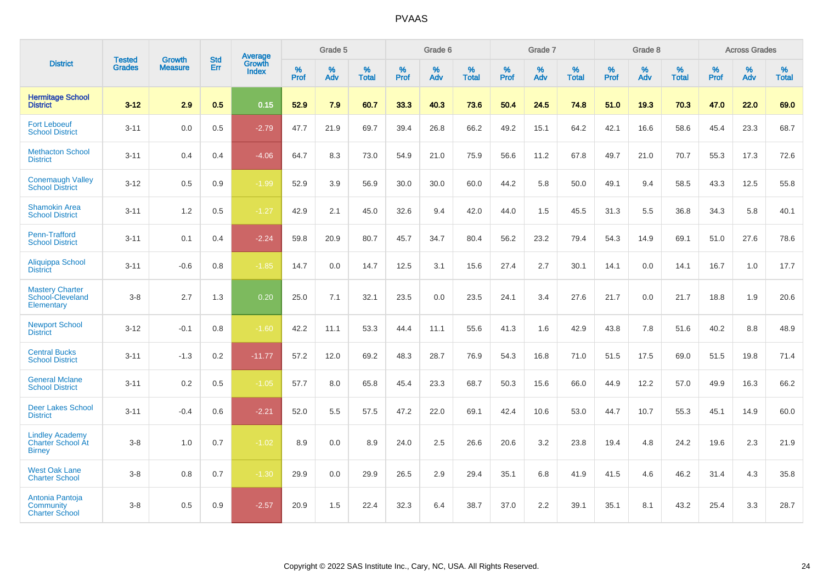|                                                                     | <b>Tested</b> | <b>Growth</b>  | <b>Std</b> | <b>Average</b>         |           | Grade 5  |                   |           | Grade 6  |                   |           | Grade 7  |                   |           | Grade 8  |                   |           | <b>Across Grades</b> |                   |
|---------------------------------------------------------------------|---------------|----------------|------------|------------------------|-----------|----------|-------------------|-----------|----------|-------------------|-----------|----------|-------------------|-----------|----------|-------------------|-----------|----------------------|-------------------|
| <b>District</b>                                                     | <b>Grades</b> | <b>Measure</b> | Err        | Growth<br><b>Index</b> | %<br>Prof | %<br>Adv | %<br><b>Total</b> | %<br>Prof | %<br>Adv | %<br><b>Total</b> | %<br>Prof | %<br>Adv | %<br><b>Total</b> | %<br>Prof | %<br>Adv | %<br><b>Total</b> | %<br>Prof | %<br>Adv             | %<br><b>Total</b> |
| <b>Hermitage School</b><br><b>District</b>                          | $3 - 12$      | 2.9            | 0.5        | 0.15                   | 52.9      | 7.9      | 60.7              | 33.3      | 40.3     | 73.6              | 50.4      | 24.5     | 74.8              | 51.0      | 19.3     | 70.3              | 47.0      | 22.0                 | 69.0              |
| <b>Fort Leboeuf</b><br><b>School District</b>                       | $3 - 11$      | 0.0            | 0.5        | $-2.79$                | 47.7      | 21.9     | 69.7              | 39.4      | 26.8     | 66.2              | 49.2      | 15.1     | 64.2              | 42.1      | 16.6     | 58.6              | 45.4      | 23.3                 | 68.7              |
| <b>Methacton School</b><br><b>District</b>                          | $3 - 11$      | 0.4            | 0.4        | $-4.06$                | 64.7      | 8.3      | 73.0              | 54.9      | 21.0     | 75.9              | 56.6      | 11.2     | 67.8              | 49.7      | 21.0     | 70.7              | 55.3      | 17.3                 | 72.6              |
| <b>Conemaugh Valley</b><br><b>School District</b>                   | $3 - 12$      | 0.5            | 0.9        | $-1.99$                | 52.9      | 3.9      | 56.9              | 30.0      | 30.0     | 60.0              | 44.2      | 5.8      | 50.0              | 49.1      | 9.4      | 58.5              | 43.3      | 12.5                 | 55.8              |
| <b>Shamokin Area</b><br><b>School District</b>                      | $3 - 11$      | 1.2            | 0.5        | $-1.27$                | 42.9      | 2.1      | 45.0              | 32.6      | 9.4      | 42.0              | 44.0      | 1.5      | 45.5              | 31.3      | 5.5      | 36.8              | 34.3      | 5.8                  | 40.1              |
| Penn-Trafford<br><b>School District</b>                             | $3 - 11$      | 0.1            | 0.4        | $-2.24$                | 59.8      | 20.9     | 80.7              | 45.7      | 34.7     | 80.4              | 56.2      | 23.2     | 79.4              | 54.3      | 14.9     | 69.1              | 51.0      | 27.6                 | 78.6              |
| Aliquippa School<br><b>District</b>                                 | $3 - 11$      | $-0.6$         | 0.8        | $-1.85$                | 14.7      | 0.0      | 14.7              | 12.5      | 3.1      | 15.6              | 27.4      | 2.7      | 30.1              | 14.1      | 0.0      | 14.1              | 16.7      | 1.0                  | 17.7              |
| <b>Mastery Charter</b><br>School-Cleveland<br>Elementary            | $3 - 8$       | 2.7            | 1.3        | 0.20                   | 25.0      | 7.1      | 32.1              | 23.5      | 0.0      | 23.5              | 24.1      | 3.4      | 27.6              | 21.7      | 0.0      | 21.7              | 18.8      | 1.9                  | 20.6              |
| <b>Newport School</b><br><b>District</b>                            | $3 - 12$      | $-0.1$         | 0.8        | $-1.60$                | 42.2      | 11.1     | 53.3              | 44.4      | 11.1     | 55.6              | 41.3      | 1.6      | 42.9              | 43.8      | 7.8      | 51.6              | 40.2      | 8.8                  | 48.9              |
| <b>Central Bucks</b><br><b>School District</b>                      | $3 - 11$      | $-1.3$         | 0.2        | $-11.77$               | 57.2      | 12.0     | 69.2              | 48.3      | 28.7     | 76.9              | 54.3      | 16.8     | 71.0              | 51.5      | 17.5     | 69.0              | 51.5      | 19.8                 | 71.4              |
| <b>General Mclane</b><br><b>School District</b>                     | $3 - 11$      | 0.2            | 0.5        | $-1.05$                | 57.7      | 8.0      | 65.8              | 45.4      | 23.3     | 68.7              | 50.3      | 15.6     | 66.0              | 44.9      | 12.2     | 57.0              | 49.9      | 16.3                 | 66.2              |
| <b>Deer Lakes School</b><br><b>District</b>                         | $3 - 11$      | $-0.4$         | 0.6        | $-2.21$                | 52.0      | 5.5      | 57.5              | 47.2      | 22.0     | 69.1              | 42.4      | 10.6     | 53.0              | 44.7      | 10.7     | 55.3              | 45.1      | 14.9                 | 60.0              |
| <b>Lindley Academy</b><br><b>Charter School At</b><br><b>Birney</b> | $3 - 8$       | 1.0            | 0.7        | $-1.02$                | 8.9       | 0.0      | 8.9               | 24.0      | 2.5      | 26.6              | 20.6      | 3.2      | 23.8              | 19.4      | 4.8      | 24.2              | 19.6      | 2.3                  | 21.9              |
| <b>West Oak Lane</b><br><b>Charter School</b>                       | $3 - 8$       | 0.8            | 0.7        | $-1.30$                | 29.9      | 0.0      | 29.9              | 26.5      | 2.9      | 29.4              | 35.1      | 6.8      | 41.9              | 41.5      | 4.6      | 46.2              | 31.4      | 4.3                  | 35.8              |
| Antonia Pantoja<br>Community<br><b>Charter School</b>               | $3 - 8$       | 0.5            | 0.9        | $-2.57$                | 20.9      | 1.5      | 22.4              | 32.3      | 6.4      | 38.7              | 37.0      | 2.2      | 39.1              | 35.1      | 8.1      | 43.2              | 25.4      | 3.3                  | 28.7              |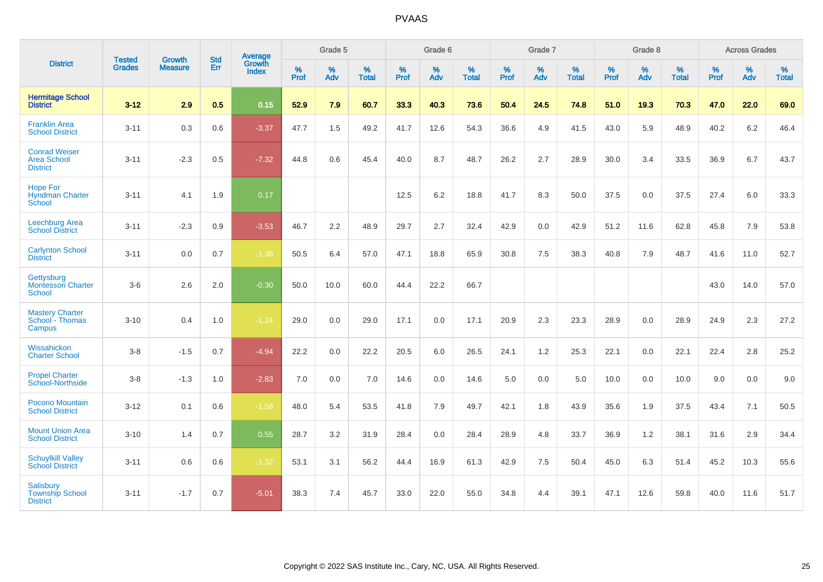|                                                               | <b>Tested</b> | <b>Growth</b>  | <b>Std</b> | Average                       |                     | Grade 5  |                   |                     | Grade 6  |                   |              | Grade 7  |                   |              | Grade 8     |                   |                     | <b>Across Grades</b> |                   |
|---------------------------------------------------------------|---------------|----------------|------------|-------------------------------|---------------------|----------|-------------------|---------------------|----------|-------------------|--------------|----------|-------------------|--------------|-------------|-------------------|---------------------|----------------------|-------------------|
| <b>District</b>                                               | <b>Grades</b> | <b>Measure</b> | Err        | <b>Growth</b><br><b>Index</b> | $\%$<br><b>Prof</b> | %<br>Adv | %<br><b>Total</b> | $\%$<br><b>Prof</b> | %<br>Adv | %<br><b>Total</b> | $\%$<br>Prof | %<br>Adv | %<br><b>Total</b> | $\%$<br>Prof | $\%$<br>Adv | %<br><b>Total</b> | $\%$<br><b>Prof</b> | %<br>Adv             | %<br><b>Total</b> |
| <b>Hermitage School</b><br><b>District</b>                    | $3 - 12$      | 2.9            | 0.5        | 0.15                          | 52.9                | 7.9      | 60.7              | 33.3                | 40.3     | 73.6              | 50.4         | 24.5     | 74.8              | 51.0         | 19.3        | 70.3              | 47.0                | 22.0                 | 69.0              |
| <b>Franklin Area</b><br><b>School District</b>                | $3 - 11$      | 0.3            | 0.6        | $-3.37$                       | 47.7                | 1.5      | 49.2              | 41.7                | 12.6     | 54.3              | 36.6         | 4.9      | 41.5              | 43.0         | 5.9         | 48.9              | 40.2                | 6.2                  | 46.4              |
| <b>Conrad Weiser</b><br><b>Area School</b><br><b>District</b> | $3 - 11$      | $-2.3$         | 0.5        | $-7.32$                       | 44.8                | 0.6      | 45.4              | 40.0                | 8.7      | 48.7              | 26.2         | 2.7      | 28.9              | 30.0         | 3.4         | 33.5              | 36.9                | 6.7                  | 43.7              |
| <b>Hope For</b><br><b>Hyndman Charter</b><br>School           | $3 - 11$      | 4.1            | 1.9        | 0.17                          |                     |          |                   | 12.5                | 6.2      | 18.8              | 41.7         | 8.3      | 50.0              | 37.5         | 0.0         | 37.5              | 27.4                | 6.0                  | 33.3              |
| Leechburg Area<br><b>School District</b>                      | $3 - 11$      | $-2.3$         | 0.9        | $-3.53$                       | 46.7                | 2.2      | 48.9              | 29.7                | 2.7      | 32.4              | 42.9         | 0.0      | 42.9              | 51.2         | 11.6        | 62.8              | 45.8                | 7.9                  | 53.8              |
| <b>Carlynton School</b><br><b>District</b>                    | $3 - 11$      | 0.0            | 0.7        | $-1.38$                       | 50.5                | 6.4      | 57.0              | 47.1                | 18.8     | 65.9              | 30.8         | 7.5      | 38.3              | 40.8         | 7.9         | 48.7              | 41.6                | 11.0                 | 52.7              |
| Gettysburg<br><b>Montessori Charter</b><br>School             | $3-6$         | 2.6            | 2.0        | $-0.30$                       | 50.0                | 10.0     | 60.0              | 44.4                | 22.2     | 66.7              |              |          |                   |              |             |                   | 43.0                | 14.0                 | 57.0              |
| <b>Mastery Charter</b><br>School - Thomas<br>Campus           | $3 - 10$      | 0.4            | 1.0        | $-1.24$                       | 29.0                | 0.0      | 29.0              | 17.1                | 0.0      | 17.1              | 20.9         | 2.3      | 23.3              | 28.9         | 0.0         | 28.9              | 24.9                | 2.3                  | 27.2              |
| Wissahickon<br><b>Charter School</b>                          | $3 - 8$       | $-1.5$         | 0.7        | $-4.94$                       | 22.2                | 0.0      | 22.2              | 20.5                | 6.0      | 26.5              | 24.1         | 1.2      | 25.3              | 22.1         | 0.0         | 22.1              | 22.4                | 2.8                  | 25.2              |
| <b>Propel Charter</b><br>School-Northside                     | $3-8$         | $-1.3$         | 1.0        | $-2.83$                       | 7.0                 | 0.0      | 7.0               | 14.6                | 0.0      | 14.6              | 5.0          | 0.0      | 5.0               | 10.0         | 0.0         | 10.0              | 9.0                 | 0.0                  | 9.0               |
| Pocono Mountain<br><b>School District</b>                     | $3 - 12$      | 0.1            | 0.6        | $-1.58$                       | 48.0                | 5.4      | 53.5              | 41.8                | 7.9      | 49.7              | 42.1         | 1.8      | 43.9              | 35.6         | 1.9         | 37.5              | 43.4                | 7.1                  | 50.5              |
| <b>Mount Union Area</b><br><b>School District</b>             | $3 - 10$      | 1.4            | 0.7        | 0.55                          | 28.7                | 3.2      | 31.9              | 28.4                | 0.0      | 28.4              | 28.9         | 4.8      | 33.7              | 36.9         | 1.2         | 38.1              | 31.6                | 2.9                  | 34.4              |
| <b>Schuylkill Valley</b><br><b>School District</b>            | $3 - 11$      | 0.6            | 0.6        | $-1.32$                       | 53.1                | 3.1      | 56.2              | 44.4                | 16.9     | 61.3              | 42.9         | 7.5      | 50.4              | 45.0         | 6.3         | 51.4              | 45.2                | 10.3                 | 55.6              |
| <b>Salisbury</b><br><b>Township School</b><br><b>District</b> | $3 - 11$      | $-1.7$         | 0.7        | $-5.01$                       | 38.3                | 7.4      | 45.7              | 33.0                | 22.0     | 55.0              | 34.8         | 4.4      | 39.1              | 47.1         | 12.6        | 59.8              | 40.0                | 11.6                 | 51.7              |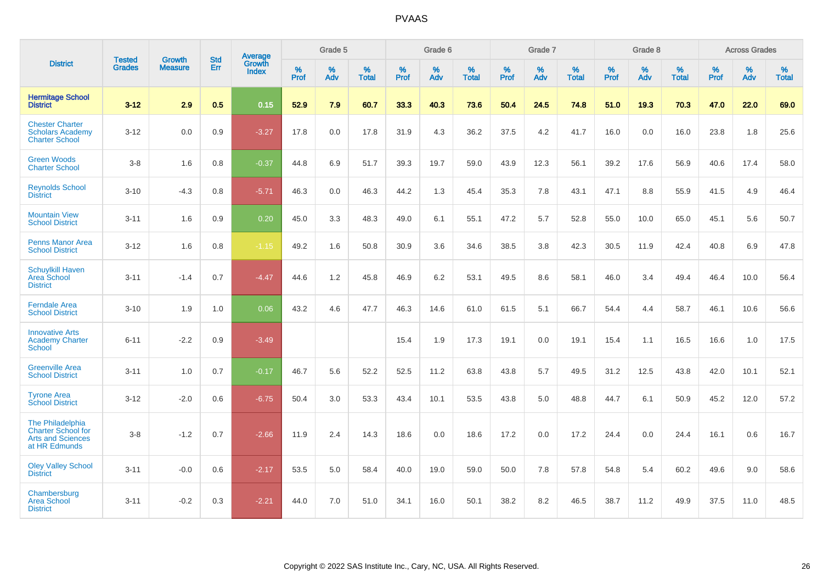|                                                                                            |                                |                                 | <b>Std</b> | Average                       |              | Grade 5  |                   |           | Grade 6  |                   |           | Grade 7  |                   |           | Grade 8  |                   |           | <b>Across Grades</b> |                   |
|--------------------------------------------------------------------------------------------|--------------------------------|---------------------------------|------------|-------------------------------|--------------|----------|-------------------|-----------|----------|-------------------|-----------|----------|-------------------|-----------|----------|-------------------|-----------|----------------------|-------------------|
| <b>District</b>                                                                            | <b>Tested</b><br><b>Grades</b> | <b>Growth</b><br><b>Measure</b> | Err        | <b>Growth</b><br><b>Index</b> | $\%$<br>Prof | %<br>Adv | %<br><b>Total</b> | %<br>Prof | %<br>Adv | %<br><b>Total</b> | %<br>Prof | %<br>Adv | %<br><b>Total</b> | %<br>Prof | %<br>Adv | %<br><b>Total</b> | %<br>Prof | %<br>Adv             | %<br><b>Total</b> |
| <b>Hermitage School</b><br><b>District</b>                                                 | $3-12$                         | 2.9                             | 0.5        | 0.15                          | 52.9         | 7.9      | 60.7              | 33.3      | 40.3     | 73.6              | 50.4      | 24.5     | 74.8              | 51.0      | 19.3     | 70.3              | 47.0      | 22.0                 | 69.0              |
| <b>Chester Charter</b><br><b>Scholars Academy</b><br><b>Charter School</b>                 | $3 - 12$                       | 0.0                             | 0.9        | $-3.27$                       | 17.8         | 0.0      | 17.8              | 31.9      | 4.3      | 36.2              | 37.5      | 4.2      | 41.7              | 16.0      | 0.0      | 16.0              | 23.8      | 1.8                  | 25.6              |
| <b>Green Woods</b><br><b>Charter School</b>                                                | $3-8$                          | 1.6                             | 0.8        | $-0.37$                       | 44.8         | 6.9      | 51.7              | 39.3      | 19.7     | 59.0              | 43.9      | 12.3     | 56.1              | 39.2      | 17.6     | 56.9              | 40.6      | 17.4                 | 58.0              |
| <b>Reynolds School</b><br><b>District</b>                                                  | $3 - 10$                       | $-4.3$                          | 0.8        | $-5.71$                       | 46.3         | 0.0      | 46.3              | 44.2      | 1.3      | 45.4              | 35.3      | 7.8      | 43.1              | 47.1      | 8.8      | 55.9              | 41.5      | 4.9                  | 46.4              |
| <b>Mountain View</b><br><b>School District</b>                                             | $3 - 11$                       | 1.6                             | 0.9        | 0.20                          | 45.0         | 3.3      | 48.3              | 49.0      | 6.1      | 55.1              | 47.2      | 5.7      | 52.8              | 55.0      | 10.0     | 65.0              | 45.1      | 5.6                  | 50.7              |
| <b>Penns Manor Area</b><br><b>School District</b>                                          | $3 - 12$                       | 1.6                             | 0.8        | $-1.15$                       | 49.2         | 1.6      | 50.8              | 30.9      | 3.6      | 34.6              | 38.5      | 3.8      | 42.3              | 30.5      | 11.9     | 42.4              | 40.8      | 6.9                  | 47.8              |
| <b>Schuylkill Haven</b><br>Area School<br><b>District</b>                                  | $3 - 11$                       | $-1.4$                          | 0.7        | $-4.47$                       | 44.6         | 1.2      | 45.8              | 46.9      | 6.2      | 53.1              | 49.5      | 8.6      | 58.1              | 46.0      | 3.4      | 49.4              | 46.4      | 10.0                 | 56.4              |
| <b>Ferndale Area</b><br><b>School District</b>                                             | $3 - 10$                       | 1.9                             | 1.0        | 0.06                          | 43.2         | 4.6      | 47.7              | 46.3      | 14.6     | 61.0              | 61.5      | 5.1      | 66.7              | 54.4      | 4.4      | 58.7              | 46.1      | 10.6                 | 56.6              |
| <b>Innovative Arts</b><br><b>Academy Charter</b><br>School                                 | $6 - 11$                       | $-2.2$                          | 0.9        | $-3.49$                       |              |          |                   | 15.4      | 1.9      | 17.3              | 19.1      | 0.0      | 19.1              | 15.4      | 1.1      | 16.5              | 16.6      | 1.0                  | 17.5              |
| <b>Greenville Area</b><br><b>School District</b>                                           | $3 - 11$                       | 1.0                             | 0.7        | $-0.17$                       | 46.7         | 5.6      | 52.2              | 52.5      | 11.2     | 63.8              | 43.8      | 5.7      | 49.5              | 31.2      | 12.5     | 43.8              | 42.0      | 10.1                 | 52.1              |
| <b>Tyrone Area</b><br><b>School District</b>                                               | $3 - 12$                       | $-2.0$                          | 0.6        | $-6.75$                       | 50.4         | 3.0      | 53.3              | 43.4      | 10.1     | 53.5              | 43.8      | 5.0      | 48.8              | 44.7      | 6.1      | 50.9              | 45.2      | 12.0                 | 57.2              |
| The Philadelphia<br><b>Charter School for</b><br><b>Arts and Sciences</b><br>at HR Edmunds | $3-8$                          | $-1.2$                          | 0.7        | $-2.66$                       | 11.9         | 2.4      | 14.3              | 18.6      | 0.0      | 18.6              | 17.2      | 0.0      | 17.2              | 24.4      | 0.0      | 24.4              | 16.1      | 0.6                  | 16.7              |
| <b>Oley Valley School</b><br><b>District</b>                                               | $3 - 11$                       | $-0.0$                          | 0.6        | $-2.17$                       | 53.5         | 5.0      | 58.4              | 40.0      | 19.0     | 59.0              | 50.0      | 7.8      | 57.8              | 54.8      | 5.4      | 60.2              | 49.6      | 9.0                  | 58.6              |
| Chambersburg<br><b>Area School</b><br><b>District</b>                                      | $3 - 11$                       | $-0.2$                          | 0.3        | $-2.21$                       | 44.0         | 7.0      | 51.0              | 34.1      | 16.0     | 50.1              | 38.2      | 8.2      | 46.5              | 38.7      | 11.2     | 49.9              | 37.5      | 11.0                 | 48.5              |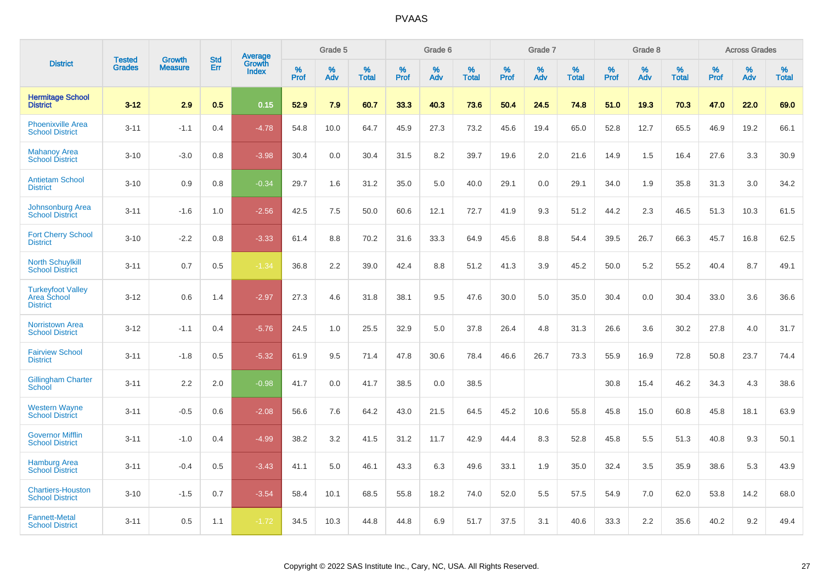|                                                            | <b>Tested</b> | <b>Growth</b>  | <b>Std</b> | Average                |              | Grade 5  |                      |                     | Grade 6     |                      |              | Grade 7     |                   |              | Grade 8     |                   |                     | <b>Across Grades</b> |                   |
|------------------------------------------------------------|---------------|----------------|------------|------------------------|--------------|----------|----------------------|---------------------|-------------|----------------------|--------------|-------------|-------------------|--------------|-------------|-------------------|---------------------|----------------------|-------------------|
| <b>District</b>                                            | <b>Grades</b> | <b>Measure</b> | Err        | Growth<br><b>Index</b> | $\%$<br>Prof | %<br>Adv | $\%$<br><b>Total</b> | $\%$<br><b>Prof</b> | $\%$<br>Adv | $\%$<br><b>Total</b> | $\%$<br>Prof | $\%$<br>Adv | %<br><b>Total</b> | $\%$<br>Prof | $\%$<br>Adv | %<br><b>Total</b> | $\%$<br><b>Prof</b> | $\%$<br>Adv          | %<br><b>Total</b> |
| <b>Hermitage School</b><br><b>District</b>                 | $3 - 12$      | 2.9            | 0.5        | 0.15                   | 52.9         | 7.9      | 60.7                 | 33.3                | 40.3        | 73.6                 | 50.4         | 24.5        | 74.8              | 51.0         | 19.3        | 70.3              | 47.0                | 22.0                 | 69.0              |
| <b>Phoenixville Area</b><br><b>School District</b>         | $3 - 11$      | $-1.1$         | 0.4        | $-4.78$                | 54.8         | 10.0     | 64.7                 | 45.9                | 27.3        | 73.2                 | 45.6         | 19.4        | 65.0              | 52.8         | 12.7        | 65.5              | 46.9                | 19.2                 | 66.1              |
| <b>Mahanoy Area</b><br><b>School District</b>              | $3 - 10$      | $-3.0$         | 0.8        | $-3.98$                | 30.4         | 0.0      | 30.4                 | 31.5                | 8.2         | 39.7                 | 19.6         | 2.0         | 21.6              | 14.9         | 1.5         | 16.4              | 27.6                | 3.3                  | 30.9              |
| <b>Antietam School</b><br><b>District</b>                  | $3 - 10$      | 0.9            | 0.8        | $-0.34$                | 29.7         | 1.6      | 31.2                 | 35.0                | 5.0         | 40.0                 | 29.1         | 0.0         | 29.1              | 34.0         | 1.9         | 35.8              | 31.3                | 3.0                  | 34.2              |
| <b>Johnsonburg Area</b><br><b>School District</b>          | $3 - 11$      | $-1.6$         | 1.0        | $-2.56$                | 42.5         | 7.5      | 50.0                 | 60.6                | 12.1        | 72.7                 | 41.9         | 9.3         | 51.2              | 44.2         | 2.3         | 46.5              | 51.3                | 10.3                 | 61.5              |
| <b>Fort Cherry School</b><br><b>District</b>               | $3 - 10$      | $-2.2$         | 0.8        | $-3.33$                | 61.4         | 8.8      | 70.2                 | 31.6                | 33.3        | 64.9                 | 45.6         | 8.8         | 54.4              | 39.5         | 26.7        | 66.3              | 45.7                | 16.8                 | 62.5              |
| <b>North Schuylkill</b><br><b>School District</b>          | $3 - 11$      | 0.7            | 0.5        | $-1.34$                | 36.8         | 2.2      | 39.0                 | 42.4                | 8.8         | 51.2                 | 41.3         | 3.9         | 45.2              | 50.0         | 5.2         | 55.2              | 40.4                | 8.7                  | 49.1              |
| <b>Turkeyfoot Valley</b><br>Area School<br><b>District</b> | $3 - 12$      | 0.6            | 1.4        | $-2.97$                | 27.3         | 4.6      | 31.8                 | 38.1                | 9.5         | 47.6                 | 30.0         | 5.0         | 35.0              | 30.4         | 0.0         | 30.4              | 33.0                | 3.6                  | 36.6              |
| <b>Norristown Area</b><br><b>School District</b>           | $3 - 12$      | $-1.1$         | 0.4        | $-5.76$                | 24.5         | 1.0      | 25.5                 | 32.9                | 5.0         | 37.8                 | 26.4         | 4.8         | 31.3              | 26.6         | 3.6         | 30.2              | 27.8                | 4.0                  | 31.7              |
| <b>Fairview School</b><br><b>District</b>                  | $3 - 11$      | $-1.8$         | 0.5        | $-5.32$                | 61.9         | 9.5      | 71.4                 | 47.8                | 30.6        | 78.4                 | 46.6         | 26.7        | 73.3              | 55.9         | 16.9        | 72.8              | 50.8                | 23.7                 | 74.4              |
| <b>Gillingham Charter</b><br>School                        | $3 - 11$      | 2.2            | 2.0        | $-0.98$                | 41.7         | 0.0      | 41.7                 | 38.5                | 0.0         | 38.5                 |              |             |                   | 30.8         | 15.4        | 46.2              | 34.3                | 4.3                  | 38.6              |
| <b>Western Wayne</b><br><b>School District</b>             | $3 - 11$      | $-0.5$         | 0.6        | $-2.08$                | 56.6         | 7.6      | 64.2                 | 43.0                | 21.5        | 64.5                 | 45.2         | 10.6        | 55.8              | 45.8         | 15.0        | 60.8              | 45.8                | 18.1                 | 63.9              |
| <b>Governor Mifflin</b><br><b>School District</b>          | $3 - 11$      | $-1.0$         | 0.4        | $-4.99$                | 38.2         | 3.2      | 41.5                 | 31.2                | 11.7        | 42.9                 | 44.4         | 8.3         | 52.8              | 45.8         | 5.5         | 51.3              | 40.8                | 9.3                  | 50.1              |
| <b>Hamburg Area</b><br><b>School District</b>              | $3 - 11$      | $-0.4$         | 0.5        | $-3.43$                | 41.1         | 5.0      | 46.1                 | 43.3                | 6.3         | 49.6                 | 33.1         | 1.9         | 35.0              | 32.4         | 3.5         | 35.9              | 38.6                | 5.3                  | 43.9              |
| <b>Chartiers-Houston</b><br><b>School District</b>         | $3 - 10$      | $-1.5$         | 0.7        | $-3.54$                | 58.4         | 10.1     | 68.5                 | 55.8                | 18.2        | 74.0                 | 52.0         | 5.5         | 57.5              | 54.9         | 7.0         | 62.0              | 53.8                | 14.2                 | 68.0              |
| <b>Fannett-Metal</b><br><b>School District</b>             | $3 - 11$      | 0.5            | 1.1        | $-1.72$                | 34.5         | 10.3     | 44.8                 | 44.8                | 6.9         | 51.7                 | 37.5         | 3.1         | 40.6              | 33.3         | 2.2         | 35.6              | 40.2                | 9.2                  | 49.4              |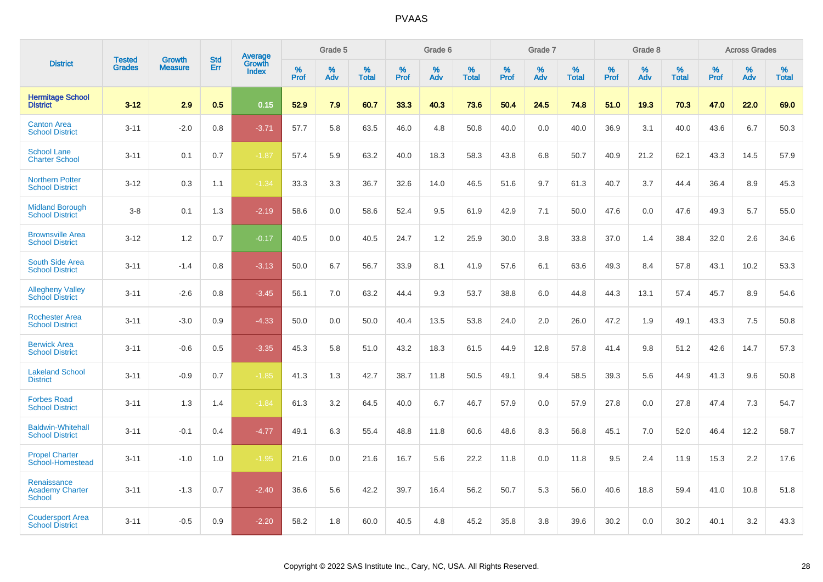|                                                        | <b>Tested</b> | <b>Growth</b>  | <b>Std</b> | Average                |              | Grade 5  |                      |                     | Grade 6     |                      |              | Grade 7     |                   |              | Grade 8     |                   |                     | <b>Across Grades</b> |                   |
|--------------------------------------------------------|---------------|----------------|------------|------------------------|--------------|----------|----------------------|---------------------|-------------|----------------------|--------------|-------------|-------------------|--------------|-------------|-------------------|---------------------|----------------------|-------------------|
| <b>District</b>                                        | <b>Grades</b> | <b>Measure</b> | Err        | Growth<br><b>Index</b> | $\%$<br>Prof | %<br>Adv | $\%$<br><b>Total</b> | $\%$<br><b>Prof</b> | $\%$<br>Adv | $\%$<br><b>Total</b> | $\%$<br>Prof | $\%$<br>Adv | %<br><b>Total</b> | $\%$<br>Prof | $\%$<br>Adv | %<br><b>Total</b> | $\%$<br><b>Prof</b> | $\%$<br>Adv          | %<br><b>Total</b> |
| <b>Hermitage School</b><br><b>District</b>             | $3 - 12$      | 2.9            | 0.5        | 0.15                   | 52.9         | 7.9      | 60.7                 | 33.3                | 40.3        | 73.6                 | 50.4         | 24.5        | 74.8              | 51.0         | 19.3        | 70.3              | 47.0                | 22.0                 | 69.0              |
| <b>Canton Area</b><br><b>School District</b>           | $3 - 11$      | $-2.0$         | 0.8        | $-3.71$                | 57.7         | 5.8      | 63.5                 | 46.0                | 4.8         | 50.8                 | 40.0         | 0.0         | 40.0              | 36.9         | 3.1         | 40.0              | 43.6                | 6.7                  | 50.3              |
| <b>School Lane</b><br><b>Charter School</b>            | $3 - 11$      | 0.1            | 0.7        | $-1.87$                | 57.4         | 5.9      | 63.2                 | 40.0                | 18.3        | 58.3                 | 43.8         | 6.8         | 50.7              | 40.9         | 21.2        | 62.1              | 43.3                | 14.5                 | 57.9              |
| <b>Northern Potter</b><br><b>School District</b>       | $3 - 12$      | 0.3            | 1.1        | $-1.34$                | 33.3         | 3.3      | 36.7                 | 32.6                | 14.0        | 46.5                 | 51.6         | 9.7         | 61.3              | 40.7         | 3.7         | 44.4              | 36.4                | 8.9                  | 45.3              |
| <b>Midland Borough</b><br><b>School District</b>       | $3 - 8$       | 0.1            | 1.3        | $-2.19$                | 58.6         | 0.0      | 58.6                 | 52.4                | 9.5         | 61.9                 | 42.9         | 7.1         | 50.0              | 47.6         | 0.0         | 47.6              | 49.3                | 5.7                  | 55.0              |
| <b>Brownsville Area</b><br><b>School District</b>      | $3 - 12$      | 1.2            | 0.7        | $-0.17$                | 40.5         | 0.0      | 40.5                 | 24.7                | 1.2         | 25.9                 | 30.0         | 3.8         | 33.8              | 37.0         | 1.4         | 38.4              | 32.0                | 2.6                  | 34.6              |
| <b>South Side Area</b><br><b>School District</b>       | $3 - 11$      | $-1.4$         | 0.8        | $-3.13$                | 50.0         | 6.7      | 56.7                 | 33.9                | 8.1         | 41.9                 | 57.6         | 6.1         | 63.6              | 49.3         | 8.4         | 57.8              | 43.1                | 10.2                 | 53.3              |
| <b>Allegheny Valley</b><br><b>School District</b>      | $3 - 11$      | $-2.6$         | 0.8        | $-3.45$                | 56.1         | 7.0      | 63.2                 | 44.4                | 9.3         | 53.7                 | 38.8         | 6.0         | 44.8              | 44.3         | 13.1        | 57.4              | 45.7                | 8.9                  | 54.6              |
| <b>Rochester Area</b><br><b>School District</b>        | $3 - 11$      | $-3.0$         | 0.9        | $-4.33$                | 50.0         | 0.0      | 50.0                 | 40.4                | 13.5        | 53.8                 | 24.0         | 2.0         | 26.0              | 47.2         | 1.9         | 49.1              | 43.3                | 7.5                  | 50.8              |
| <b>Berwick Area</b><br><b>School District</b>          | $3 - 11$      | $-0.6$         | 0.5        | $-3.35$                | 45.3         | 5.8      | 51.0                 | 43.2                | 18.3        | 61.5                 | 44.9         | 12.8        | 57.8              | 41.4         | 9.8         | 51.2              | 42.6                | 14.7                 | 57.3              |
| <b>Lakeland School</b><br><b>District</b>              | $3 - 11$      | $-0.9$         | 0.7        | $-1.85$                | 41.3         | 1.3      | 42.7                 | 38.7                | 11.8        | 50.5                 | 49.1         | 9.4         | 58.5              | 39.3         | 5.6         | 44.9              | 41.3                | 9.6                  | 50.8              |
| <b>Forbes Road</b><br><b>School District</b>           | $3 - 11$      | 1.3            | 1.4        | $-1.84$                | 61.3         | 3.2      | 64.5                 | 40.0                | 6.7         | 46.7                 | 57.9         | 0.0         | 57.9              | 27.8         | 0.0         | 27.8              | 47.4                | 7.3                  | 54.7              |
| <b>Baldwin-Whitehall</b><br><b>School District</b>     | $3 - 11$      | $-0.1$         | 0.4        | $-4.77$                | 49.1         | 6.3      | 55.4                 | 48.8                | 11.8        | 60.6                 | 48.6         | 8.3         | 56.8              | 45.1         | 7.0         | 52.0              | 46.4                | 12.2                 | 58.7              |
| <b>Propel Charter</b><br>School-Homestead              | $3 - 11$      | $-1.0$         | 1.0        | $-1.95$                | 21.6         | 0.0      | 21.6                 | 16.7                | 5.6         | 22.2                 | 11.8         | 0.0         | 11.8              | 9.5          | 2.4         | 11.9              | 15.3                | 2.2                  | 17.6              |
| Renaissance<br><b>Academy Charter</b><br><b>School</b> | $3 - 11$      | $-1.3$         | 0.7        | $-2.40$                | 36.6         | 5.6      | 42.2                 | 39.7                | 16.4        | 56.2                 | 50.7         | 5.3         | 56.0              | 40.6         | 18.8        | 59.4              | 41.0                | 10.8                 | 51.8              |
| <b>Coudersport Area</b><br><b>School District</b>      | $3 - 11$      | $-0.5$         | 0.9        | $-2.20$                | 58.2         | 1.8      | 60.0                 | 40.5                | 4.8         | 45.2                 | 35.8         | 3.8         | 39.6              | 30.2         | 0.0         | 30.2              | 40.1                | 3.2                  | 43.3              |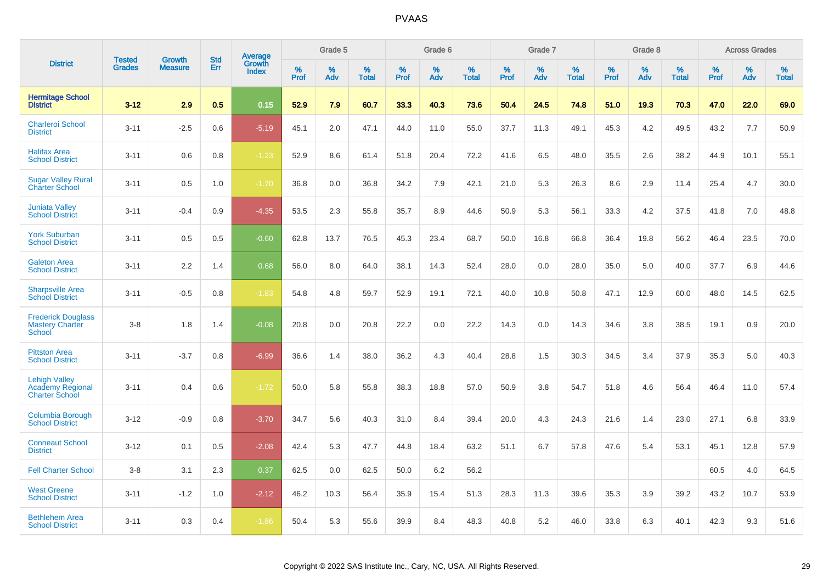|                                                                   | <b>Tested</b> | <b>Growth</b>  | <b>Std</b> | Average                |              | Grade 5     |                      |                     | Grade 6     |                      |              | Grade 7     |                      |              | Grade 8     |                      |                     | <b>Across Grades</b> |                      |
|-------------------------------------------------------------------|---------------|----------------|------------|------------------------|--------------|-------------|----------------------|---------------------|-------------|----------------------|--------------|-------------|----------------------|--------------|-------------|----------------------|---------------------|----------------------|----------------------|
| <b>District</b>                                                   | <b>Grades</b> | <b>Measure</b> | Err        | Growth<br><b>Index</b> | $\%$<br>Prof | $\%$<br>Adv | $\%$<br><b>Total</b> | $\%$<br><b>Prof</b> | $\%$<br>Adv | $\%$<br><b>Total</b> | $\%$<br>Prof | $\%$<br>Adv | $\%$<br><b>Total</b> | $\%$<br>Prof | $\%$<br>Adv | $\%$<br><b>Total</b> | $\%$<br><b>Prof</b> | $\%$<br>Adv          | $\%$<br><b>Total</b> |
| <b>Hermitage School</b><br><b>District</b>                        | $3 - 12$      | 2.9            | 0.5        | 0.15                   | 52.9         | 7.9         | 60.7                 | 33.3                | 40.3        | 73.6                 | 50.4         | 24.5        | 74.8                 | 51.0         | 19.3        | 70.3                 | 47.0                | 22.0                 | 69.0                 |
| <b>Charleroi School</b><br><b>District</b>                        | $3 - 11$      | $-2.5$         | 0.6        | $-5.19$                | 45.1         | 2.0         | 47.1                 | 44.0                | 11.0        | 55.0                 | 37.7         | 11.3        | 49.1                 | 45.3         | 4.2         | 49.5                 | 43.2                | 7.7                  | 50.9                 |
| <b>Halifax Area</b><br><b>School District</b>                     | $3 - 11$      | 0.6            | 0.8        | $-1.23$                | 52.9         | 8.6         | 61.4                 | 51.8                | 20.4        | 72.2                 | 41.6         | 6.5         | 48.0                 | 35.5         | 2.6         | 38.2                 | 44.9                | 10.1                 | 55.1                 |
| <b>Sugar Valley Rural</b><br><b>Charter School</b>                | $3 - 11$      | 0.5            | 1.0        | $-1.70$                | 36.8         | 0.0         | 36.8                 | 34.2                | 7.9         | 42.1                 | 21.0         | 5.3         | 26.3                 | 8.6          | 2.9         | 11.4                 | 25.4                | 4.7                  | 30.0                 |
| <b>Juniata Valley</b><br><b>School District</b>                   | $3 - 11$      | $-0.4$         | 0.9        | $-4.35$                | 53.5         | 2.3         | 55.8                 | 35.7                | 8.9         | 44.6                 | 50.9         | 5.3         | 56.1                 | 33.3         | 4.2         | 37.5                 | 41.8                | 7.0                  | 48.8                 |
| <b>York Suburban</b><br><b>School District</b>                    | $3 - 11$      | 0.5            | 0.5        | $-0.60$                | 62.8         | 13.7        | 76.5                 | 45.3                | 23.4        | 68.7                 | 50.0         | 16.8        | 66.8                 | 36.4         | 19.8        | 56.2                 | 46.4                | 23.5                 | 70.0                 |
| <b>Galeton Area</b><br><b>School District</b>                     | $3 - 11$      | 2.2            | 1.4        | 0.68                   | 56.0         | 8.0         | 64.0                 | 38.1                | 14.3        | 52.4                 | 28.0         | 0.0         | 28.0                 | 35.0         | 5.0         | 40.0                 | 37.7                | 6.9                  | 44.6                 |
| <b>Sharpsville Area</b><br><b>School District</b>                 | $3 - 11$      | $-0.5$         | 0.8        | $-1.83$                | 54.8         | 4.8         | 59.7                 | 52.9                | 19.1        | 72.1                 | 40.0         | 10.8        | 50.8                 | 47.1         | 12.9        | 60.0                 | 48.0                | 14.5                 | 62.5                 |
| <b>Frederick Douglass</b><br><b>Mastery Charter</b><br>School     | $3-8$         | 1.8            | 1.4        | $-0.08$                | 20.8         | 0.0         | 20.8                 | 22.2                | 0.0         | 22.2                 | 14.3         | 0.0         | 14.3                 | 34.6         | 3.8         | 38.5                 | 19.1                | 0.9                  | 20.0                 |
| <b>Pittston Area</b><br><b>School District</b>                    | $3 - 11$      | $-3.7$         | 0.8        | $-6.99$                | 36.6         | 1.4         | 38.0                 | 36.2                | 4.3         | 40.4                 | 28.8         | 1.5         | 30.3                 | 34.5         | 3.4         | 37.9                 | 35.3                | 5.0                  | 40.3                 |
| <b>Lehigh Valley</b><br>Academy Regional<br><b>Charter School</b> | $3 - 11$      | 0.4            | 0.6        | $-1.72$                | 50.0         | 5.8         | 55.8                 | 38.3                | 18.8        | 57.0                 | 50.9         | 3.8         | 54.7                 | 51.8         | 4.6         | 56.4                 | 46.4                | 11.0                 | 57.4                 |
| <b>Columbia Borough</b><br><b>School District</b>                 | $3 - 12$      | $-0.9$         | 0.8        | $-3.70$                | 34.7         | 5.6         | 40.3                 | 31.0                | 8.4         | 39.4                 | 20.0         | 4.3         | 24.3                 | 21.6         | 1.4         | 23.0                 | 27.1                | 6.8                  | 33.9                 |
| <b>Conneaut School</b><br><b>District</b>                         | $3 - 12$      | 0.1            | 0.5        | $-2.08$                | 42.4         | 5.3         | 47.7                 | 44.8                | 18.4        | 63.2                 | 51.1         | 6.7         | 57.8                 | 47.6         | 5.4         | 53.1                 | 45.1                | 12.8                 | 57.9                 |
| <b>Fell Charter School</b>                                        | $3 - 8$       | 3.1            | 2.3        | 0.37                   | 62.5         | 0.0         | 62.5                 | 50.0                | 6.2         | 56.2                 |              |             |                      |              |             |                      | 60.5                | 4.0                  | 64.5                 |
| <b>West Greene</b><br><b>School District</b>                      | $3 - 11$      | $-1.2$         | 1.0        | $-2.12$                | 46.2         | 10.3        | 56.4                 | 35.9                | 15.4        | 51.3                 | 28.3         | 11.3        | 39.6                 | 35.3         | 3.9         | 39.2                 | 43.2                | 10.7                 | 53.9                 |
| <b>Bethlehem Area</b><br><b>School District</b>                   | $3 - 11$      | 0.3            | 0.4        | $-1.86$                | 50.4         | 5.3         | 55.6                 | 39.9                | 8.4         | 48.3                 | 40.8         | 5.2         | 46.0                 | 33.8         | 6.3         | 40.1                 | 42.3                | 9.3                  | 51.6                 |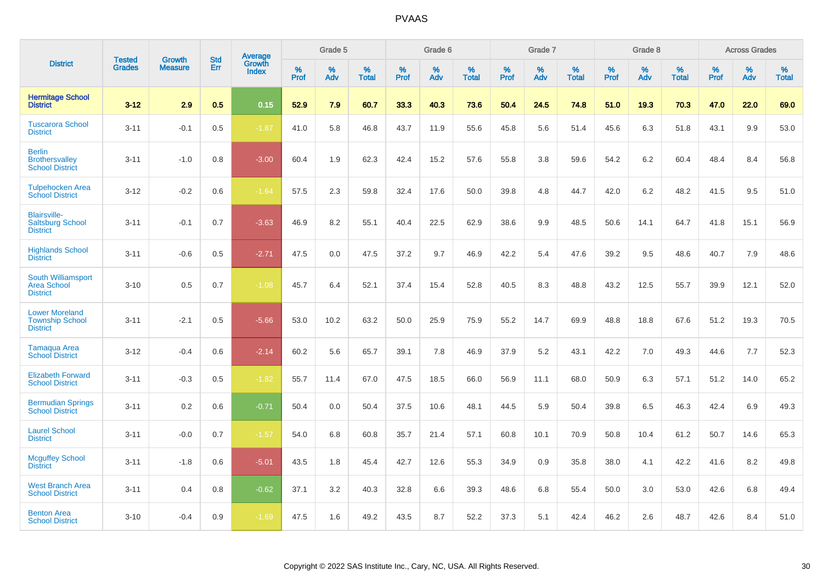|                                                                    |                                | <b>Growth</b>  | <b>Std</b> | Average                |           | Grade 5  |                   |           | Grade 6  |                   |           | Grade 7  |                   |           | Grade 8  |                   |           | <b>Across Grades</b> |                   |
|--------------------------------------------------------------------|--------------------------------|----------------|------------|------------------------|-----------|----------|-------------------|-----------|----------|-------------------|-----------|----------|-------------------|-----------|----------|-------------------|-----------|----------------------|-------------------|
| <b>District</b>                                                    | <b>Tested</b><br><b>Grades</b> | <b>Measure</b> | Err        | Growth<br><b>Index</b> | %<br>Prof | %<br>Adv | %<br><b>Total</b> | %<br>Prof | %<br>Adv | %<br><b>Total</b> | %<br>Prof | %<br>Adv | %<br><b>Total</b> | %<br>Prof | %<br>Adv | %<br><b>Total</b> | %<br>Prof | %<br>Adv             | %<br><b>Total</b> |
| <b>Hermitage School</b><br><b>District</b>                         | $3 - 12$                       | 2.9            | 0.5        | 0.15                   | 52.9      | 7.9      | 60.7              | 33.3      | 40.3     | 73.6              | 50.4      | 24.5     | 74.8              | 51.0      | 19.3     | 70.3              | 47.0      | 22.0                 | 69.0              |
| <b>Tuscarora School</b><br><b>District</b>                         | $3 - 11$                       | $-0.1$         | 0.5        | $-1.87$                | 41.0      | 5.8      | 46.8              | 43.7      | 11.9     | 55.6              | 45.8      | 5.6      | 51.4              | 45.6      | 6.3      | 51.8              | 43.1      | 9.9                  | 53.0              |
| <b>Berlin</b><br><b>Brothersvalley</b><br><b>School District</b>   | $3 - 11$                       | $-1.0$         | 0.8        | $-3.00$                | 60.4      | 1.9      | 62.3              | 42.4      | 15.2     | 57.6              | 55.8      | 3.8      | 59.6              | 54.2      | $6.2\,$  | 60.4              | 48.4      | 8.4                  | 56.8              |
| <b>Tulpehocken Area</b><br><b>School District</b>                  | $3 - 12$                       | $-0.2$         | 0.6        | $-1.64$                | 57.5      | 2.3      | 59.8              | 32.4      | 17.6     | 50.0              | 39.8      | 4.8      | 44.7              | 42.0      | 6.2      | 48.2              | 41.5      | 9.5                  | 51.0              |
| <b>Blairsville-</b><br><b>Saltsburg School</b><br><b>District</b>  | $3 - 11$                       | $-0.1$         | 0.7        | $-3.63$                | 46.9      | 8.2      | 55.1              | 40.4      | 22.5     | 62.9              | 38.6      | 9.9      | 48.5              | 50.6      | 14.1     | 64.7              | 41.8      | 15.1                 | 56.9              |
| <b>Highlands School</b><br><b>District</b>                         | $3 - 11$                       | $-0.6$         | 0.5        | $-2.71$                | 47.5      | 0.0      | 47.5              | 37.2      | 9.7      | 46.9              | 42.2      | 5.4      | 47.6              | 39.2      | 9.5      | 48.6              | 40.7      | 7.9                  | 48.6              |
| South Williamsport<br><b>Area School</b><br><b>District</b>        | $3 - 10$                       | 0.5            | 0.7        | $-1.08$                | 45.7      | 6.4      | 52.1              | 37.4      | 15.4     | 52.8              | 40.5      | 8.3      | 48.8              | 43.2      | 12.5     | 55.7              | 39.9      | 12.1                 | 52.0              |
| <b>Lower Moreland</b><br><b>Township School</b><br><b>District</b> | $3 - 11$                       | $-2.1$         | 0.5        | $-5.66$                | 53.0      | 10.2     | 63.2              | 50.0      | 25.9     | 75.9              | 55.2      | 14.7     | 69.9              | 48.8      | 18.8     | 67.6              | 51.2      | 19.3                 | 70.5              |
| Tamaqua Area<br><b>School District</b>                             | $3 - 12$                       | $-0.4$         | 0.6        | $-2.14$                | 60.2      | 5.6      | 65.7              | 39.1      | 7.8      | 46.9              | 37.9      | 5.2      | 43.1              | 42.2      | 7.0      | 49.3              | 44.6      | 7.7                  | 52.3              |
| <b>Elizabeth Forward</b><br><b>School District</b>                 | $3 - 11$                       | $-0.3$         | 0.5        | $-1.82$                | 55.7      | 11.4     | 67.0              | 47.5      | 18.5     | 66.0              | 56.9      | 11.1     | 68.0              | 50.9      | 6.3      | 57.1              | 51.2      | 14.0                 | 65.2              |
| <b>Bermudian Springs</b><br><b>School District</b>                 | $3 - 11$                       | 0.2            | 0.6        | $-0.71$                | 50.4      | 0.0      | 50.4              | 37.5      | 10.6     | 48.1              | 44.5      | 5.9      | 50.4              | 39.8      | 6.5      | 46.3              | 42.4      | 6.9                  | 49.3              |
| <b>Laurel School</b><br><b>District</b>                            | $3 - 11$                       | $-0.0$         | 0.7        | $-1.57$                | 54.0      | 6.8      | 60.8              | 35.7      | 21.4     | 57.1              | 60.8      | 10.1     | 70.9              | 50.8      | 10.4     | 61.2              | 50.7      | 14.6                 | 65.3              |
| <b>Mcguffey School</b><br><b>District</b>                          | $3 - 11$                       | $-1.8$         | 0.6        | $-5.01$                | 43.5      | 1.8      | 45.4              | 42.7      | 12.6     | 55.3              | 34.9      | 0.9      | 35.8              | 38.0      | 4.1      | 42.2              | 41.6      | 8.2                  | 49.8              |
| <b>West Branch Area</b><br><b>School District</b>                  | $3 - 11$                       | 0.4            | 0.8        | $-0.62$                | 37.1      | 3.2      | 40.3              | 32.8      | 6.6      | 39.3              | 48.6      | 6.8      | 55.4              | 50.0      | 3.0      | 53.0              | 42.6      | 6.8                  | 49.4              |
| <b>Benton Area</b><br><b>School District</b>                       | $3 - 10$                       | $-0.4$         | 0.9        | $-1.69$                | 47.5      | 1.6      | 49.2              | 43.5      | 8.7      | 52.2              | 37.3      | 5.1      | 42.4              | 46.2      | 2.6      | 48.7              | 42.6      | 8.4                  | 51.0              |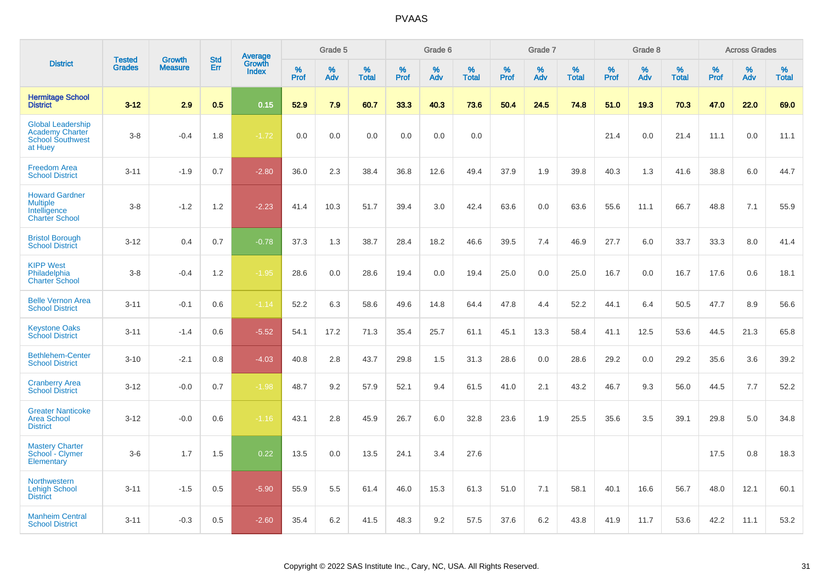|                                                                                          | <b>Tested</b> | <b>Growth</b>  | <b>Std</b> |                                   |           | Grade 5  |                   |              | Grade 6  |                   |              | Grade 7  |                   |              | Grade 8  |                   |              | <b>Across Grades</b> |                   |
|------------------------------------------------------------------------------------------|---------------|----------------|------------|-----------------------------------|-----------|----------|-------------------|--------------|----------|-------------------|--------------|----------|-------------------|--------------|----------|-------------------|--------------|----------------------|-------------------|
| <b>District</b>                                                                          | <b>Grades</b> | <b>Measure</b> | Err        | Average<br>Growth<br><b>Index</b> | %<br>Prof | %<br>Adv | %<br><b>Total</b> | $\%$<br>Prof | %<br>Adv | %<br><b>Total</b> | $\%$<br>Prof | %<br>Adv | %<br><b>Total</b> | $\%$<br>Prof | %<br>Adv | %<br><b>Total</b> | $\%$<br>Prof | $\%$<br>Adv          | %<br><b>Total</b> |
| <b>Hermitage School</b><br><b>District</b>                                               | $3-12$        | 2.9            | 0.5        | 0.15                              | 52.9      | 7.9      | 60.7              | 33.3         | 40.3     | 73.6              | 50.4         | 24.5     | 74.8              | 51.0         | 19.3     | 70.3              | 47.0         | 22.0                 | 69.0              |
| <b>Global Leadership</b><br><b>Academy Charter</b><br><b>School Southwest</b><br>at Huey | $3-8$         | $-0.4$         | 1.8        | $-1.72$                           | 0.0       | 0.0      | 0.0               | 0.0          | 0.0      | 0.0               |              |          |                   | 21.4         | 0.0      | 21.4              | 11.1         | 0.0                  | 11.1              |
| <b>Freedom Area</b><br><b>School District</b>                                            | $3 - 11$      | $-1.9$         | 0.7        | $-2.80$                           | 36.0      | 2.3      | 38.4              | 36.8         | 12.6     | 49.4              | 37.9         | 1.9      | 39.8              | 40.3         | 1.3      | 41.6              | 38.8         | 6.0                  | 44.7              |
| <b>Howard Gardner</b><br><b>Multiple</b><br>Intelligence<br><b>Charter School</b>        | $3-8$         | $-1.2$         | 1.2        | $-2.23$                           | 41.4      | 10.3     | 51.7              | 39.4         | 3.0      | 42.4              | 63.6         | 0.0      | 63.6              | 55.6         | 11.1     | 66.7              | 48.8         | 7.1                  | 55.9              |
| <b>Bristol Borough</b><br><b>School District</b>                                         | $3 - 12$      | 0.4            | 0.7        | $-0.78$                           | 37.3      | 1.3      | 38.7              | 28.4         | 18.2     | 46.6              | 39.5         | 7.4      | 46.9              | 27.7         | 6.0      | 33.7              | 33.3         | 8.0                  | 41.4              |
| <b>KIPP West</b><br>Philadelphia<br><b>Charter School</b>                                | $3-8$         | $-0.4$         | 1.2        | $-1.95$                           | 28.6      | 0.0      | 28.6              | 19.4         | 0.0      | 19.4              | 25.0         | 0.0      | 25.0              | 16.7         | 0.0      | 16.7              | 17.6         | 0.6                  | 18.1              |
| <b>Belle Vernon Area</b><br><b>School District</b>                                       | $3 - 11$      | $-0.1$         | 0.6        | $-1.14$                           | 52.2      | 6.3      | 58.6              | 49.6         | 14.8     | 64.4              | 47.8         | 4.4      | 52.2              | 44.1         | 6.4      | 50.5              | 47.7         | 8.9                  | 56.6              |
| <b>Keystone Oaks</b><br><b>School District</b>                                           | $3 - 11$      | $-1.4$         | 0.6        | $-5.52$                           | 54.1      | 17.2     | 71.3              | 35.4         | 25.7     | 61.1              | 45.1         | 13.3     | 58.4              | 41.1         | 12.5     | 53.6              | 44.5         | 21.3                 | 65.8              |
| <b>Bethlehem-Center</b><br><b>School District</b>                                        | $3 - 10$      | $-2.1$         | 0.8        | $-4.03$                           | 40.8      | 2.8      | 43.7              | 29.8         | 1.5      | 31.3              | 28.6         | 0.0      | 28.6              | 29.2         | 0.0      | 29.2              | 35.6         | 3.6                  | 39.2              |
| <b>Cranberry Area</b><br><b>School District</b>                                          | $3 - 12$      | $-0.0$         | 0.7        | $-1.98$                           | 48.7      | 9.2      | 57.9              | 52.1         | 9.4      | 61.5              | 41.0         | 2.1      | 43.2              | 46.7         | 9.3      | 56.0              | 44.5         | 7.7                  | 52.2              |
| <b>Greater Nanticoke</b><br><b>Area School</b><br><b>District</b>                        | $3-12$        | $-0.0$         | 0.6        | $-1.16$                           | 43.1      | 2.8      | 45.9              | 26.7         | 6.0      | 32.8              | 23.6         | 1.9      | 25.5              | 35.6         | 3.5      | 39.1              | 29.8         | 5.0                  | 34.8              |
| <b>Mastery Charter</b><br>School - Clymer<br>Elementary                                  | $3-6$         | 1.7            | 1.5        | 0.22                              | 13.5      | 0.0      | 13.5              | 24.1         | 3.4      | 27.6              |              |          |                   |              |          |                   | 17.5         | 0.8                  | 18.3              |
| <b>Northwestern</b><br><b>Lehigh School</b><br><b>District</b>                           | $3 - 11$      | $-1.5$         | 0.5        | $-5.90$                           | 55.9      | 5.5      | 61.4              | 46.0         | 15.3     | 61.3              | 51.0         | 7.1      | 58.1              | 40.1         | 16.6     | 56.7              | 48.0         | 12.1                 | 60.1              |
| <b>Manheim Central</b><br><b>School District</b>                                         | $3 - 11$      | $-0.3$         | 0.5        | $-2.60$                           | 35.4      | 6.2      | 41.5              | 48.3         | 9.2      | 57.5              | 37.6         | 6.2      | 43.8              | 41.9         | 11.7     | 53.6              | 42.2         | 11.1                 | 53.2              |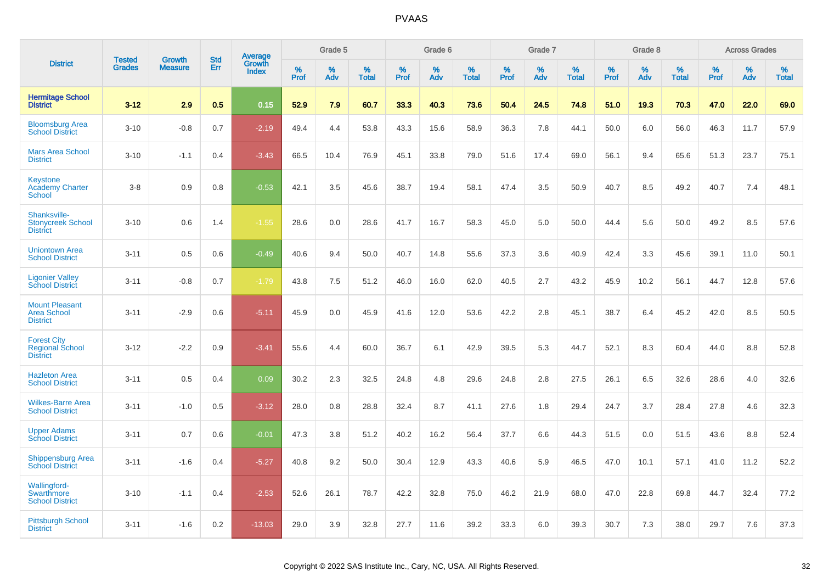|                                                                 | <b>Tested</b> | <b>Growth</b>  | <b>Std</b> |                                          |              | Grade 5  |                   |           | Grade 6  |                   |           | Grade 7  |                   |           | Grade 8  |                   |           | <b>Across Grades</b> |                   |
|-----------------------------------------------------------------|---------------|----------------|------------|------------------------------------------|--------------|----------|-------------------|-----------|----------|-------------------|-----------|----------|-------------------|-----------|----------|-------------------|-----------|----------------------|-------------------|
| <b>District</b>                                                 | <b>Grades</b> | <b>Measure</b> | Err        | <b>Average</b><br>Growth<br><b>Index</b> | $\%$<br>Prof | %<br>Adv | %<br><b>Total</b> | %<br>Prof | %<br>Adv | %<br><b>Total</b> | %<br>Prof | %<br>Adv | %<br><b>Total</b> | %<br>Prof | %<br>Adv | %<br><b>Total</b> | %<br>Prof | %<br>Adv             | %<br><b>Total</b> |
| <b>Hermitage School</b><br><b>District</b>                      | $3 - 12$      | 2.9            | 0.5        | 0.15                                     | 52.9         | 7.9      | 60.7              | 33.3      | 40.3     | 73.6              | 50.4      | 24.5     | 74.8              | 51.0      | 19.3     | 70.3              | 47.0      | 22.0                 | 69.0              |
| <b>Bloomsburg Area</b><br><b>School District</b>                | $3 - 10$      | $-0.8$         | 0.7        | $-2.19$                                  | 49.4         | 4.4      | 53.8              | 43.3      | 15.6     | 58.9              | 36.3      | 7.8      | 44.1              | 50.0      | 6.0      | 56.0              | 46.3      | 11.7                 | 57.9              |
| <b>Mars Area School</b><br><b>District</b>                      | $3 - 10$      | $-1.1$         | 0.4        | $-3.43$                                  | 66.5         | 10.4     | 76.9              | 45.1      | 33.8     | 79.0              | 51.6      | 17.4     | 69.0              | 56.1      | 9.4      | 65.6              | 51.3      | 23.7                 | 75.1              |
| Keystone<br><b>Academy Charter</b><br>School                    | $3-8$         | 0.9            | 0.8        | $-0.53$                                  | 42.1         | 3.5      | 45.6              | 38.7      | 19.4     | 58.1              | 47.4      | 3.5      | 50.9              | 40.7      | 8.5      | 49.2              | 40.7      | 7.4                  | 48.1              |
| Shanksville-<br><b>Stonycreek School</b><br><b>District</b>     | $3 - 10$      | 0.6            | 1.4        | $-1.55$                                  | 28.6         | 0.0      | 28.6              | 41.7      | 16.7     | 58.3              | 45.0      | 5.0      | 50.0              | 44.4      | 5.6      | 50.0              | 49.2      | 8.5                  | 57.6              |
| <b>Uniontown Area</b><br><b>School District</b>                 | $3 - 11$      | 0.5            | 0.6        | $-0.49$                                  | 40.6         | 9.4      | 50.0              | 40.7      | 14.8     | 55.6              | 37.3      | 3.6      | 40.9              | 42.4      | 3.3      | 45.6              | 39.1      | 11.0                 | 50.1              |
| <b>Ligonier Valley</b><br><b>School District</b>                | $3 - 11$      | $-0.8$         | 0.7        | $-1.79$                                  | 43.8         | 7.5      | 51.2              | 46.0      | 16.0     | 62.0              | 40.5      | 2.7      | 43.2              | 45.9      | 10.2     | 56.1              | 44.7      | 12.8                 | 57.6              |
| <b>Mount Pleasant</b><br><b>Area School</b><br><b>District</b>  | $3 - 11$      | $-2.9$         | 0.6        | $-5.11$                                  | 45.9         | 0.0      | 45.9              | 41.6      | 12.0     | 53.6              | 42.2      | 2.8      | 45.1              | 38.7      | 6.4      | 45.2              | 42.0      | 8.5                  | 50.5              |
| <b>Forest City</b><br><b>Regional School</b><br><b>District</b> | $3 - 12$      | $-2.2$         | 0.9        | $-3.41$                                  | 55.6         | 4.4      | 60.0              | 36.7      | 6.1      | 42.9              | 39.5      | 5.3      | 44.7              | 52.1      | 8.3      | 60.4              | 44.0      | 8.8                  | 52.8              |
| <b>Hazleton Area</b><br><b>School District</b>                  | $3 - 11$      | 0.5            | 0.4        | 0.09                                     | 30.2         | 2.3      | 32.5              | 24.8      | 4.8      | 29.6              | 24.8      | 2.8      | 27.5              | 26.1      | 6.5      | 32.6              | 28.6      | 4.0                  | 32.6              |
| <b>Wilkes-Barre Area</b><br><b>School District</b>              | $3 - 11$      | $-1.0$         | 0.5        | $-3.12$                                  | 28.0         | 0.8      | 28.8              | 32.4      | 8.7      | 41.1              | 27.6      | 1.8      | 29.4              | 24.7      | 3.7      | 28.4              | 27.8      | 4.6                  | 32.3              |
| <b>Upper Adams</b><br><b>School District</b>                    | $3 - 11$      | 0.7            | 0.6        | $-0.01$                                  | 47.3         | 3.8      | 51.2              | 40.2      | 16.2     | 56.4              | 37.7      | 6.6      | 44.3              | 51.5      | 0.0      | 51.5              | 43.6      | 8.8                  | 52.4              |
| <b>Shippensburg Area</b><br><b>School District</b>              | $3 - 11$      | $-1.6$         | 0.4        | $-5.27$                                  | 40.8         | 9.2      | 50.0              | 30.4      | 12.9     | 43.3              | 40.6      | 5.9      | 46.5              | 47.0      | 10.1     | 57.1              | 41.0      | 11.2                 | 52.2              |
| <b>Wallingford-</b><br>Swarthmore<br><b>School District</b>     | $3 - 10$      | $-1.1$         | 0.4        | $-2.53$                                  | 52.6         | 26.1     | 78.7              | 42.2      | 32.8     | 75.0              | 46.2      | 21.9     | 68.0              | 47.0      | 22.8     | 69.8              | 44.7      | 32.4                 | 77.2              |
| <b>Pittsburgh School</b><br><b>District</b>                     | $3 - 11$      | $-1.6$         | 0.2        | $-13.03$                                 | 29.0         | 3.9      | 32.8              | 27.7      | 11.6     | 39.2              | 33.3      | 6.0      | 39.3              | 30.7      | 7.3      | 38.0              | 29.7      | 7.6                  | 37.3              |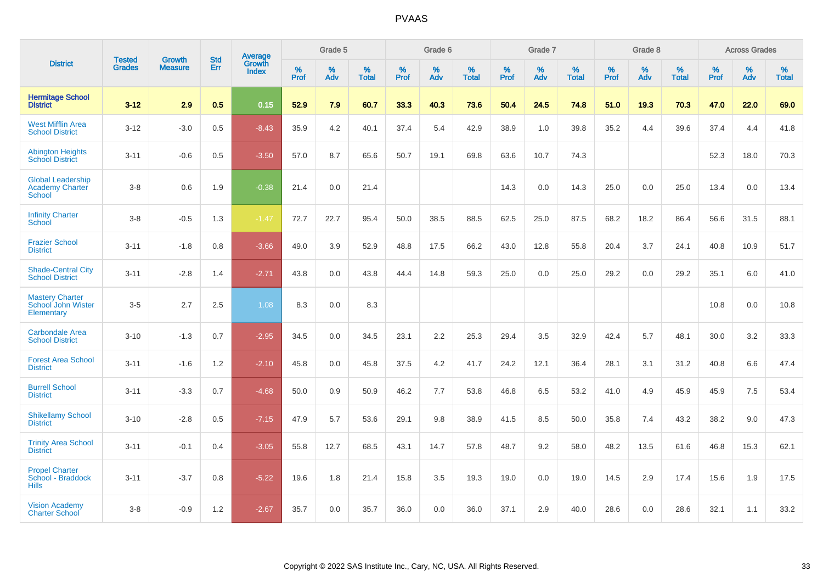|                                                                     | <b>Tested</b> | <b>Growth</b>  | <b>Std</b> | Average                |              | Grade 5  |                   |           | Grade 6  |                   |           | Grade 7  |                   |           | Grade 8  |                   |           | <b>Across Grades</b> |                   |
|---------------------------------------------------------------------|---------------|----------------|------------|------------------------|--------------|----------|-------------------|-----------|----------|-------------------|-----------|----------|-------------------|-----------|----------|-------------------|-----------|----------------------|-------------------|
| <b>District</b>                                                     | <b>Grades</b> | <b>Measure</b> | Err        | Growth<br><b>Index</b> | $\%$<br>Prof | %<br>Adv | %<br><b>Total</b> | %<br>Prof | %<br>Adv | %<br><b>Total</b> | %<br>Prof | %<br>Adv | %<br><b>Total</b> | %<br>Prof | %<br>Adv | %<br><b>Total</b> | %<br>Prof | %<br>Adv             | %<br><b>Total</b> |
| <b>Hermitage School</b><br><b>District</b>                          | $3 - 12$      | 2.9            | 0.5        | 0.15                   | 52.9         | 7.9      | 60.7              | 33.3      | 40.3     | 73.6              | 50.4      | 24.5     | 74.8              | 51.0      | 19.3     | 70.3              | 47.0      | 22.0                 | 69.0              |
| <b>West Mifflin Area</b><br><b>School District</b>                  | $3 - 12$      | $-3.0$         | 0.5        | $-8.43$                | 35.9         | 4.2      | 40.1              | 37.4      | 5.4      | 42.9              | 38.9      | 1.0      | 39.8              | 35.2      | 4.4      | 39.6              | 37.4      | 4.4                  | 41.8              |
| <b>Abington Heights</b><br><b>School District</b>                   | $3 - 11$      | $-0.6$         | 0.5        | $-3.50$                | 57.0         | 8.7      | 65.6              | 50.7      | 19.1     | 69.8              | 63.6      | 10.7     | 74.3              |           |          |                   | 52.3      | 18.0                 | 70.3              |
| <b>Global Leadership</b><br><b>Academy Charter</b><br><b>School</b> | $3 - 8$       | 0.6            | 1.9        | $-0.38$                | 21.4         | 0.0      | 21.4              |           |          |                   | 14.3      | 0.0      | 14.3              | 25.0      | 0.0      | 25.0              | 13.4      | 0.0                  | 13.4              |
| <b>Infinity Charter</b><br>School                                   | $3 - 8$       | $-0.5$         | 1.3        | $-1.47$                | 72.7         | 22.7     | 95.4              | 50.0      | 38.5     | 88.5              | 62.5      | 25.0     | 87.5              | 68.2      | 18.2     | 86.4              | 56.6      | 31.5                 | 88.1              |
| <b>Frazier School</b><br><b>District</b>                            | $3 - 11$      | $-1.8$         | 0.8        | $-3.66$                | 49.0         | 3.9      | 52.9              | 48.8      | 17.5     | 66.2              | 43.0      | 12.8     | 55.8              | 20.4      | 3.7      | 24.1              | 40.8      | 10.9                 | 51.7              |
| <b>Shade-Central City</b><br><b>School District</b>                 | $3 - 11$      | $-2.8$         | 1.4        | $-2.71$                | 43.8         | 0.0      | 43.8              | 44.4      | 14.8     | 59.3              | 25.0      | 0.0      | 25.0              | 29.2      | 0.0      | 29.2              | 35.1      | 6.0                  | 41.0              |
| <b>Mastery Charter</b><br>School John Wister<br>Elementary          | $3-5$         | 2.7            | 2.5        | 1.08                   | 8.3          | 0.0      | 8.3               |           |          |                   |           |          |                   |           |          |                   | 10.8      | 0.0                  | 10.8              |
| <b>Carbondale Area</b><br><b>School District</b>                    | $3 - 10$      | $-1.3$         | 0.7        | $-2.95$                | 34.5         | 0.0      | 34.5              | 23.1      | 2.2      | 25.3              | 29.4      | 3.5      | 32.9              | 42.4      | 5.7      | 48.1              | 30.0      | 3.2                  | 33.3              |
| <b>Forest Area School</b><br><b>District</b>                        | $3 - 11$      | $-1.6$         | 1.2        | $-2.10$                | 45.8         | 0.0      | 45.8              | 37.5      | 4.2      | 41.7              | 24.2      | 12.1     | 36.4              | 28.1      | 3.1      | 31.2              | 40.8      | 6.6                  | 47.4              |
| <b>Burrell School</b><br><b>District</b>                            | $3 - 11$      | $-3.3$         | 0.7        | $-4.68$                | 50.0         | 0.9      | 50.9              | 46.2      | 7.7      | 53.8              | 46.8      | 6.5      | 53.2              | 41.0      | 4.9      | 45.9              | 45.9      | 7.5                  | 53.4              |
| <b>Shikellamy School</b><br><b>District</b>                         | $3 - 10$      | $-2.8$         | 0.5        | $-7.15$                | 47.9         | 5.7      | 53.6              | 29.1      | 9.8      | 38.9              | 41.5      | 8.5      | 50.0              | 35.8      | 7.4      | 43.2              | 38.2      | 9.0                  | 47.3              |
| <b>Trinity Area School</b><br><b>District</b>                       | $3 - 11$      | $-0.1$         | 0.4        | $-3.05$                | 55.8         | 12.7     | 68.5              | 43.1      | 14.7     | 57.8              | 48.7      | 9.2      | 58.0              | 48.2      | 13.5     | 61.6              | 46.8      | 15.3                 | 62.1              |
| <b>Propel Charter</b><br>School - Braddock<br><b>Hills</b>          | $3 - 11$      | $-3.7$         | 0.8        | $-5.22$                | 19.6         | 1.8      | 21.4              | 15.8      | 3.5      | 19.3              | 19.0      | 0.0      | 19.0              | 14.5      | 2.9      | 17.4              | 15.6      | 1.9                  | 17.5              |
| <b>Vision Academy</b><br><b>Charter School</b>                      | $3 - 8$       | $-0.9$         | 1.2        | $-2.67$                | 35.7         | 0.0      | 35.7              | 36.0      | 0.0      | 36.0              | 37.1      | 2.9      | 40.0              | 28.6      | 0.0      | 28.6              | 32.1      | 1.1                  | 33.2              |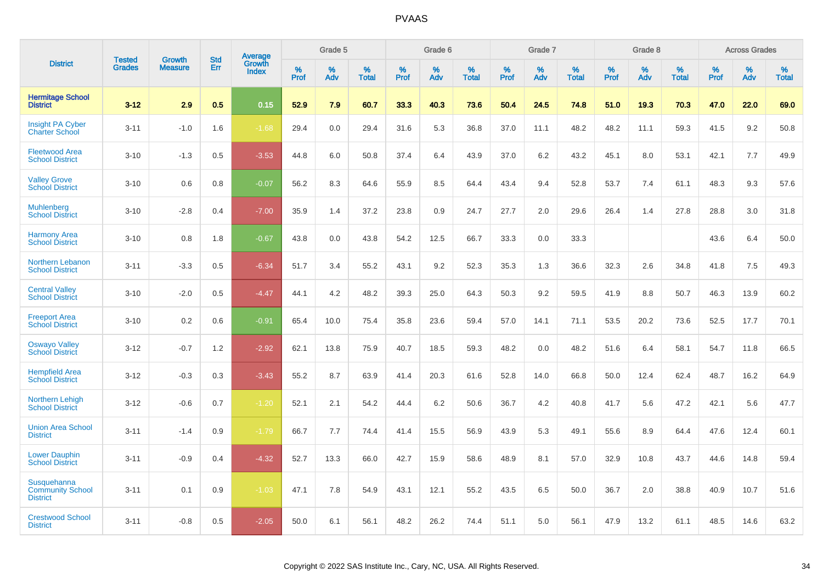|                                                           | <b>Tested</b> | <b>Growth</b>  | <b>Std</b> | Average                |              | Grade 5  |                      |                     | Grade 6     |                      |              | Grade 7     |                   |              | Grade 8     |                   |                     | <b>Across Grades</b> |                   |
|-----------------------------------------------------------|---------------|----------------|------------|------------------------|--------------|----------|----------------------|---------------------|-------------|----------------------|--------------|-------------|-------------------|--------------|-------------|-------------------|---------------------|----------------------|-------------------|
| <b>District</b>                                           | <b>Grades</b> | <b>Measure</b> | Err        | Growth<br><b>Index</b> | $\%$<br>Prof | %<br>Adv | $\%$<br><b>Total</b> | $\%$<br><b>Prof</b> | $\%$<br>Adv | $\%$<br><b>Total</b> | $\%$<br>Prof | $\%$<br>Adv | %<br><b>Total</b> | $\%$<br>Prof | $\%$<br>Adv | %<br><b>Total</b> | $\%$<br><b>Prof</b> | $\%$<br>Adv          | %<br><b>Total</b> |
| <b>Hermitage School</b><br><b>District</b>                | $3 - 12$      | 2.9            | 0.5        | 0.15                   | 52.9         | 7.9      | 60.7                 | 33.3                | 40.3        | 73.6                 | 50.4         | 24.5        | 74.8              | 51.0         | 19.3        | 70.3              | 47.0                | 22.0                 | 69.0              |
| <b>Insight PA Cyber</b><br><b>Charter School</b>          | $3 - 11$      | $-1.0$         | 1.6        | $-1.68$                | 29.4         | 0.0      | 29.4                 | 31.6                | 5.3         | 36.8                 | 37.0         | 11.1        | 48.2              | 48.2         | 11.1        | 59.3              | 41.5                | 9.2                  | 50.8              |
| <b>Fleetwood Area</b><br><b>School District</b>           | $3 - 10$      | $-1.3$         | 0.5        | $-3.53$                | 44.8         | 6.0      | 50.8                 | 37.4                | 6.4         | 43.9                 | 37.0         | 6.2         | 43.2              | 45.1         | 8.0         | 53.1              | 42.1                | 7.7                  | 49.9              |
| <b>Valley Grove</b><br><b>School District</b>             | $3 - 10$      | 0.6            | 0.8        | $-0.07$                | 56.2         | 8.3      | 64.6                 | 55.9                | 8.5         | 64.4                 | 43.4         | 9.4         | 52.8              | 53.7         | 7.4         | 61.1              | 48.3                | 9.3                  | 57.6              |
| <b>Muhlenberg</b><br><b>School District</b>               | $3 - 10$      | $-2.8$         | 0.4        | $-7.00$                | 35.9         | 1.4      | 37.2                 | 23.8                | 0.9         | 24.7                 | 27.7         | 2.0         | 29.6              | 26.4         | 1.4         | 27.8              | 28.8                | 3.0                  | 31.8              |
| <b>Harmony Area</b><br><b>School District</b>             | $3 - 10$      | 0.8            | 1.8        | $-0.67$                | 43.8         | 0.0      | 43.8                 | 54.2                | 12.5        | 66.7                 | 33.3         | 0.0         | 33.3              |              |             |                   | 43.6                | 6.4                  | 50.0              |
| Northern Lebanon<br><b>School District</b>                | $3 - 11$      | $-3.3$         | 0.5        | $-6.34$                | 51.7         | 3.4      | 55.2                 | 43.1                | 9.2         | 52.3                 | 35.3         | 1.3         | 36.6              | 32.3         | 2.6         | 34.8              | 41.8                | 7.5                  | 49.3              |
| <b>Central Valley</b><br><b>School District</b>           | $3 - 10$      | $-2.0$         | 0.5        | $-4.47$                | 44.1         | 4.2      | 48.2                 | 39.3                | 25.0        | 64.3                 | 50.3         | 9.2         | 59.5              | 41.9         | 8.8         | 50.7              | 46.3                | 13.9                 | 60.2              |
| <b>Freeport Area</b><br><b>School District</b>            | $3 - 10$      | 0.2            | 0.6        | $-0.91$                | 65.4         | 10.0     | 75.4                 | 35.8                | 23.6        | 59.4                 | 57.0         | 14.1        | 71.1              | 53.5         | 20.2        | 73.6              | 52.5                | 17.7                 | 70.1              |
| <b>Oswayo Valley</b><br>School District                   | $3 - 12$      | $-0.7$         | 1.2        | $-2.92$                | 62.1         | 13.8     | 75.9                 | 40.7                | 18.5        | 59.3                 | 48.2         | 0.0         | 48.2              | 51.6         | 6.4         | 58.1              | 54.7                | 11.8                 | 66.5              |
| <b>Hempfield Area</b><br><b>School District</b>           | $3 - 12$      | $-0.3$         | 0.3        | $-3.43$                | 55.2         | 8.7      | 63.9                 | 41.4                | 20.3        | 61.6                 | 52.8         | 14.0        | 66.8              | 50.0         | 12.4        | 62.4              | 48.7                | 16.2                 | 64.9              |
| <b>Northern Lehigh</b><br><b>School District</b>          | $3 - 12$      | $-0.6$         | 0.7        | $-1.20$                | 52.1         | 2.1      | 54.2                 | 44.4                | 6.2         | 50.6                 | 36.7         | 4.2         | 40.8              | 41.7         | 5.6         | 47.2              | 42.1                | 5.6                  | 47.7              |
| <b>Union Area School</b><br><b>District</b>               | $3 - 11$      | $-1.4$         | 0.9        | $-1.79$                | 66.7         | 7.7      | 74.4                 | 41.4                | 15.5        | 56.9                 | 43.9         | 5.3         | 49.1              | 55.6         | 8.9         | 64.4              | 47.6                | 12.4                 | 60.1              |
| <b>Lower Dauphin</b><br><b>School District</b>            | $3 - 11$      | $-0.9$         | 0.4        | $-4.32$                | 52.7         | 13.3     | 66.0                 | 42.7                | 15.9        | 58.6                 | 48.9         | 8.1         | 57.0              | 32.9         | 10.8        | 43.7              | 44.6                | 14.8                 | 59.4              |
| Susquehanna<br><b>Community School</b><br><b>District</b> | $3 - 11$      | 0.1            | 0.9        | $-1.03$                | 47.1         | 7.8      | 54.9                 | 43.1                | 12.1        | 55.2                 | 43.5         | 6.5         | 50.0              | 36.7         | 2.0         | 38.8              | 40.9                | 10.7                 | 51.6              |
| <b>Crestwood School</b><br><b>District</b>                | $3 - 11$      | $-0.8$         | 0.5        | $-2.05$                | 50.0         | 6.1      | 56.1                 | 48.2                | 26.2        | 74.4                 | 51.1         | 5.0         | 56.1              | 47.9         | 13.2        | 61.1              | 48.5                | 14.6                 | 63.2              |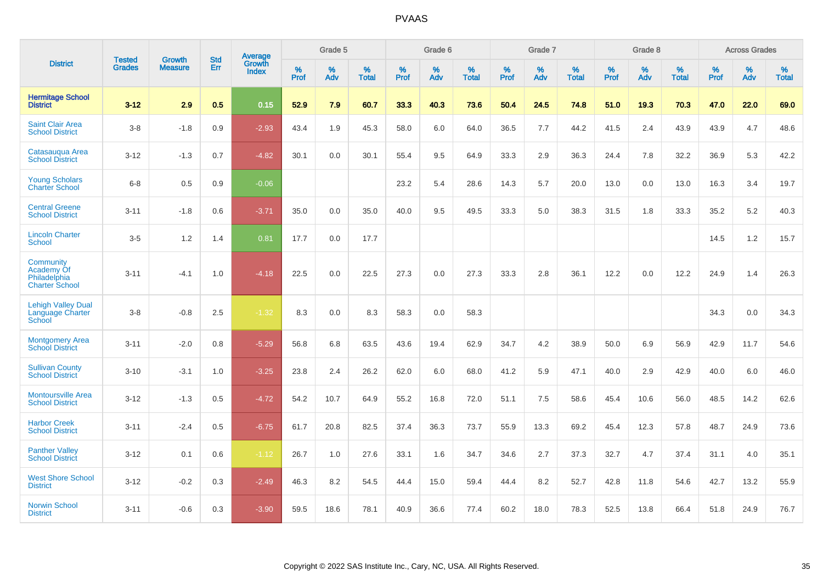|                                                                  | <b>Tested</b> | <b>Growth</b>  | <b>Std</b> | <b>Average</b>         |              | Grade 5  |                   |           | Grade 6  |                   |           | Grade 7  |                   |           | Grade 8  |                   |           | <b>Across Grades</b> |                   |
|------------------------------------------------------------------|---------------|----------------|------------|------------------------|--------------|----------|-------------------|-----------|----------|-------------------|-----------|----------|-------------------|-----------|----------|-------------------|-----------|----------------------|-------------------|
| <b>District</b>                                                  | <b>Grades</b> | <b>Measure</b> | Err        | Growth<br><b>Index</b> | $\%$<br>Prof | %<br>Adv | %<br><b>Total</b> | %<br>Prof | %<br>Adv | %<br><b>Total</b> | %<br>Prof | %<br>Adv | %<br><b>Total</b> | %<br>Prof | %<br>Adv | %<br><b>Total</b> | %<br>Prof | %<br>Adv             | %<br><b>Total</b> |
| <b>Hermitage School</b><br><b>District</b>                       | $3 - 12$      | 2.9            | 0.5        | 0.15                   | 52.9         | 7.9      | 60.7              | 33.3      | 40.3     | 73.6              | 50.4      | 24.5     | 74.8              | 51.0      | 19.3     | 70.3              | 47.0      | 22.0                 | 69.0              |
| <b>Saint Clair Area</b><br><b>School District</b>                | $3 - 8$       | $-1.8$         | 0.9        | $-2.93$                | 43.4         | 1.9      | 45.3              | 58.0      | 6.0      | 64.0              | 36.5      | 7.7      | 44.2              | 41.5      | 2.4      | 43.9              | 43.9      | 4.7                  | 48.6              |
| Catasauqua Area<br><b>School District</b>                        | $3 - 12$      | $-1.3$         | 0.7        | $-4.82$                | 30.1         | 0.0      | 30.1              | 55.4      | 9.5      | 64.9              | 33.3      | 2.9      | 36.3              | 24.4      | 7.8      | 32.2              | 36.9      | 5.3                  | 42.2              |
| <b>Young Scholars</b><br><b>Charter School</b>                   | $6 - 8$       | 0.5            | 0.9        | $-0.06$                |              |          |                   | 23.2      | 5.4      | 28.6              | 14.3      | 5.7      | 20.0              | 13.0      | 0.0      | 13.0              | 16.3      | 3.4                  | 19.7              |
| <b>Central Greene</b><br><b>School District</b>                  | $3 - 11$      | $-1.8$         | 0.6        | $-3.71$                | 35.0         | 0.0      | 35.0              | 40.0      | 9.5      | 49.5              | 33.3      | 5.0      | 38.3              | 31.5      | 1.8      | 33.3              | 35.2      | 5.2                  | 40.3              |
| <b>Lincoln Charter</b><br><b>School</b>                          | $3-5$         | 1.2            | 1.4        | 0.81                   | 17.7         | 0.0      | 17.7              |           |          |                   |           |          |                   |           |          |                   | 14.5      | 1.2                  | 15.7              |
| Community<br>Academy Of<br>Philadelphia<br><b>Charter School</b> | $3 - 11$      | $-4.1$         | 1.0        | $-4.18$                | 22.5         | 0.0      | 22.5              | 27.3      | 0.0      | 27.3              | 33.3      | 2.8      | 36.1              | 12.2      | 0.0      | 12.2              | 24.9      | 1.4                  | 26.3              |
| <b>Lehigh Valley Dual</b><br>Language Charter<br>School          | $3 - 8$       | $-0.8$         | 2.5        | $-1.32$                | 8.3          | 0.0      | 8.3               | 58.3      | 0.0      | 58.3              |           |          |                   |           |          |                   | 34.3      | 0.0                  | 34.3              |
| <b>Montgomery Area</b><br><b>School District</b>                 | $3 - 11$      | $-2.0$         | 0.8        | $-5.29$                | 56.8         | 6.8      | 63.5              | 43.6      | 19.4     | 62.9              | 34.7      | 4.2      | 38.9              | 50.0      | 6.9      | 56.9              | 42.9      | 11.7                 | 54.6              |
| <b>Sullivan County</b><br><b>School District</b>                 | $3 - 10$      | $-3.1$         | 1.0        | $-3.25$                | 23.8         | 2.4      | 26.2              | 62.0      | 6.0      | 68.0              | 41.2      | 5.9      | 47.1              | 40.0      | 2.9      | 42.9              | 40.0      | 6.0                  | 46.0              |
| <b>Montoursville Area</b><br><b>School District</b>              | $3 - 12$      | $-1.3$         | 0.5        | $-4.72$                | 54.2         | 10.7     | 64.9              | 55.2      | 16.8     | 72.0              | 51.1      | 7.5      | 58.6              | 45.4      | 10.6     | 56.0              | 48.5      | 14.2                 | 62.6              |
| <b>Harbor Creek</b><br><b>School District</b>                    | $3 - 11$      | $-2.4$         | 0.5        | $-6.75$                | 61.7         | 20.8     | 82.5              | 37.4      | 36.3     | 73.7              | 55.9      | 13.3     | 69.2              | 45.4      | 12.3     | 57.8              | 48.7      | 24.9                 | 73.6              |
| <b>Panther Valley</b><br><b>School District</b>                  | $3 - 12$      | 0.1            | 0.6        | $-1.12$                | 26.7         | 1.0      | 27.6              | 33.1      | 1.6      | 34.7              | 34.6      | 2.7      | 37.3              | 32.7      | 4.7      | 37.4              | 31.1      | 4.0                  | 35.1              |
| <b>West Shore School</b><br><b>District</b>                      | $3 - 12$      | $-0.2$         | 0.3        | $-2.49$                | 46.3         | 8.2      | 54.5              | 44.4      | 15.0     | 59.4              | 44.4      | 8.2      | 52.7              | 42.8      | 11.8     | 54.6              | 42.7      | 13.2                 | 55.9              |
| <b>Norwin School</b><br><b>District</b>                          | $3 - 11$      | $-0.6$         | 0.3        | $-3.90$                | 59.5         | 18.6     | 78.1              | 40.9      | 36.6     | 77.4              | 60.2      | 18.0     | 78.3              | 52.5      | 13.8     | 66.4              | 51.8      | 24.9                 | 76.7              |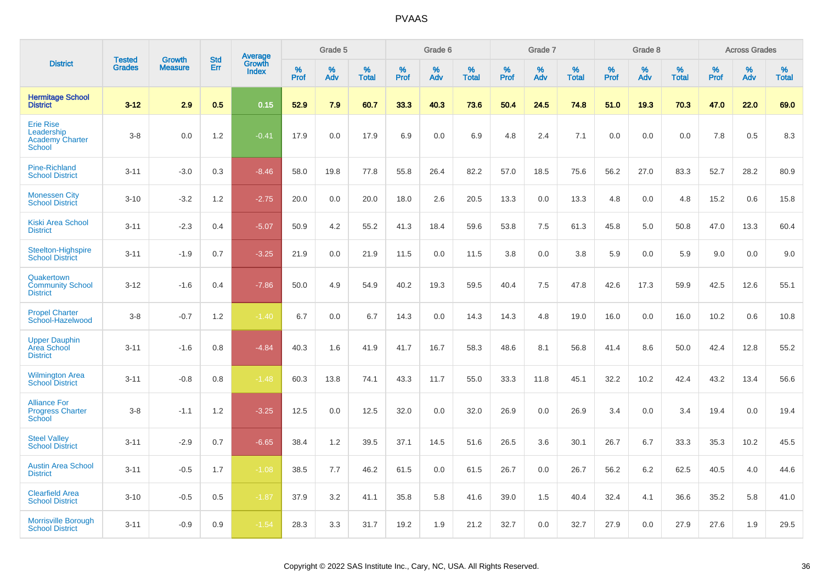|                                                                           | <b>Tested</b> | <b>Growth</b>  | <b>Std</b> | Average                |           | Grade 5  |                   |           | Grade 6  |                   |           | Grade 7  |                   |           | Grade 8  |                   |           | <b>Across Grades</b> |                   |
|---------------------------------------------------------------------------|---------------|----------------|------------|------------------------|-----------|----------|-------------------|-----------|----------|-------------------|-----------|----------|-------------------|-----------|----------|-------------------|-----------|----------------------|-------------------|
| <b>District</b>                                                           | <b>Grades</b> | <b>Measure</b> | Err        | Growth<br><b>Index</b> | %<br>Prof | %<br>Adv | %<br><b>Total</b> | %<br>Prof | %<br>Adv | %<br><b>Total</b> | %<br>Prof | %<br>Adv | %<br><b>Total</b> | %<br>Prof | %<br>Adv | %<br><b>Total</b> | %<br>Prof | %<br>Adv             | %<br><b>Total</b> |
| <b>Hermitage School</b><br><b>District</b>                                | $3 - 12$      | 2.9            | 0.5        | 0.15                   | 52.9      | 7.9      | 60.7              | 33.3      | 40.3     | 73.6              | 50.4      | 24.5     | 74.8              | 51.0      | 19.3     | 70.3              | 47.0      | 22.0                 | 69.0              |
| <b>Erie Rise</b><br>Leadership<br><b>Academy Charter</b><br><b>School</b> | $3-8$         | 0.0            | 1.2        | $-0.41$                | 17.9      | 0.0      | 17.9              | 6.9       | 0.0      | 6.9               | 4.8       | 2.4      | 7.1               | 0.0       | 0.0      | 0.0               | 7.8       | 0.5                  | 8.3               |
| <b>Pine-Richland</b><br><b>School District</b>                            | $3 - 11$      | $-3.0$         | 0.3        | $-8.46$                | 58.0      | 19.8     | 77.8              | 55.8      | 26.4     | 82.2              | 57.0      | 18.5     | 75.6              | 56.2      | 27.0     | 83.3              | 52.7      | 28.2                 | 80.9              |
| <b>Monessen City</b><br><b>School District</b>                            | $3 - 10$      | $-3.2$         | 1.2        | $-2.75$                | 20.0      | 0.0      | 20.0              | 18.0      | 2.6      | 20.5              | 13.3      | 0.0      | 13.3              | 4.8       | 0.0      | 4.8               | 15.2      | 0.6                  | 15.8              |
| <b>Kiski Area School</b><br><b>District</b>                               | $3 - 11$      | $-2.3$         | 0.4        | $-5.07$                | 50.9      | 4.2      | 55.2              | 41.3      | 18.4     | 59.6              | 53.8      | 7.5      | 61.3              | 45.8      | 5.0      | 50.8              | 47.0      | 13.3                 | 60.4              |
| Steelton-Highspire<br><b>School District</b>                              | $3 - 11$      | $-1.9$         | 0.7        | $-3.25$                | 21.9      | 0.0      | 21.9              | 11.5      | 0.0      | 11.5              | 3.8       | 0.0      | 3.8               | 5.9       | 0.0      | 5.9               | 9.0       | 0.0                  | 9.0               |
| Quakertown<br><b>Community School</b><br><b>District</b>                  | $3 - 12$      | $-1.6$         | 0.4        | $-7.86$                | 50.0      | 4.9      | 54.9              | 40.2      | 19.3     | 59.5              | 40.4      | 7.5      | 47.8              | 42.6      | 17.3     | 59.9              | 42.5      | 12.6                 | 55.1              |
| <b>Propel Charter</b><br>School-Hazelwood                                 | $3-8$         | $-0.7$         | 1.2        | $-1.40$                | 6.7       | 0.0      | 6.7               | 14.3      | 0.0      | 14.3              | 14.3      | 4.8      | 19.0              | 16.0      | 0.0      | 16.0              | 10.2      | 0.6                  | 10.8              |
| <b>Upper Dauphin</b><br>Area School<br><b>District</b>                    | $3 - 11$      | $-1.6$         | 0.8        | $-4.84$                | 40.3      | 1.6      | 41.9              | 41.7      | 16.7     | 58.3              | 48.6      | 8.1      | 56.8              | 41.4      | 8.6      | 50.0              | 42.4      | 12.8                 | 55.2              |
| <b>Wilmington Area</b><br><b>School District</b>                          | $3 - 11$      | $-0.8$         | 0.8        | $-1.48$                | 60.3      | 13.8     | 74.1              | 43.3      | 11.7     | 55.0              | 33.3      | 11.8     | 45.1              | 32.2      | 10.2     | 42.4              | 43.2      | 13.4                 | 56.6              |
| <b>Alliance For</b><br><b>Progress Charter</b><br>School                  | $3-8$         | $-1.1$         | 1.2        | $-3.25$                | 12.5      | 0.0      | 12.5              | 32.0      | 0.0      | 32.0              | 26.9      | 0.0      | 26.9              | 3.4       | 0.0      | 3.4               | 19.4      | 0.0                  | 19.4              |
| <b>Steel Valley</b><br><b>School District</b>                             | $3 - 11$      | $-2.9$         | 0.7        | $-6.65$                | 38.4      | 1.2      | 39.5              | 37.1      | 14.5     | 51.6              | 26.5      | 3.6      | 30.1              | 26.7      | 6.7      | 33.3              | 35.3      | 10.2                 | 45.5              |
| <b>Austin Area School</b><br><b>District</b>                              | $3 - 11$      | $-0.5$         | 1.7        | $-1.08$                | 38.5      | 7.7      | 46.2              | 61.5      | 0.0      | 61.5              | 26.7      | 0.0      | 26.7              | 56.2      | 6.2      | 62.5              | 40.5      | 4.0                  | 44.6              |
| <b>Clearfield Area</b><br><b>School District</b>                          | $3 - 10$      | $-0.5$         | 0.5        | $-1.87$                | 37.9      | 3.2      | 41.1              | 35.8      | 5.8      | 41.6              | 39.0      | 1.5      | 40.4              | 32.4      | 4.1      | 36.6              | 35.2      | 5.8                  | 41.0              |
| <b>Morrisville Borough</b><br><b>School District</b>                      | $3 - 11$      | $-0.9$         | 0.9        | $-1.54$                | 28.3      | 3.3      | 31.7              | 19.2      | 1.9      | 21.2              | 32.7      | 0.0      | 32.7              | 27.9      | 0.0      | 27.9              | 27.6      | 1.9                  | 29.5              |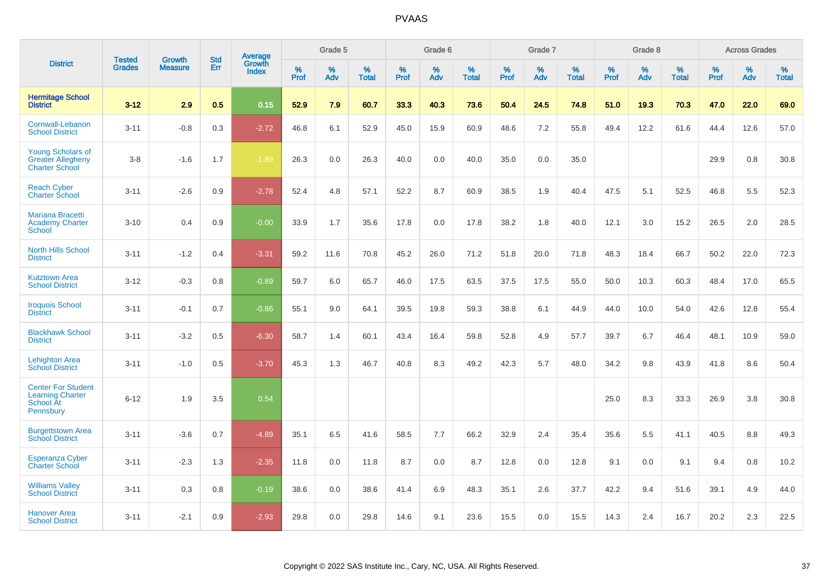|                                                                                       |                                | <b>Growth</b>  | <b>Std</b> | Average                |              | Grade 5  |                   |           | Grade 6  |                   |           | Grade 7  |                   |           | Grade 8  |                   |           | <b>Across Grades</b> |                   |
|---------------------------------------------------------------------------------------|--------------------------------|----------------|------------|------------------------|--------------|----------|-------------------|-----------|----------|-------------------|-----------|----------|-------------------|-----------|----------|-------------------|-----------|----------------------|-------------------|
| <b>District</b>                                                                       | <b>Tested</b><br><b>Grades</b> | <b>Measure</b> | <b>Err</b> | Growth<br><b>Index</b> | $\%$<br>Prof | %<br>Adv | %<br><b>Total</b> | %<br>Prof | %<br>Adv | %<br><b>Total</b> | %<br>Prof | %<br>Adv | %<br><b>Total</b> | %<br>Prof | %<br>Adv | %<br><b>Total</b> | %<br>Prof | %<br>Adv             | %<br><b>Total</b> |
| <b>Hermitage School</b><br><b>District</b>                                            | $3 - 12$                       | 2.9            | 0.5        | 0.15                   | 52.9         | 7.9      | 60.7              | 33.3      | 40.3     | 73.6              | 50.4      | 24.5     | 74.8              | 51.0      | 19.3     | 70.3              | 47.0      | 22.0                 | 69.0              |
| Cornwall-Lebanon<br><b>School District</b>                                            | $3 - 11$                       | $-0.8$         | 0.3        | $-2.72$                | 46.8         | 6.1      | 52.9              | 45.0      | 15.9     | 60.9              | 48.6      | 7.2      | 55.8              | 49.4      | 12.2     | 61.6              | 44.4      | 12.6                 | 57.0              |
| <b>Young Scholars of</b><br><b>Greater Allegheny</b><br><b>Charter School</b>         | $3 - 8$                        | $-1.6$         | 1.7        | $-1.89$                | 26.3         | 0.0      | 26.3              | 40.0      | 0.0      | 40.0              | 35.0      | 0.0      | 35.0              |           |          |                   | 29.9      | $0.8\,$              | 30.8              |
| <b>Reach Cyber</b><br><b>Charter School</b>                                           | $3 - 11$                       | $-2.6$         | 0.9        | $-2.78$                | 52.4         | 4.8      | 57.1              | 52.2      | 8.7      | 60.9              | 38.5      | 1.9      | 40.4              | 47.5      | 5.1      | 52.5              | 46.8      | 5.5                  | 52.3              |
| <b>Mariana Bracetti</b><br><b>Academy Charter</b><br>School                           | $3 - 10$                       | 0.4            | 0.9        | $-0.00$                | 33.9         | 1.7      | 35.6              | 17.8      | 0.0      | 17.8              | 38.2      | 1.8      | 40.0              | 12.1      | 3.0      | 15.2              | 26.5      | 2.0                  | 28.5              |
| <b>North Hills School</b><br><b>District</b>                                          | $3 - 11$                       | $-1.2$         | 0.4        | $-3.31$                | 59.2         | 11.6     | 70.8              | 45.2      | 26.0     | 71.2              | 51.8      | 20.0     | 71.8              | 48.3      | 18.4     | 66.7              | 50.2      | 22.0                 | 72.3              |
| <b>Kutztown Area</b><br><b>School District</b>                                        | $3 - 12$                       | $-0.3$         | 0.8        | $-0.89$                | 59.7         | 6.0      | 65.7              | 46.0      | 17.5     | 63.5              | 37.5      | 17.5     | 55.0              | 50.0      | 10.3     | 60.3              | 48.4      | 17.0                 | 65.5              |
| <b>Iroquois School</b><br><b>District</b>                                             | $3 - 11$                       | $-0.1$         | 0.7        | $-0.86$                | 55.1         | 9.0      | 64.1              | 39.5      | 19.8     | 59.3              | 38.8      | 6.1      | 44.9              | 44.0      | 10.0     | 54.0              | 42.6      | 12.8                 | 55.4              |
| <b>Blackhawk School</b><br><b>District</b>                                            | $3 - 11$                       | $-3.2$         | 0.5        | $-6.30$                | 58.7         | 1.4      | 60.1              | 43.4      | 16.4     | 59.8              | 52.8      | 4.9      | 57.7              | 39.7      | 6.7      | 46.4              | 48.1      | 10.9                 | 59.0              |
| <b>Lehighton Area</b><br><b>School District</b>                                       | $3 - 11$                       | $-1.0$         | 0.5        | $-3.70$                | 45.3         | 1.3      | 46.7              | 40.8      | 8.3      | 49.2              | 42.3      | 5.7      | 48.0              | 34.2      | 9.8      | 43.9              | 41.8      | 8.6                  | 50.4              |
| <b>Center For Student</b><br><b>Learning Charter</b><br>School At<br><b>Pennsbury</b> | $6 - 12$                       | 1.9            | 3.5        | 0.54                   |              |          |                   |           |          |                   |           |          |                   | 25.0      | 8.3      | 33.3              | 26.9      | 3.8                  | 30.8              |
| <b>Burgettstown Area</b><br><b>School District</b>                                    | $3 - 11$                       | $-3.6$         | 0.7        | $-4.89$                | 35.1         | 6.5      | 41.6              | 58.5      | 7.7      | 66.2              | 32.9      | 2.4      | 35.4              | 35.6      | 5.5      | 41.1              | 40.5      | 8.8                  | 49.3              |
| <b>Esperanza Cyber</b><br><b>Charter School</b>                                       | $3 - 11$                       | $-2.3$         | 1.3        | $-2.35$                | 11.8         | 0.0      | 11.8              | 8.7       | 0.0      | 8.7               | 12.8      | 0.0      | 12.8              | 9.1       | 0.0      | 9.1               | 9.4       | 0.8                  | 10.2              |
| <b>Williams Valley</b><br><b>School District</b>                                      | $3 - 11$                       | 0.3            | 0.8        | $-0.19$                | 38.6         | 0.0      | 38.6              | 41.4      | 6.9      | 48.3              | 35.1      | 2.6      | 37.7              | 42.2      | 9.4      | 51.6              | 39.1      | 4.9                  | 44.0              |
| <b>Hanover Area</b><br><b>School District</b>                                         | $3 - 11$                       | $-2.1$         | 0.9        | $-2.93$                | 29.8         | 0.0      | 29.8              | 14.6      | 9.1      | 23.6              | 15.5      | 0.0      | 15.5              | 14.3      | 2.4      | 16.7              | 20.2      | 2.3                  | 22.5              |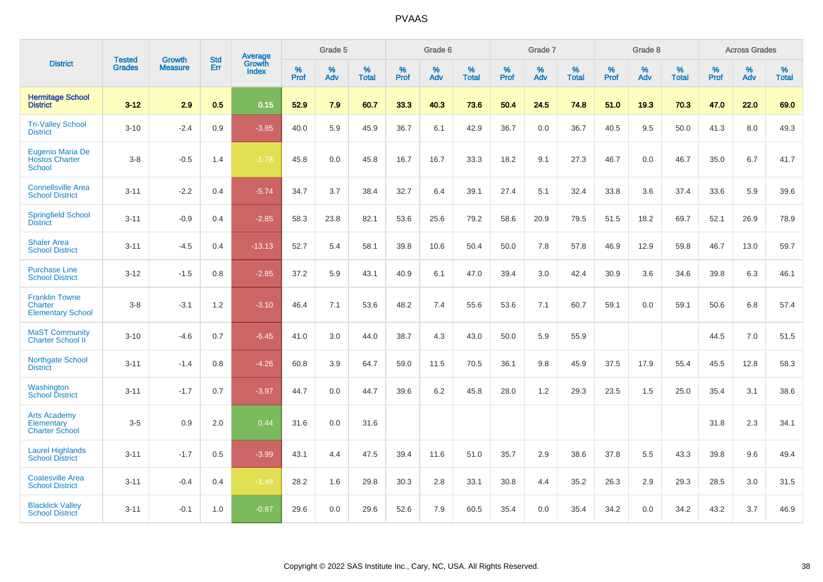|                                                                     |                                |                                 | <b>Std</b> | Average                       |              | Grade 5  |                   |           | Grade 6  |                   |           | Grade 7  |                   |           | Grade 8  |                   |           | <b>Across Grades</b> |                   |
|---------------------------------------------------------------------|--------------------------------|---------------------------------|------------|-------------------------------|--------------|----------|-------------------|-----------|----------|-------------------|-----------|----------|-------------------|-----------|----------|-------------------|-----------|----------------------|-------------------|
| <b>District</b>                                                     | <b>Tested</b><br><b>Grades</b> | <b>Growth</b><br><b>Measure</b> | Err        | <b>Growth</b><br><b>Index</b> | $\%$<br>Prof | %<br>Adv | %<br><b>Total</b> | %<br>Prof | %<br>Adv | %<br><b>Total</b> | %<br>Prof | %<br>Adv | %<br><b>Total</b> | %<br>Prof | %<br>Adv | %<br><b>Total</b> | %<br>Prof | %<br>Adv             | %<br><b>Total</b> |
| <b>Hermitage School</b><br><b>District</b>                          | $3 - 12$                       | 2.9                             | 0.5        | 0.15                          | 52.9         | 7.9      | 60.7              | 33.3      | 40.3     | 73.6              | 50.4      | 24.5     | 74.8              | 51.0      | 19.3     | 70.3              | 47.0      | 22.0                 | 69.0              |
| <b>Tri-Valley School</b><br><b>District</b>                         | $3 - 10$                       | $-2.4$                          | 0.9        | $-3.85$                       | 40.0         | 5.9      | 45.9              | 36.7      | 6.1      | 42.9              | 36.7      | 0.0      | 36.7              | 40.5      | 9.5      | 50.0              | 41.3      | 8.0                  | 49.3              |
| Eugenio Maria De<br><b>Hostos Charter</b><br><b>School</b>          | $3-8$                          | $-0.5$                          | 1.4        | $-1.78$                       | 45.8         | 0.0      | 45.8              | 16.7      | 16.7     | 33.3              | 18.2      | 9.1      | 27.3              | 46.7      | 0.0      | 46.7              | 35.0      | 6.7                  | 41.7              |
| <b>Connellsville Area</b><br><b>School District</b>                 | $3 - 11$                       | $-2.2$                          | 0.4        | $-5.74$                       | 34.7         | 3.7      | 38.4              | 32.7      | 6.4      | 39.1              | 27.4      | 5.1      | 32.4              | 33.8      | 3.6      | 37.4              | 33.6      | 5.9                  | 39.6              |
| <b>Springfield School</b><br><b>District</b>                        | $3 - 11$                       | $-0.9$                          | 0.4        | $-2.85$                       | 58.3         | 23.8     | 82.1              | 53.6      | 25.6     | 79.2              | 58.6      | 20.9     | 79.5              | 51.5      | 18.2     | 69.7              | 52.1      | 26.9                 | 78.9              |
| <b>Shaler Area</b><br><b>School District</b>                        | $3 - 11$                       | $-4.5$                          | 0.4        | $-13.13$                      | 52.7         | 5.4      | 58.1              | 39.8      | 10.6     | 50.4              | 50.0      | 7.8      | 57.8              | 46.9      | 12.9     | 59.8              | 46.7      | 13.0                 | 59.7              |
| <b>Purchase Line</b><br><b>School District</b>                      | $3 - 12$                       | $-1.5$                          | 0.8        | $-2.85$                       | 37.2         | 5.9      | 43.1              | 40.9      | 6.1      | 47.0              | 39.4      | 3.0      | 42.4              | 30.9      | 3.6      | 34.6              | 39.8      | 6.3                  | 46.1              |
| <b>Franklin Towne</b><br><b>Charter</b><br><b>Elementary School</b> | $3 - 8$                        | $-3.1$                          | 1.2        | $-3.10$                       | 46.4         | 7.1      | 53.6              | 48.2      | 7.4      | 55.6              | 53.6      | 7.1      | 60.7              | 59.1      | 0.0      | 59.1              | 50.6      | 6.8                  | 57.4              |
| <b>MaST Community</b><br>Charter School II                          | $3 - 10$                       | $-4.6$                          | 0.7        | $-6.45$                       | 41.0         | 3.0      | 44.0              | 38.7      | 4.3      | 43.0              | 50.0      | 5.9      | 55.9              |           |          |                   | 44.5      | 7.0                  | 51.5              |
| Northgate School<br><b>District</b>                                 | $3 - 11$                       | $-1.4$                          | 0.8        | $-4.26$                       | 60.8         | 3.9      | 64.7              | 59.0      | 11.5     | 70.5              | 36.1      | 9.8      | 45.9              | 37.5      | 17.9     | 55.4              | 45.5      | 12.8                 | 58.3              |
| Washington<br><b>School District</b>                                | $3 - 11$                       | $-1.7$                          | 0.7        | $-3.97$                       | 44.7         | 0.0      | 44.7              | 39.6      | 6.2      | 45.8              | 28.0      | 1.2      | 29.3              | 23.5      | 1.5      | 25.0              | 35.4      | 3.1                  | 38.6              |
| <b>Arts Academy</b><br>Elementary<br><b>Charter School</b>          | $3 - 5$                        | 0.9                             | 2.0        | 0.44                          | 31.6         | 0.0      | 31.6              |           |          |                   |           |          |                   |           |          |                   | 31.8      | 2.3                  | 34.1              |
| <b>Laurel Highlands</b><br><b>School District</b>                   | $3 - 11$                       | $-1.7$                          | 0.5        | $-3.99$                       | 43.1         | 4.4      | 47.5              | 39.4      | 11.6     | 51.0              | 35.7      | 2.9      | 38.6              | 37.8      | 5.5      | 43.3              | 39.8      | 9.6                  | 49.4              |
| <b>Coatesville Area</b><br><b>School District</b>                   | $3 - 11$                       | $-0.4$                          | 0.4        | $-1.48$                       | 28.2         | 1.6      | 29.8              | 30.3      | 2.8      | 33.1              | 30.8      | 4.4      | 35.2              | 26.3      | 2.9      | 29.3              | 28.5      | 3.0                  | 31.5              |
| <b>Blacklick Valley</b><br><b>School District</b>                   | $3 - 11$                       | $-0.1$                          | 1.0        | $-0.87$                       | 29.6         | 0.0      | 29.6              | 52.6      | 7.9      | 60.5              | 35.4      | 0.0      | 35.4              | 34.2      | 0.0      | 34.2              | 43.2      | 3.7                  | 46.9              |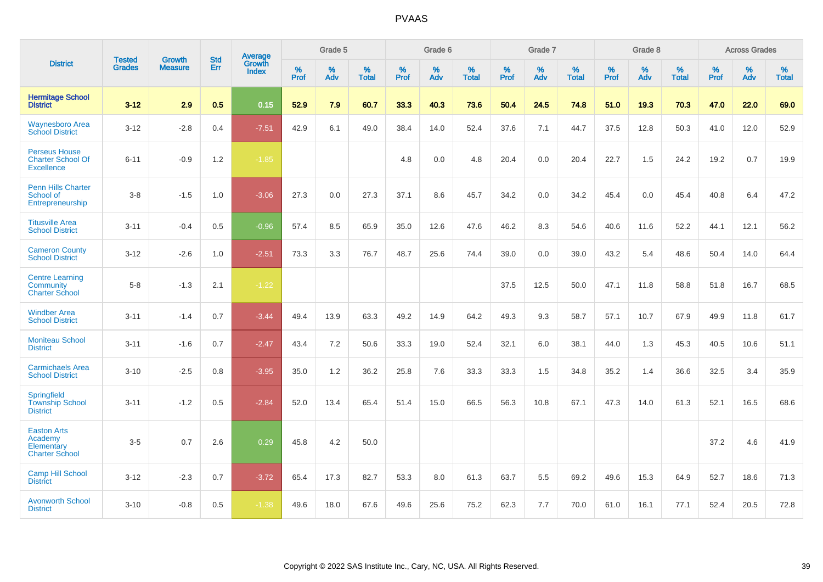|                                                                       | <b>Tested</b> | <b>Growth</b>  | <b>Std</b> | Average                |              | Grade 5  |                   |              | Grade 6  |                   |              | Grade 7  |                   |              | Grade 8  |                   |           | <b>Across Grades</b> |                   |
|-----------------------------------------------------------------------|---------------|----------------|------------|------------------------|--------------|----------|-------------------|--------------|----------|-------------------|--------------|----------|-------------------|--------------|----------|-------------------|-----------|----------------------|-------------------|
| <b>District</b>                                                       | <b>Grades</b> | <b>Measure</b> | Err        | Growth<br><b>Index</b> | $\%$<br>Prof | %<br>Adv | %<br><b>Total</b> | $\%$<br>Prof | %<br>Adv | %<br><b>Total</b> | $\%$<br>Prof | %<br>Adv | %<br><b>Total</b> | $\%$<br>Prof | %<br>Adv | %<br><b>Total</b> | %<br>Prof | %<br>Adv             | %<br><b>Total</b> |
| <b>Hermitage School</b><br><b>District</b>                            | $3 - 12$      | 2.9            | 0.5        | 0.15                   | 52.9         | 7.9      | 60.7              | 33.3         | 40.3     | 73.6              | 50.4         | 24.5     | 74.8              | 51.0         | 19.3     | 70.3              | 47.0      | 22.0                 | 69.0              |
| <b>Waynesboro Area</b><br><b>School District</b>                      | $3 - 12$      | $-2.8$         | 0.4        | $-7.51$                | 42.9         | 6.1      | 49.0              | 38.4         | 14.0     | 52.4              | 37.6         | 7.1      | 44.7              | 37.5         | 12.8     | 50.3              | 41.0      | 12.0                 | 52.9              |
| <b>Perseus House</b><br><b>Charter School Of</b><br><b>Excellence</b> | $6 - 11$      | $-0.9$         | 1.2        | $-1.85$                |              |          |                   | 4.8          | 0.0      | 4.8               | 20.4         | 0.0      | 20.4              | 22.7         | 1.5      | 24.2              | 19.2      | 0.7                  | 19.9              |
| <b>Penn Hills Charter</b><br>School of<br>Entrepreneurship            | $3 - 8$       | $-1.5$         | 1.0        | $-3.06$                | 27.3         | 0.0      | 27.3              | 37.1         | 8.6      | 45.7              | 34.2         | 0.0      | 34.2              | 45.4         | 0.0      | 45.4              | 40.8      | 6.4                  | 47.2              |
| <b>Titusville Area</b><br><b>School District</b>                      | $3 - 11$      | $-0.4$         | 0.5        | $-0.96$                | 57.4         | 8.5      | 65.9              | 35.0         | 12.6     | 47.6              | 46.2         | 8.3      | 54.6              | 40.6         | 11.6     | 52.2              | 44.1      | 12.1                 | 56.2              |
| <b>Cameron County</b><br><b>School District</b>                       | $3 - 12$      | $-2.6$         | 1.0        | $-2.51$                | 73.3         | 3.3      | 76.7              | 48.7         | 25.6     | 74.4              | 39.0         | 0.0      | 39.0              | 43.2         | 5.4      | 48.6              | 50.4      | 14.0                 | 64.4              |
| <b>Centre Learning</b><br>Community<br><b>Charter School</b>          | $5 - 8$       | $-1.3$         | 2.1        | $-1.22$                |              |          |                   |              |          |                   | 37.5         | 12.5     | 50.0              | 47.1         | 11.8     | 58.8              | 51.8      | 16.7                 | 68.5              |
| <b>Windber Area</b><br><b>School District</b>                         | $3 - 11$      | $-1.4$         | 0.7        | $-3.44$                | 49.4         | 13.9     | 63.3              | 49.2         | 14.9     | 64.2              | 49.3         | 9.3      | 58.7              | 57.1         | 10.7     | 67.9              | 49.9      | 11.8                 | 61.7              |
| <b>Moniteau School</b><br><b>District</b>                             | $3 - 11$      | $-1.6$         | 0.7        | $-2.47$                | 43.4         | 7.2      | 50.6              | 33.3         | 19.0     | 52.4              | 32.1         | 6.0      | 38.1              | 44.0         | 1.3      | 45.3              | 40.5      | 10.6                 | 51.1              |
| <b>Carmichaels Area</b><br><b>School District</b>                     | $3 - 10$      | $-2.5$         | 0.8        | $-3.95$                | 35.0         | 1.2      | 36.2              | 25.8         | 7.6      | 33.3              | 33.3         | 1.5      | 34.8              | 35.2         | 1.4      | 36.6              | 32.5      | 3.4                  | 35.9              |
| <b>Springfield</b><br><b>Township School</b><br><b>District</b>       | $3 - 11$      | $-1.2$         | 0.5        | $-2.84$                | 52.0         | 13.4     | 65.4              | 51.4         | 15.0     | 66.5              | 56.3         | 10.8     | 67.1              | 47.3         | 14.0     | 61.3              | 52.1      | 16.5                 | 68.6              |
| <b>Easton Arts</b><br>Academy<br>Elementary<br><b>Charter School</b>  | $3-5$         | 0.7            | 2.6        | 0.29                   | 45.8         | 4.2      | 50.0              |              |          |                   |              |          |                   |              |          |                   | 37.2      | 4.6                  | 41.9              |
| <b>Camp Hill School</b><br><b>District</b>                            | $3 - 12$      | $-2.3$         | 0.7        | $-3.72$                | 65.4         | 17.3     | 82.7              | 53.3         | 8.0      | 61.3              | 63.7         | 5.5      | 69.2              | 49.6         | 15.3     | 64.9              | 52.7      | 18.6                 | 71.3              |
| <b>Avonworth School</b><br><b>District</b>                            | $3 - 10$      | $-0.8$         | 0.5        | $-1.38$                | 49.6         | 18.0     | 67.6              | 49.6         | 25.6     | 75.2              | 62.3         | 7.7      | 70.0              | 61.0         | 16.1     | 77.1              | 52.4      | 20.5                 | 72.8              |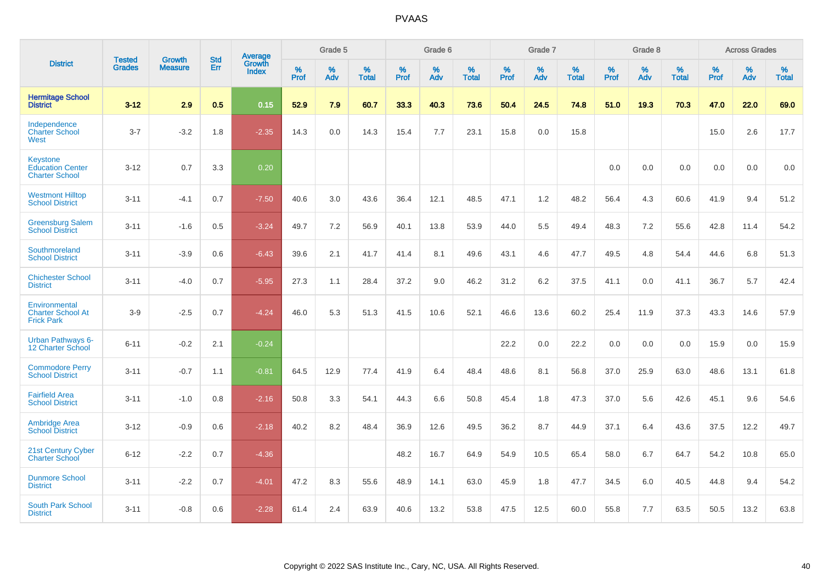|                                                                     | <b>Tested</b> | <b>Growth</b>  | <b>Std</b> | Average                       |           | Grade 5  |                   |           | Grade 6  |                   |           | Grade 7  |                   |           | Grade 8  |                   |           | <b>Across Grades</b> |                   |
|---------------------------------------------------------------------|---------------|----------------|------------|-------------------------------|-----------|----------|-------------------|-----------|----------|-------------------|-----------|----------|-------------------|-----------|----------|-------------------|-----------|----------------------|-------------------|
| <b>District</b>                                                     | <b>Grades</b> | <b>Measure</b> | Err        | <b>Growth</b><br><b>Index</b> | %<br>Prof | %<br>Adv | %<br><b>Total</b> | %<br>Prof | %<br>Adv | %<br><b>Total</b> | %<br>Prof | %<br>Adv | %<br><b>Total</b> | %<br>Prof | %<br>Adv | %<br><b>Total</b> | %<br>Prof | %<br>Adv             | %<br><b>Total</b> |
| <b>Hermitage School</b><br><b>District</b>                          | $3 - 12$      | 2.9            | 0.5        | 0.15                          | 52.9      | 7.9      | 60.7              | 33.3      | 40.3     | 73.6              | 50.4      | 24.5     | 74.8              | 51.0      | 19.3     | 70.3              | 47.0      | 22.0                 | 69.0              |
| Independence<br><b>Charter School</b><br>West                       | $3 - 7$       | $-3.2$         | 1.8        | $-2.35$                       | 14.3      | 0.0      | 14.3              | 15.4      | 7.7      | 23.1              | 15.8      | 0.0      | 15.8              |           |          |                   | 15.0      | 2.6                  | 17.7              |
| <b>Keystone</b><br><b>Education Center</b><br><b>Charter School</b> | $3 - 12$      | 0.7            | 3.3        | 0.20                          |           |          |                   |           |          |                   |           |          |                   | 0.0       | 0.0      | 0.0               | 0.0       | 0.0                  | 0.0               |
| <b>Westmont Hilltop</b><br><b>School District</b>                   | $3 - 11$      | $-4.1$         | 0.7        | $-7.50$                       | 40.6      | 3.0      | 43.6              | 36.4      | 12.1     | 48.5              | 47.1      | 1.2      | 48.2              | 56.4      | 4.3      | 60.6              | 41.9      | 9.4                  | 51.2              |
| <b>Greensburg Salem</b><br><b>School District</b>                   | $3 - 11$      | $-1.6$         | 0.5        | $-3.24$                       | 49.7      | 7.2      | 56.9              | 40.1      | 13.8     | 53.9              | 44.0      | 5.5      | 49.4              | 48.3      | 7.2      | 55.6              | 42.8      | 11.4                 | 54.2              |
| Southmoreland<br><b>School District</b>                             | $3 - 11$      | $-3.9$         | 0.6        | $-6.43$                       | 39.6      | 2.1      | 41.7              | 41.4      | 8.1      | 49.6              | 43.1      | 4.6      | 47.7              | 49.5      | 4.8      | 54.4              | 44.6      | 6.8                  | 51.3              |
| <b>Chichester School</b><br><b>District</b>                         | $3 - 11$      | $-4.0$         | 0.7        | $-5.95$                       | 27.3      | 1.1      | 28.4              | 37.2      | 9.0      | 46.2              | 31.2      | 6.2      | 37.5              | 41.1      | 0.0      | 41.1              | 36.7      | 5.7                  | 42.4              |
| Environmental<br><b>Charter School At</b><br><b>Frick Park</b>      | $3-9$         | $-2.5$         | 0.7        | $-4.24$                       | 46.0      | 5.3      | 51.3              | 41.5      | 10.6     | 52.1              | 46.6      | 13.6     | 60.2              | 25.4      | 11.9     | 37.3              | 43.3      | 14.6                 | 57.9              |
| <b>Urban Pathways 6-</b><br>12 Charter School                       | $6 - 11$      | $-0.2$         | 2.1        | $-0.24$                       |           |          |                   |           |          |                   | 22.2      | 0.0      | 22.2              | 0.0       | 0.0      | 0.0               | 15.9      | 0.0                  | 15.9              |
| <b>Commodore Perry</b><br><b>School District</b>                    | $3 - 11$      | $-0.7$         | 1.1        | $-0.81$                       | 64.5      | 12.9     | 77.4              | 41.9      | 6.4      | 48.4              | 48.6      | 8.1      | 56.8              | 37.0      | 25.9     | 63.0              | 48.6      | 13.1                 | 61.8              |
| <b>Fairfield Area</b><br><b>School District</b>                     | $3 - 11$      | $-1.0$         | 0.8        | $-2.16$                       | 50.8      | 3.3      | 54.1              | 44.3      | 6.6      | 50.8              | 45.4      | 1.8      | 47.3              | 37.0      | 5.6      | 42.6              | 45.1      | 9.6                  | 54.6              |
| <b>Ambridge Area</b><br><b>School District</b>                      | $3 - 12$      | $-0.9$         | 0.6        | $-2.18$                       | 40.2      | 8.2      | 48.4              | 36.9      | 12.6     | 49.5              | 36.2      | 8.7      | 44.9              | 37.1      | 6.4      | 43.6              | 37.5      | 12.2                 | 49.7              |
| <b>21st Century Cyber</b><br><b>Charter School</b>                  | $6 - 12$      | $-2.2$         | 0.7        | $-4.36$                       |           |          |                   | 48.2      | 16.7     | 64.9              | 54.9      | 10.5     | 65.4              | 58.0      | 6.7      | 64.7              | 54.2      | 10.8                 | 65.0              |
| <b>Dunmore School</b><br><b>District</b>                            | $3 - 11$      | $-2.2$         | 0.7        | $-4.01$                       | 47.2      | 8.3      | 55.6              | 48.9      | 14.1     | 63.0              | 45.9      | 1.8      | 47.7              | 34.5      | 6.0      | 40.5              | 44.8      | 9.4                  | 54.2              |
| <b>South Park School</b><br><b>District</b>                         | $3 - 11$      | $-0.8$         | 0.6        | $-2.28$                       | 61.4      | 2.4      | 63.9              | 40.6      | 13.2     | 53.8              | 47.5      | 12.5     | 60.0              | 55.8      | 7.7      | 63.5              | 50.5      | 13.2                 | 63.8              |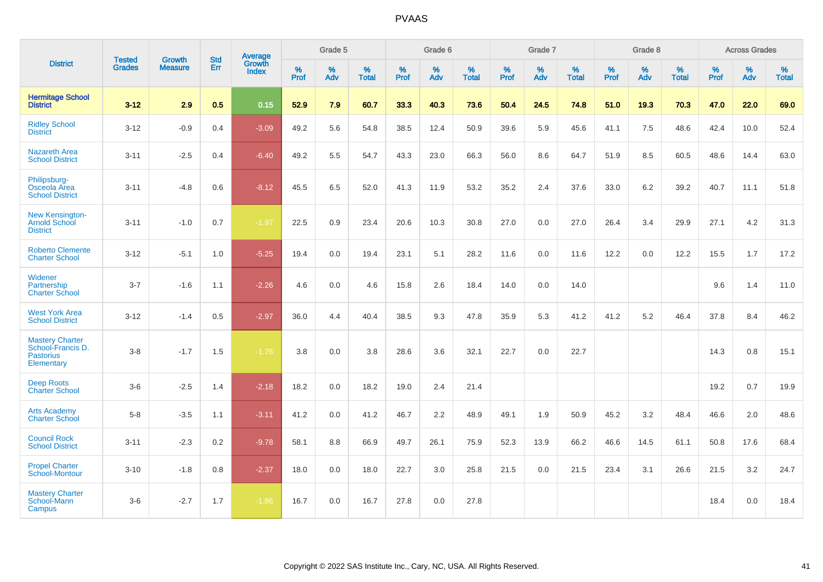|                                                                               |                                |                                 | <b>Std</b> |              | Grade 5<br>Grade 6<br><b>Average</b><br>Growth |          | Grade 7           |           |          | Grade 8           |           |          | <b>Across Grades</b> |           |          |                   |           |          |                   |
|-------------------------------------------------------------------------------|--------------------------------|---------------------------------|------------|--------------|------------------------------------------------|----------|-------------------|-----------|----------|-------------------|-----------|----------|----------------------|-----------|----------|-------------------|-----------|----------|-------------------|
| <b>District</b>                                                               | <b>Tested</b><br><b>Grades</b> | <b>Growth</b><br><b>Measure</b> | Err        | <b>Index</b> | $\%$<br>Prof                                   | %<br>Adv | %<br><b>Total</b> | %<br>Prof | %<br>Adv | %<br><b>Total</b> | %<br>Prof | %<br>Adv | %<br><b>Total</b>    | %<br>Prof | %<br>Adv | %<br><b>Total</b> | %<br>Prof | %<br>Adv | %<br><b>Total</b> |
| <b>Hermitage School</b><br><b>District</b>                                    | $3 - 12$                       | 2.9                             | 0.5        | 0.15         | 52.9                                           | 7.9      | 60.7              | 33.3      | 40.3     | 73.6              | 50.4      | 24.5     | 74.8                 | 51.0      | 19.3     | 70.3              | 47.0      | 22.0     | 69.0              |
| <b>Ridley School</b><br><b>District</b>                                       | $3 - 12$                       | $-0.9$                          | 0.4        | $-3.09$      | 49.2                                           | 5.6      | 54.8              | 38.5      | 12.4     | 50.9              | 39.6      | 5.9      | 45.6                 | 41.1      | 7.5      | 48.6              | 42.4      | 10.0     | 52.4              |
| <b>Nazareth Area</b><br><b>School District</b>                                | $3 - 11$                       | $-2.5$                          | 0.4        | $-6.40$      | 49.2                                           | 5.5      | 54.7              | 43.3      | 23.0     | 66.3              | 56.0      | 8.6      | 64.7                 | 51.9      | 8.5      | 60.5              | 48.6      | 14.4     | 63.0              |
| Philipsburg-<br>Osceola Area<br><b>School District</b>                        | $3 - 11$                       | $-4.8$                          | 0.6        | $-8.12$      | 45.5                                           | 6.5      | 52.0              | 41.3      | 11.9     | 53.2              | 35.2      | 2.4      | 37.6                 | 33.0      | 6.2      | 39.2              | 40.7      | 11.1     | 51.8              |
| New Kensington-<br><b>Arnold School</b><br><b>District</b>                    | $3 - 11$                       | $-1.0$                          | 0.7        | $-1.97$      | 22.5                                           | 0.9      | 23.4              | 20.6      | 10.3     | 30.8              | 27.0      | 0.0      | 27.0                 | 26.4      | 3.4      | 29.9              | 27.1      | 4.2      | 31.3              |
| <b>Roberto Clemente</b><br><b>Charter School</b>                              | $3 - 12$                       | $-5.1$                          | 1.0        | $-5.25$      | 19.4                                           | 0.0      | 19.4              | 23.1      | 5.1      | 28.2              | 11.6      | $0.0\,$  | 11.6                 | 12.2      | 0.0      | 12.2              | 15.5      | 1.7      | 17.2              |
| Widener<br>Partnership<br><b>Charter School</b>                               | $3 - 7$                        | $-1.6$                          | 1.1        | $-2.26$      | 4.6                                            | 0.0      | 4.6               | 15.8      | 2.6      | 18.4              | 14.0      | 0.0      | 14.0                 |           |          |                   | 9.6       | 1.4      | 11.0              |
| <b>West York Area</b><br><b>School District</b>                               | $3 - 12$                       | $-1.4$                          | 0.5        | $-2.97$      | 36.0                                           | 4.4      | 40.4              | 38.5      | 9.3      | 47.8              | 35.9      | 5.3      | 41.2                 | 41.2      | 5.2      | 46.4              | 37.8      | 8.4      | 46.2              |
| <b>Mastery Charter</b><br>School-Francis D.<br><b>Pastorius</b><br>Elementary | $3 - 8$                        | $-1.7$                          | 1.5        | $-1.76$      | 3.8                                            | 0.0      | 3.8               | 28.6      | 3.6      | 32.1              | 22.7      | 0.0      | 22.7                 |           |          |                   | 14.3      | 0.8      | 15.1              |
| <b>Deep Roots</b><br><b>Charter School</b>                                    | $3-6$                          | $-2.5$                          | 1.4        | $-2.18$      | 18.2                                           | 0.0      | 18.2              | 19.0      | 2.4      | 21.4              |           |          |                      |           |          |                   | 19.2      | 0.7      | 19.9              |
| <b>Arts Academy</b><br><b>Charter School</b>                                  | $5 - 8$                        | $-3.5$                          | 1.1        | $-3.11$      | 41.2                                           | 0.0      | 41.2              | 46.7      | 2.2      | 48.9              | 49.1      | 1.9      | 50.9                 | 45.2      | 3.2      | 48.4              | 46.6      | 2.0      | 48.6              |
| <b>Council Rock</b><br><b>School District</b>                                 | $3 - 11$                       | $-2.3$                          | 0.2        | $-9.78$      | 58.1                                           | 8.8      | 66.9              | 49.7      | 26.1     | 75.9              | 52.3      | 13.9     | 66.2                 | 46.6      | 14.5     | 61.1              | 50.8      | 17.6     | 68.4              |
| <b>Propel Charter</b><br><b>School-Montour</b>                                | $3 - 10$                       | $-1.8$                          | 0.8        | $-2.37$      | 18.0                                           | 0.0      | 18.0              | 22.7      | 3.0      | 25.8              | 21.5      | 0.0      | 21.5                 | 23.4      | 3.1      | 26.6              | 21.5      | 3.2      | 24.7              |
| <b>Mastery Charter</b><br>School-Mann<br>Campus                               | $3-6$                          | $-2.7$                          | 1.7        | $-1.86$      | 16.7                                           | 0.0      | 16.7              | 27.8      | 0.0      | 27.8              |           |          |                      |           |          |                   | 18.4      | 0.0      | 18.4              |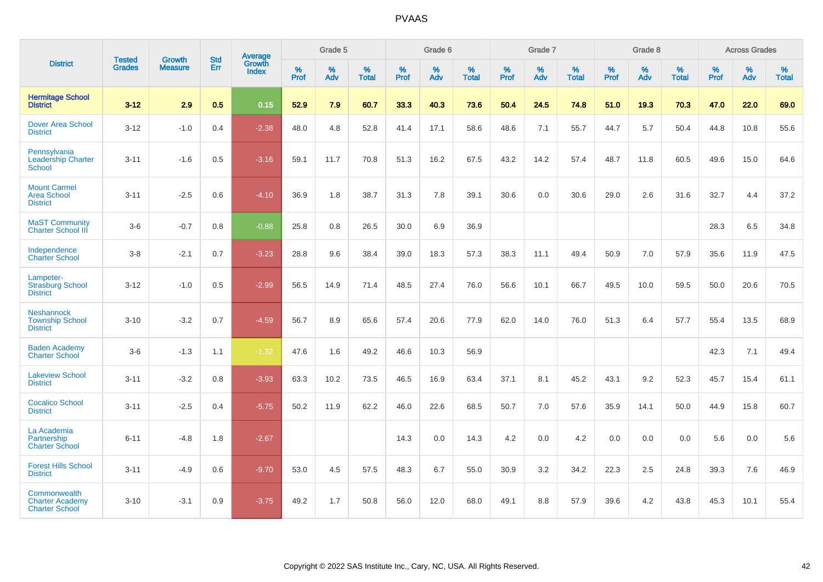|                                                                 |                                |                                 | <b>Std</b> | <b>Average</b>         |           | Grade 5  |                   |           | Grade 6  |                   |           | Grade 7  |                   |           | Grade 8  |                   |           | <b>Across Grades</b> |                   |
|-----------------------------------------------------------------|--------------------------------|---------------------------------|------------|------------------------|-----------|----------|-------------------|-----------|----------|-------------------|-----------|----------|-------------------|-----------|----------|-------------------|-----------|----------------------|-------------------|
| <b>District</b>                                                 | <b>Tested</b><br><b>Grades</b> | <b>Growth</b><br><b>Measure</b> | Err        | Growth<br><b>Index</b> | %<br>Prof | %<br>Adv | %<br><b>Total</b> | %<br>Prof | %<br>Adv | %<br><b>Total</b> | %<br>Prof | %<br>Adv | %<br><b>Total</b> | %<br>Prof | %<br>Adv | %<br><b>Total</b> | %<br>Prof | %<br>Adv             | %<br><b>Total</b> |
| <b>Hermitage School</b><br><b>District</b>                      | $3 - 12$                       | 2.9                             | 0.5        | 0.15                   | 52.9      | 7.9      | 60.7              | 33.3      | 40.3     | 73.6              | 50.4      | 24.5     | 74.8              | 51.0      | 19.3     | 70.3              | 47.0      | 22.0                 | 69.0              |
| <b>Dover Area School</b><br><b>District</b>                     | $3 - 12$                       | $-1.0$                          | 0.4        | $-2.38$                | 48.0      | 4.8      | 52.8              | 41.4      | 17.1     | 58.6              | 48.6      | 7.1      | 55.7              | 44.7      | 5.7      | 50.4              | 44.8      | 10.8                 | 55.6              |
| Pennsylvania<br><b>Leadership Charter</b><br><b>School</b>      | $3 - 11$                       | $-1.6$                          | 0.5        | $-3.16$                | 59.1      | 11.7     | 70.8              | 51.3      | 16.2     | 67.5              | 43.2      | 14.2     | 57.4              | 48.7      | 11.8     | 60.5              | 49.6      | 15.0                 | 64.6              |
| <b>Mount Carmel</b><br><b>Area School</b><br><b>District</b>    | $3 - 11$                       | $-2.5$                          | 0.6        | $-4.10$                | 36.9      | 1.8      | 38.7              | 31.3      | 7.8      | 39.1              | 30.6      | 0.0      | 30.6              | 29.0      | 2.6      | 31.6              | 32.7      | 4.4                  | 37.2              |
| <b>MaST Community</b><br><b>Charter School III</b>              | $3-6$                          | $-0.7$                          | 0.8        | $-0.88$                | 25.8      | 0.8      | 26.5              | 30.0      | 6.9      | 36.9              |           |          |                   |           |          |                   | 28.3      | 6.5                  | 34.8              |
| Independence<br><b>Charter School</b>                           | $3 - 8$                        | $-2.1$                          | 0.7        | $-3.23$                | 28.8      | 9.6      | 38.4              | 39.0      | 18.3     | 57.3              | 38.3      | 11.1     | 49.4              | 50.9      | 7.0      | 57.9              | 35.6      | 11.9                 | 47.5              |
| Lampeter-<br><b>Strasburg School</b><br><b>District</b>         | $3 - 12$                       | $-1.0$                          | 0.5        | $-2.99$                | 56.5      | 14.9     | 71.4              | 48.5      | 27.4     | 76.0              | 56.6      | 10.1     | 66.7              | 49.5      | 10.0     | 59.5              | 50.0      | 20.6                 | 70.5              |
| <b>Neshannock</b><br><b>Township School</b><br><b>District</b>  | $3 - 10$                       | $-3.2$                          | 0.7        | $-4.59$                | 56.7      | 8.9      | 65.6              | 57.4      | 20.6     | 77.9              | 62.0      | 14.0     | 76.0              | 51.3      | 6.4      | 57.7              | 55.4      | 13.5                 | 68.9              |
| <b>Baden Academy</b><br><b>Charter School</b>                   | $3-6$                          | $-1.3$                          | 1.1        | $-1.32$                | 47.6      | 1.6      | 49.2              | 46.6      | 10.3     | 56.9              |           |          |                   |           |          |                   | 42.3      | 7.1                  | 49.4              |
| <b>Lakeview School</b><br><b>District</b>                       | $3 - 11$                       | $-3.2$                          | 0.8        | $-3.93$                | 63.3      | 10.2     | 73.5              | 46.5      | 16.9     | 63.4              | 37.1      | 8.1      | 45.2              | 43.1      | 9.2      | 52.3              | 45.7      | 15.4                 | 61.1              |
| <b>Cocalico School</b><br><b>District</b>                       | $3 - 11$                       | $-2.5$                          | 0.4        | $-5.75$                | 50.2      | 11.9     | 62.2              | 46.0      | 22.6     | 68.5              | 50.7      | 7.0      | 57.6              | 35.9      | 14.1     | 50.0              | 44.9      | 15.8                 | 60.7              |
| La Academia<br>Partnership<br><b>Charter School</b>             | $6 - 11$                       | $-4.8$                          | 1.8        | $-2.67$                |           |          |                   | 14.3      | 0.0      | 14.3              | 4.2       | 0.0      | 4.2               | 0.0       | 0.0      | 0.0               | 5.6       | 0.0                  | 5.6               |
| <b>Forest Hills School</b><br><b>District</b>                   | $3 - 11$                       | $-4.9$                          | 0.6        | $-9.70$                | 53.0      | 4.5      | 57.5              | 48.3      | 6.7      | 55.0              | 30.9      | 3.2      | 34.2              | 22.3      | 2.5      | 24.8              | 39.3      | 7.6                  | 46.9              |
| Commonwealth<br><b>Charter Academy</b><br><b>Charter School</b> | $3 - 10$                       | $-3.1$                          | 0.9        | $-3.75$                | 49.2      | 1.7      | 50.8              | 56.0      | 12.0     | 68.0              | 49.1      | 8.8      | 57.9              | 39.6      | 4.2      | 43.8              | 45.3      | 10.1                 | 55.4              |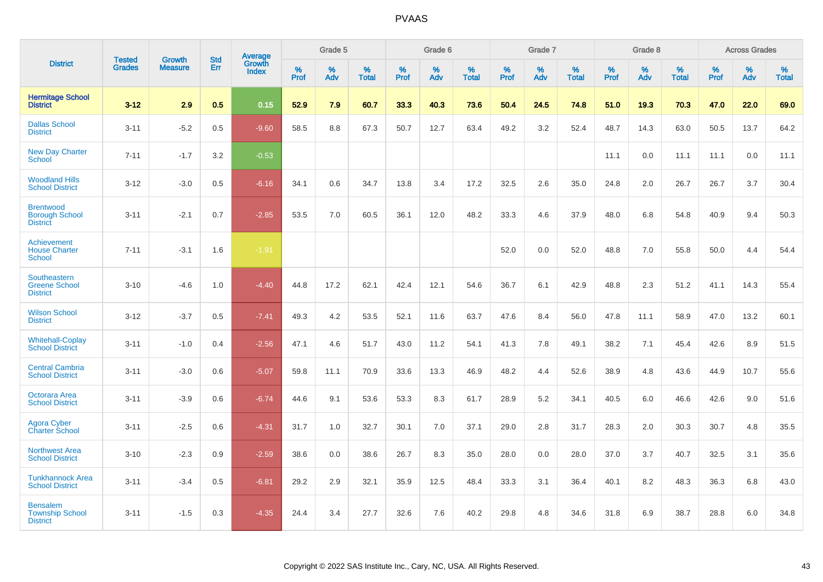|                                                              |                                |                          | <b>Std</b> | <b>Average</b>         |           | Grade 5  |                   |           | Grade 6  |                   |           | Grade 7  |                   |           | Grade 8  |                   |           | <b>Across Grades</b> |                   |
|--------------------------------------------------------------|--------------------------------|--------------------------|------------|------------------------|-----------|----------|-------------------|-----------|----------|-------------------|-----------|----------|-------------------|-----------|----------|-------------------|-----------|----------------------|-------------------|
| <b>District</b>                                              | <b>Tested</b><br><b>Grades</b> | Growth<br><b>Measure</b> | Err        | Growth<br><b>Index</b> | %<br>Prof | %<br>Adv | %<br><b>Total</b> | %<br>Prof | %<br>Adv | %<br><b>Total</b> | %<br>Prof | %<br>Adv | %<br><b>Total</b> | %<br>Prof | %<br>Adv | %<br><b>Total</b> | %<br>Prof | %<br>Adv             | %<br><b>Total</b> |
| <b>Hermitage School</b><br><b>District</b>                   | $3 - 12$                       | 2.9                      | 0.5        | 0.15                   | 52.9      | 7.9      | 60.7              | 33.3      | 40.3     | 73.6              | 50.4      | 24.5     | 74.8              | 51.0      | 19.3     | 70.3              | 47.0      | 22.0                 | 69.0              |
| <b>Dallas School</b><br><b>District</b>                      | $3 - 11$                       | $-5.2$                   | 0.5        | $-9.60$                | 58.5      | 8.8      | 67.3              | 50.7      | 12.7     | 63.4              | 49.2      | 3.2      | 52.4              | 48.7      | 14.3     | 63.0              | 50.5      | 13.7                 | 64.2              |
| <b>New Day Charter</b><br><b>School</b>                      | $7 - 11$                       | $-1.7$                   | 3.2        | $-0.53$                |           |          |                   |           |          |                   |           |          |                   | 11.1      | 0.0      | 11.1              | 11.1      | 0.0                  | 11.1              |
| <b>Woodland Hills</b><br><b>School District</b>              | $3 - 12$                       | $-3.0$                   | 0.5        | $-6.16$                | 34.1      | 0.6      | 34.7              | 13.8      | 3.4      | 17.2              | 32.5      | 2.6      | 35.0              | 24.8      | 2.0      | 26.7              | 26.7      | 3.7                  | 30.4              |
| <b>Brentwood</b><br><b>Borough School</b><br><b>District</b> | $3 - 11$                       | $-2.1$                   | 0.7        | $-2.85$                | 53.5      | 7.0      | 60.5              | 36.1      | 12.0     | 48.2              | 33.3      | 4.6      | 37.9              | 48.0      | 6.8      | 54.8              | 40.9      | 9.4                  | 50.3              |
| Achievement<br><b>House Charter</b><br><b>School</b>         | $7 - 11$                       | $-3.1$                   | 1.6        | $-1.91$                |           |          |                   |           |          |                   | 52.0      | 0.0      | 52.0              | 48.8      | 7.0      | 55.8              | 50.0      | 4.4                  | 54.4              |
| Southeastern<br><b>Greene School</b><br><b>District</b>      | $3 - 10$                       | $-4.6$                   | 1.0        | $-4.40$                | 44.8      | 17.2     | 62.1              | 42.4      | 12.1     | 54.6              | 36.7      | 6.1      | 42.9              | 48.8      | 2.3      | 51.2              | 41.1      | 14.3                 | 55.4              |
| <b>Wilson School</b><br><b>District</b>                      | $3 - 12$                       | $-3.7$                   | 0.5        | $-7.41$                | 49.3      | 4.2      | 53.5              | 52.1      | 11.6     | 63.7              | 47.6      | 8.4      | 56.0              | 47.8      | 11.1     | 58.9              | 47.0      | 13.2                 | 60.1              |
| <b>Whitehall-Coplay</b><br><b>School District</b>            | $3 - 11$                       | $-1.0$                   | 0.4        | $-2.56$                | 47.1      | 4.6      | 51.7              | 43.0      | 11.2     | 54.1              | 41.3      | 7.8      | 49.1              | 38.2      | 7.1      | 45.4              | 42.6      | 8.9                  | 51.5              |
| <b>Central Cambria</b><br><b>School District</b>             | $3 - 11$                       | $-3.0$                   | 0.6        | $-5.07$                | 59.8      | 11.1     | 70.9              | 33.6      | 13.3     | 46.9              | 48.2      | 4.4      | 52.6              | 38.9      | 4.8      | 43.6              | 44.9      | 10.7                 | 55.6              |
| Octorara Area<br><b>School District</b>                      | $3 - 11$                       | $-3.9$                   | 0.6        | $-6.74$                | 44.6      | 9.1      | 53.6              | 53.3      | 8.3      | 61.7              | 28.9      | 5.2      | 34.1              | 40.5      | 6.0      | 46.6              | 42.6      | 9.0                  | 51.6              |
| Agora Cyber<br><b>Charter School</b>                         | $3 - 11$                       | $-2.5$                   | 0.6        | $-4.31$                | 31.7      | 1.0      | 32.7              | 30.1      | 7.0      | 37.1              | 29.0      | 2.8      | 31.7              | 28.3      | 2.0      | 30.3              | 30.7      | 4.8                  | 35.5              |
| <b>Northwest Area</b><br><b>School District</b>              | $3 - 10$                       | $-2.3$                   | 0.9        | $-2.59$                | 38.6      | 0.0      | 38.6              | 26.7      | 8.3      | 35.0              | 28.0      | 0.0      | 28.0              | 37.0      | 3.7      | 40.7              | 32.5      | 3.1                  | 35.6              |
| <b>Tunkhannock Area</b><br><b>School District</b>            | $3 - 11$                       | $-3.4$                   | 0.5        | $-6.81$                | 29.2      | 2.9      | 32.1              | 35.9      | 12.5     | 48.4              | 33.3      | 3.1      | 36.4              | 40.1      | 8.2      | 48.3              | 36.3      | 6.8                  | 43.0              |
| <b>Bensalem</b><br><b>Township School</b><br><b>District</b> | $3 - 11$                       | $-1.5$                   | 0.3        | $-4.35$                | 24.4      | 3.4      | 27.7              | 32.6      | 7.6      | 40.2              | 29.8      | 4.8      | 34.6              | 31.8      | 6.9      | 38.7              | 28.8      | 6.0                  | 34.8              |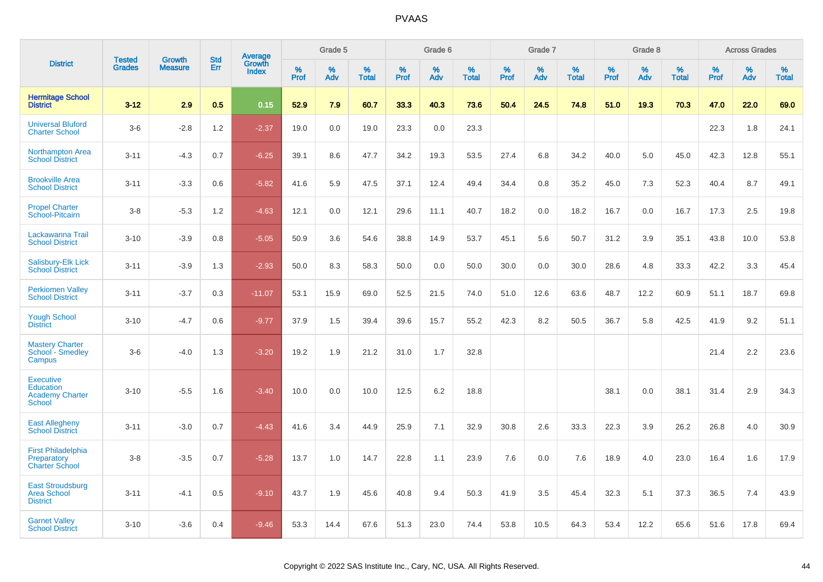|                                                                          | <b>Tested</b> | <b>Growth</b>  | <b>Std</b> | Average         |           | Grade 5  |                   |           | Grade 6  |                   |           | Grade 7  |                   |           | Grade 8  |                   |              | <b>Across Grades</b> |                   |
|--------------------------------------------------------------------------|---------------|----------------|------------|-----------------|-----------|----------|-------------------|-----------|----------|-------------------|-----------|----------|-------------------|-----------|----------|-------------------|--------------|----------------------|-------------------|
| <b>District</b>                                                          | <b>Grades</b> | <b>Measure</b> | Err        | Growth<br>Index | %<br>Prof | %<br>Adv | %<br><b>Total</b> | %<br>Prof | %<br>Adv | %<br><b>Total</b> | %<br>Prof | %<br>Adv | %<br><b>Total</b> | %<br>Prof | %<br>Adv | %<br><b>Total</b> | $\%$<br>Prof | %<br>Adv             | %<br><b>Total</b> |
| <b>Hermitage School</b><br><b>District</b>                               | $3 - 12$      | 2.9            | 0.5        | 0.15            | 52.9      | 7.9      | 60.7              | 33.3      | 40.3     | 73.6              | 50.4      | 24.5     | 74.8              | 51.0      | 19.3     | 70.3              | 47.0         | 22.0                 | 69.0              |
| <b>Universal Bluford</b><br><b>Charter School</b>                        | $3-6$         | $-2.8$         | 1.2        | $-2.37$         | 19.0      | 0.0      | 19.0              | 23.3      | 0.0      | 23.3              |           |          |                   |           |          |                   | 22.3         | 1.8                  | 24.1              |
| <b>Northampton Area</b><br><b>School District</b>                        | $3 - 11$      | $-4.3$         | 0.7        | $-6.25$         | 39.1      | 8.6      | 47.7              | 34.2      | 19.3     | 53.5              | 27.4      | 6.8      | 34.2              | 40.0      | 5.0      | 45.0              | 42.3         | 12.8                 | 55.1              |
| <b>Brookville Area</b><br><b>School District</b>                         | $3 - 11$      | $-3.3$         | 0.6        | $-5.82$         | 41.6      | 5.9      | 47.5              | 37.1      | 12.4     | 49.4              | 34.4      | 0.8      | 35.2              | 45.0      | 7.3      | 52.3              | 40.4         | 8.7                  | 49.1              |
| <b>Propel Charter</b><br>School-Pitcairn                                 | $3 - 8$       | $-5.3$         | 1.2        | $-4.63$         | 12.1      | 0.0      | 12.1              | 29.6      | 11.1     | 40.7              | 18.2      | 0.0      | 18.2              | 16.7      | 0.0      | 16.7              | 17.3         | 2.5                  | 19.8              |
| Lackawanna Trail<br><b>School District</b>                               | $3 - 10$      | $-3.9$         | 0.8        | $-5.05$         | 50.9      | 3.6      | 54.6              | 38.8      | 14.9     | 53.7              | 45.1      | 5.6      | 50.7              | 31.2      | 3.9      | 35.1              | 43.8         | 10.0                 | 53.8              |
| Salisbury-Elk Lick<br><b>School District</b>                             | $3 - 11$      | $-3.9$         | 1.3        | $-2.93$         | 50.0      | 8.3      | 58.3              | 50.0      | 0.0      | 50.0              | 30.0      | 0.0      | 30.0              | 28.6      | 4.8      | 33.3              | 42.2         | 3.3                  | 45.4              |
| <b>Perkiomen Valley</b><br><b>School District</b>                        | $3 - 11$      | $-3.7$         | 0.3        | $-11.07$        | 53.1      | 15.9     | 69.0              | 52.5      | 21.5     | 74.0              | 51.0      | 12.6     | 63.6              | 48.7      | 12.2     | 60.9              | 51.1         | 18.7                 | 69.8              |
| <b>Yough School</b><br><b>District</b>                                   | $3 - 10$      | $-4.7$         | 0.6        | $-9.77$         | 37.9      | 1.5      | 39.4              | 39.6      | 15.7     | 55.2              | 42.3      | 8.2      | 50.5              | 36.7      | 5.8      | 42.5              | 41.9         | 9.2                  | 51.1              |
| <b>Mastery Charter</b><br>School - Smedley<br>Campus                     | $3-6$         | $-4.0$         | 1.3        | $-3.20$         | 19.2      | 1.9      | 21.2              | 31.0      | 1.7      | 32.8              |           |          |                   |           |          |                   | 21.4         | 2.2                  | 23.6              |
| <b>Executive</b><br>Education<br><b>Academy Charter</b><br><b>School</b> | $3 - 10$      | $-5.5$         | 1.6        | $-3.40$         | 10.0      | 0.0      | 10.0              | 12.5      | 6.2      | 18.8              |           |          |                   | 38.1      | 0.0      | 38.1              | 31.4         | 2.9                  | 34.3              |
| <b>East Allegheny</b><br><b>School District</b>                          | $3 - 11$      | $-3.0$         | 0.7        | $-4.43$         | 41.6      | 3.4      | 44.9              | 25.9      | 7.1      | 32.9              | 30.8      | 2.6      | 33.3              | 22.3      | 3.9      | 26.2              | 26.8         | 4.0                  | 30.9              |
| <b>First Philadelphia</b><br>Preparatory<br><b>Charter School</b>        | $3-8$         | $-3.5$         | 0.7        | $-5.28$         | 13.7      | 1.0      | 14.7              | 22.8      | 1.1      | 23.9              | 7.6       | 0.0      | 7.6               | 18.9      | 4.0      | 23.0              | 16.4         | 1.6                  | 17.9              |
| <b>East Stroudsburg</b><br><b>Area School</b><br><b>District</b>         | $3 - 11$      | $-4.1$         | 0.5        | $-9.10$         | 43.7      | 1.9      | 45.6              | 40.8      | 9.4      | 50.3              | 41.9      | 3.5      | 45.4              | 32.3      | 5.1      | 37.3              | 36.5         | 7.4                  | 43.9              |
| <b>Garnet Valley</b><br><b>School District</b>                           | $3 - 10$      | $-3.6$         | 0.4        | $-9.46$         | 53.3      | 14.4     | 67.6              | 51.3      | 23.0     | 74.4              | 53.8      | 10.5     | 64.3              | 53.4      | 12.2     | 65.6              | 51.6         | 17.8                 | 69.4              |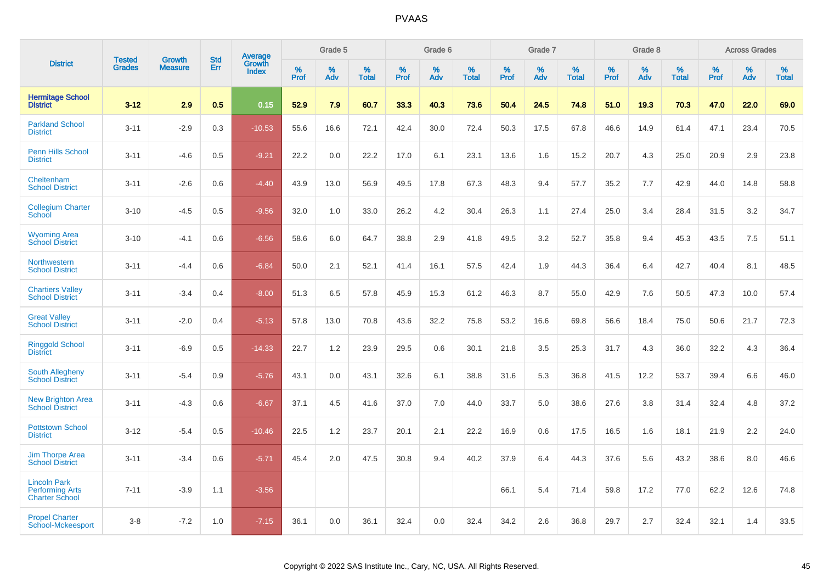|                                                                        | <b>Tested</b> | <b>Growth</b>  | <b>Std</b> | Average                |              | Grade 5     |                      |              | Grade 6     |                      |              | Grade 7     |                      |              | Grade 8     |                   |                     | <b>Across Grades</b> |                      |
|------------------------------------------------------------------------|---------------|----------------|------------|------------------------|--------------|-------------|----------------------|--------------|-------------|----------------------|--------------|-------------|----------------------|--------------|-------------|-------------------|---------------------|----------------------|----------------------|
| <b>District</b>                                                        | <b>Grades</b> | <b>Measure</b> | Err        | Growth<br><b>Index</b> | $\%$<br>Prof | $\%$<br>Adv | $\%$<br><b>Total</b> | $\%$<br>Prof | $\%$<br>Adv | $\%$<br><b>Total</b> | $\%$<br>Prof | $\%$<br>Adv | $\%$<br><b>Total</b> | $\%$<br>Prof | $\%$<br>Adv | %<br><b>Total</b> | $\%$<br><b>Prof</b> | $\%$<br>Adv          | $\%$<br><b>Total</b> |
| <b>Hermitage School</b><br><b>District</b>                             | $3 - 12$      | 2.9            | 0.5        | 0.15                   | 52.9         | 7.9         | 60.7                 | 33.3         | 40.3        | 73.6                 | 50.4         | 24.5        | 74.8                 | 51.0         | 19.3        | 70.3              | 47.0                | 22.0                 | 69.0                 |
| <b>Parkland School</b><br><b>District</b>                              | $3 - 11$      | $-2.9$         | 0.3        | $-10.53$               | 55.6         | 16.6        | 72.1                 | 42.4         | 30.0        | 72.4                 | 50.3         | 17.5        | 67.8                 | 46.6         | 14.9        | 61.4              | 47.1                | 23.4                 | 70.5                 |
| <b>Penn Hills School</b><br><b>District</b>                            | $3 - 11$      | $-4.6$         | 0.5        | $-9.21$                | 22.2         | 0.0         | 22.2                 | 17.0         | 6.1         | 23.1                 | 13.6         | 1.6         | 15.2                 | 20.7         | 4.3         | 25.0              | 20.9                | 2.9                  | 23.8                 |
| Cheltenham<br><b>School District</b>                                   | $3 - 11$      | $-2.6$         | 0.6        | $-4.40$                | 43.9         | 13.0        | 56.9                 | 49.5         | 17.8        | 67.3                 | 48.3         | 9.4         | 57.7                 | 35.2         | 7.7         | 42.9              | 44.0                | 14.8                 | 58.8                 |
| <b>Collegium Charter</b><br>School                                     | $3 - 10$      | $-4.5$         | 0.5        | $-9.56$                | 32.0         | 1.0         | 33.0                 | 26.2         | 4.2         | 30.4                 | 26.3         | 1.1         | 27.4                 | 25.0         | 3.4         | 28.4              | 31.5                | 3.2                  | 34.7                 |
| <b>Wyoming Area</b><br><b>School District</b>                          | $3 - 10$      | $-4.1$         | 0.6        | $-6.56$                | 58.6         | 6.0         | 64.7                 | 38.8         | 2.9         | 41.8                 | 49.5         | 3.2         | 52.7                 | 35.8         | 9.4         | 45.3              | 43.5                | 7.5                  | 51.1                 |
| Northwestern<br><b>School District</b>                                 | $3 - 11$      | $-4.4$         | 0.6        | $-6.84$                | 50.0         | 2.1         | 52.1                 | 41.4         | 16.1        | 57.5                 | 42.4         | 1.9         | 44.3                 | 36.4         | 6.4         | 42.7              | 40.4                | 8.1                  | 48.5                 |
| <b>Chartiers Valley</b><br><b>School District</b>                      | $3 - 11$      | $-3.4$         | 0.4        | $-8.00$                | 51.3         | 6.5         | 57.8                 | 45.9         | 15.3        | 61.2                 | 46.3         | 8.7         | 55.0                 | 42.9         | 7.6         | 50.5              | 47.3                | 10.0                 | 57.4                 |
| <b>Great Valley</b><br><b>School District</b>                          | $3 - 11$      | $-2.0$         | 0.4        | $-5.13$                | 57.8         | 13.0        | 70.8                 | 43.6         | 32.2        | 75.8                 | 53.2         | 16.6        | 69.8                 | 56.6         | 18.4        | 75.0              | 50.6                | 21.7                 | 72.3                 |
| <b>Ringgold School</b><br><b>District</b>                              | $3 - 11$      | $-6.9$         | 0.5        | $-14.33$               | 22.7         | 1.2         | 23.9                 | 29.5         | 0.6         | 30.1                 | 21.8         | 3.5         | 25.3                 | 31.7         | 4.3         | 36.0              | 32.2                | 4.3                  | 36.4                 |
| South Allegheny<br><b>School District</b>                              | $3 - 11$      | $-5.4$         | 0.9        | $-5.76$                | 43.1         | 0.0         | 43.1                 | 32.6         | 6.1         | 38.8                 | 31.6         | 5.3         | 36.8                 | 41.5         | 12.2        | 53.7              | 39.4                | 6.6                  | 46.0                 |
| <b>New Brighton Area</b><br><b>School District</b>                     | $3 - 11$      | $-4.3$         | 0.6        | $-6.67$                | 37.1         | 4.5         | 41.6                 | 37.0         | 7.0         | 44.0                 | 33.7         | 5.0         | 38.6                 | 27.6         | 3.8         | 31.4              | 32.4                | 4.8                  | 37.2                 |
| <b>Pottstown School</b><br><b>District</b>                             | $3 - 12$      | $-5.4$         | 0.5        | $-10.46$               | 22.5         | 1.2         | 23.7                 | 20.1         | 2.1         | 22.2                 | 16.9         | 0.6         | 17.5                 | 16.5         | 1.6         | 18.1              | 21.9                | 2.2                  | 24.0                 |
| <b>Jim Thorpe Area</b><br><b>School District</b>                       | $3 - 11$      | $-3.4$         | 0.6        | $-5.71$                | 45.4         | 2.0         | 47.5                 | 30.8         | 9.4         | 40.2                 | 37.9         | 6.4         | 44.3                 | 37.6         | 5.6         | 43.2              | 38.6                | 8.0                  | 46.6                 |
| <b>Lincoln Park</b><br><b>Performing Arts</b><br><b>Charter School</b> | $7 - 11$      | $-3.9$         | 1.1        | $-3.56$                |              |             |                      |              |             |                      | 66.1         | 5.4         | 71.4                 | 59.8         | 17.2        | 77.0              | 62.2                | 12.6                 | 74.8                 |
| <b>Propel Charter</b><br>School-Mckeesport                             | $3 - 8$       | $-7.2$         | 1.0        | $-7.15$                | 36.1         | 0.0         | 36.1                 | 32.4         | 0.0         | 32.4                 | 34.2         | 2.6         | 36.8                 | 29.7         | 2.7         | 32.4              | 32.1                | 1.4                  | 33.5                 |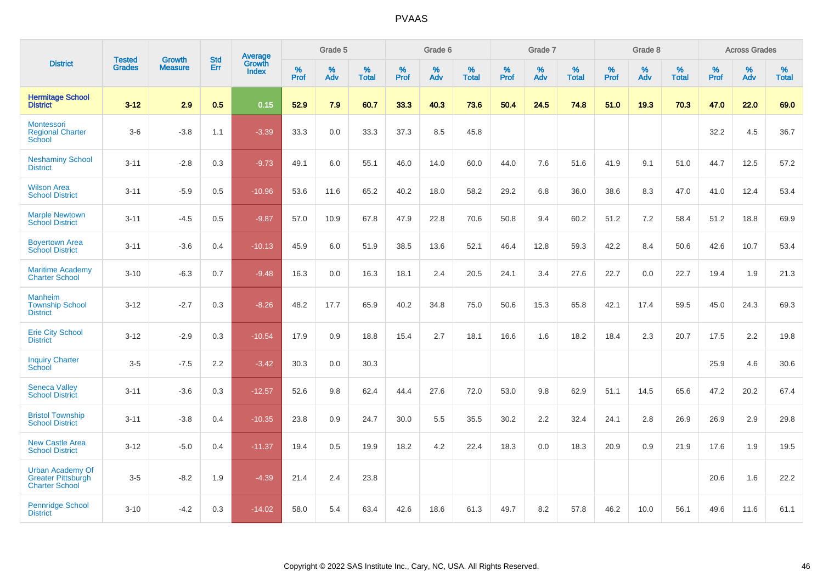|                                                                               |                                | <b>Growth</b>  | <b>Std</b> | Average                       |           | Grade 5  |                   |           | Grade 6  |                   |           | Grade 7  |                   |           | Grade 8  |                   |           | <b>Across Grades</b> |                   |
|-------------------------------------------------------------------------------|--------------------------------|----------------|------------|-------------------------------|-----------|----------|-------------------|-----------|----------|-------------------|-----------|----------|-------------------|-----------|----------|-------------------|-----------|----------------------|-------------------|
| <b>District</b>                                                               | <b>Tested</b><br><b>Grades</b> | <b>Measure</b> | Err        | <b>Growth</b><br><b>Index</b> | %<br>Prof | %<br>Adv | %<br><b>Total</b> | %<br>Prof | %<br>Adv | %<br><b>Total</b> | %<br>Prof | %<br>Adv | %<br><b>Total</b> | %<br>Prof | %<br>Adv | %<br><b>Total</b> | %<br>Prof | %<br>Adv             | %<br><b>Total</b> |
| <b>Hermitage School</b><br><b>District</b>                                    | $3 - 12$                       | 2.9            | 0.5        | 0.15                          | 52.9      | 7.9      | 60.7              | 33.3      | 40.3     | 73.6              | 50.4      | 24.5     | 74.8              | 51.0      | 19.3     | 70.3              | 47.0      | 22.0                 | 69.0              |
| Montessori<br><b>Regional Charter</b><br>School                               | $3-6$                          | $-3.8$         | 1.1        | $-3.39$                       | 33.3      | $0.0\,$  | 33.3              | 37.3      | 8.5      | 45.8              |           |          |                   |           |          |                   | 32.2      | 4.5                  | 36.7              |
| <b>Neshaminy School</b><br><b>District</b>                                    | $3 - 11$                       | $-2.8$         | 0.3        | $-9.73$                       | 49.1      | 6.0      | 55.1              | 46.0      | 14.0     | 60.0              | 44.0      | 7.6      | 51.6              | 41.9      | 9.1      | 51.0              | 44.7      | 12.5                 | 57.2              |
| <b>Wilson Area</b><br><b>School District</b>                                  | $3 - 11$                       | $-5.9$         | 0.5        | $-10.96$                      | 53.6      | 11.6     | 65.2              | 40.2      | 18.0     | 58.2              | 29.2      | 6.8      | 36.0              | 38.6      | 8.3      | 47.0              | 41.0      | 12.4                 | 53.4              |
| <b>Marple Newtown</b><br><b>School District</b>                               | $3 - 11$                       | $-4.5$         | 0.5        | $-9.87$                       | 57.0      | 10.9     | 67.8              | 47.9      | 22.8     | 70.6              | 50.8      | 9.4      | 60.2              | 51.2      | 7.2      | 58.4              | 51.2      | 18.8                 | 69.9              |
| <b>Boyertown Area</b><br><b>School District</b>                               | $3 - 11$                       | $-3.6$         | 0.4        | $-10.13$                      | 45.9      | 6.0      | 51.9              | 38.5      | 13.6     | 52.1              | 46.4      | 12.8     | 59.3              | 42.2      | 8.4      | 50.6              | 42.6      | 10.7                 | 53.4              |
| <b>Maritime Academy</b><br><b>Charter School</b>                              | $3 - 10$                       | $-6.3$         | 0.7        | $-9.48$                       | 16.3      | 0.0      | 16.3              | 18.1      | 2.4      | 20.5              | 24.1      | 3.4      | 27.6              | 22.7      | 0.0      | 22.7              | 19.4      | 1.9                  | 21.3              |
| <b>Manheim</b><br><b>Township School</b><br><b>District</b>                   | $3 - 12$                       | $-2.7$         | 0.3        | $-8.26$                       | 48.2      | 17.7     | 65.9              | 40.2      | 34.8     | 75.0              | 50.6      | 15.3     | 65.8              | 42.1      | 17.4     | 59.5              | 45.0      | 24.3                 | 69.3              |
| <b>Erie City School</b><br><b>District</b>                                    | $3 - 12$                       | $-2.9$         | 0.3        | $-10.54$                      | 17.9      | 0.9      | 18.8              | 15.4      | 2.7      | 18.1              | 16.6      | 1.6      | 18.2              | 18.4      | 2.3      | 20.7              | 17.5      | 2.2                  | 19.8              |
| <b>Inquiry Charter</b><br>School                                              | $3-5$                          | $-7.5$         | 2.2        | $-3.42$                       | 30.3      | 0.0      | 30.3              |           |          |                   |           |          |                   |           |          |                   | 25.9      | 4.6                  | 30.6              |
| <b>Seneca Valley</b><br><b>School District</b>                                | $3 - 11$                       | $-3.6$         | 0.3        | $-12.57$                      | 52.6      | 9.8      | 62.4              | 44.4      | 27.6     | 72.0              | 53.0      | 9.8      | 62.9              | 51.1      | 14.5     | 65.6              | 47.2      | 20.2                 | 67.4              |
| <b>Bristol Township</b><br><b>School District</b>                             | $3 - 11$                       | $-3.8$         | 0.4        | $-10.35$                      | 23.8      | 0.9      | 24.7              | 30.0      | 5.5      | 35.5              | 30.2      | 2.2      | 32.4              | 24.1      | 2.8      | 26.9              | 26.9      | 2.9                  | 29.8              |
| <b>New Castle Area</b><br><b>School District</b>                              | $3 - 12$                       | $-5.0$         | 0.4        | $-11.37$                      | 19.4      | 0.5      | 19.9              | 18.2      | 4.2      | 22.4              | 18.3      | 0.0      | 18.3              | 20.9      | 0.9      | 21.9              | 17.6      | 1.9                  | 19.5              |
| <b>Urban Academy Of</b><br><b>Greater Pittsburgh</b><br><b>Charter School</b> | $3-5$                          | $-8.2$         | 1.9        | $-4.39$                       | 21.4      | 2.4      | 23.8              |           |          |                   |           |          |                   |           |          |                   | 20.6      | 1.6                  | 22.2              |
| <b>Pennridge School</b><br><b>District</b>                                    | $3 - 10$                       | $-4.2$         | 0.3        | $-14.02$                      | 58.0      | 5.4      | 63.4              | 42.6      | 18.6     | 61.3              | 49.7      | 8.2      | 57.8              | 46.2      | 10.0     | 56.1              | 49.6      | 11.6                 | 61.1              |